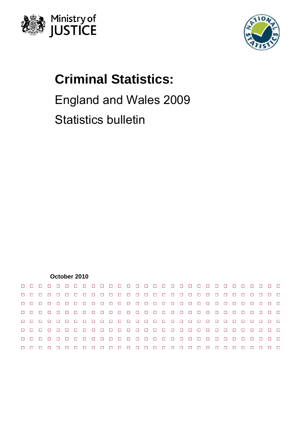



## **Criminal Statistics:**

# England and Wales 2009 Statistics bulletin

|     | 8 8 8 8 | $\Box$        |        |        |        |         |  |        |        |        |        |        |  |   | $\Box$ |        |  |
|-----|---------|---------------|--------|--------|--------|---------|--|--------|--------|--------|--------|--------|--|---|--------|--------|--|
|     |         |               |        |        |        |         |  |        |        |        |        |        |  |   |        |        |  |
|     |         |               |        |        |        |         |  |        |        |        |        |        |  |   |        |        |  |
|     |         |               |        |        |        |         |  |        |        |        |        |        |  |   |        |        |  |
|     | n n n n | $\Box$        |        |        |        |         |  |        |        |        |        |        |  |   | $\Box$ | $\Box$ |  |
| n n |         | $\Box$ $\Box$ | $\Box$ | $\Box$ | $\Box$ | 8 8 8 8 |  | $\Box$ | $\Box$ | $\Box$ | $\Box$ | $\Box$ |  | n |        |        |  |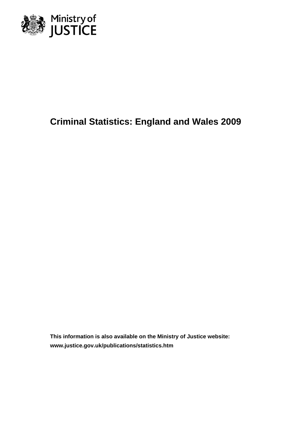

## **Criminal Statistics: England and Wales 2009**

**This information is also available on the Ministry of Justice website: www.justice.gov.uk/publications/statistics.htm**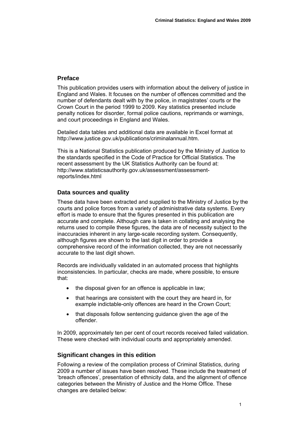#### **Preface**

This publication provides users with information about the delivery of justice in England and Wales. It focuses on the number of offences committed and the number of defendants dealt with by the police, in magistrates' courts or the Crown Court in the period 1999 to 2009. Key statistics presented include penalty notices for disorder, formal police cautions, reprimands or warnings, and court proceedings in England and Wales.

Detailed data tables and additional data are available in Excel format at [http://www.justice.gov.uk/publications/criminalannual.htm.](http://www.justice.gov.uk/publications/sentencingannual.htm)

This is a National Statistics publication produced by the Ministry of Justice to the standards specified in the Code of Practice for Official Statistics. The recent assessment by the UK Statistics Authority can be found at: http://www.statisticsauthority.gov.uk/assessment/assessmentreports/index.html

#### **Data sources and quality**

These data have been extracted and supplied to the Ministry of Justice by the courts and police forces from a variety of administrative data systems. Every effort is made to ensure that the figures presented in this publication are accurate and complete. Although care is taken in collating and analysing the returns used to compile these figures, the data are of necessity subject to the inaccuracies inherent in any large-scale recording system. Consequently, although figures are shown to the last digit in order to provide a comprehensive record of the information collected, they are not necessarily accurate to the last digit shown.

Records are individually validated in an automated process that highlights inconsistencies. In particular, checks are made, where possible, to ensure that:

- the disposal given for an offence is applicable in law;
- that hearings are consistent with the court they are heard in, for example indictable-only offences are heard in the Crown Court;
- that disposals follow sentencing quidance given the age of the offender.

In 2009, approximately ten per cent of court records received failed validation. These were checked with individual courts and appropriately amended.

#### **Significant changes in this edition**

Following a review of the compilation process of Criminal Statistics, during 2009 a number of issues have been resolved. These include the treatment of 'breach offences', presentation of ethnicity data, and the alignment of offence categories between the Ministry of Justice and the Home Office. These changes are detailed below: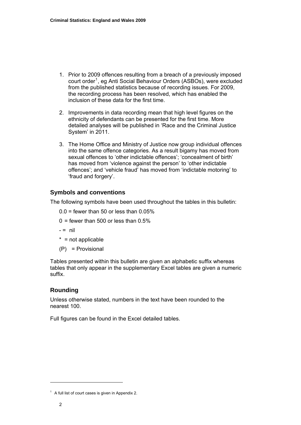- 1. Prior to 2009 offences resulting from a breach of a previously imposed court order<sup>[1](#page-5-0)</sup>, eg Anti Social Behaviour Orders (ASBOs), were excluded from the published statistics because of recording issues. For 2009, the recording process has been resolved, which has enabled the inclusion of these data for the first time.
- 2. Improvements in data recording mean that high level figures on the ethnicity of defendants can be presented for the first time. More detailed analyses will be published in 'Race and the Criminal Justice System' in 2011.
- 3. The Home Office and Ministry of Justice now group individual offences into the same offence categories. As a result bigamy has moved from sexual offences to 'other indictable offences'; 'concealment of birth' has moved from 'violence against the person' to 'other indictable offences'; and 'vehicle fraud' has moved from 'indictable motoring' to 'fraud and forgery'.

#### **Symbols and conventions**

The following symbols have been used throughout the tables in this bulletin:

- $0.0$  = fewer than 50 or less than  $0.05\%$
- $0 =$  fewer than 500 or less than 0.5%
- $=$  nil
- \* = not applicable
- (P) = Provisional

Tables presented within this bulletin are given an alphabetic suffix whereas tables that only appear in the supplementary Excel tables are given a numeric suffix.

#### **Rounding**

Unless otherwise stated, numbers in the text have been rounded to the nearest 100.

Full figures can be found in the Excel detailed tables.

 $\overline{a}$ 

<span id="page-5-0"></span> $1$  A full list of court cases is given in Appendix 2.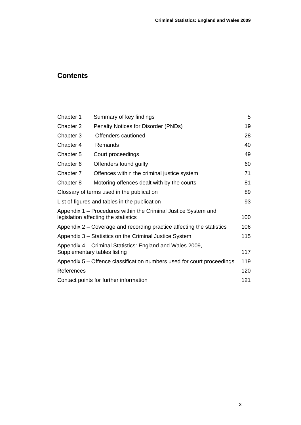## **Contents**

| Chapter 1  | Summary of key findings                                                                                | 5   |
|------------|--------------------------------------------------------------------------------------------------------|-----|
| Chapter 2  | Penalty Notices for Disorder (PNDs)                                                                    | 19  |
| Chapter 3  | Offenders cautioned                                                                                    | 28  |
| Chapter 4  | Remands                                                                                                | 40  |
| Chapter 5  | Court proceedings                                                                                      | 49  |
| Chapter 6  | Offenders found guilty                                                                                 | 60  |
| Chapter 7  | Offences within the criminal justice system                                                            | 71  |
| Chapter 8  | Motoring offences dealt with by the courts                                                             | 81  |
|            | Glossary of terms used in the publication                                                              | 89  |
|            | List of figures and tables in the publication                                                          | 93  |
|            | Appendix 1 – Procedures within the Criminal Justice System and<br>legislation affecting the statistics | 100 |
|            | Appendix 2 – Coverage and recording practice affecting the statistics                                  | 106 |
|            | Appendix 3 – Statistics on the Criminal Justice System                                                 | 115 |
|            | Appendix 4 – Criminal Statistics: England and Wales 2009,<br>Supplementary tables listing              | 117 |
|            | Appendix 5 – Offence classification numbers used for court proceedings                                 | 119 |
| References |                                                                                                        | 120 |
|            | Contact points for further information                                                                 | 121 |
|            |                                                                                                        |     |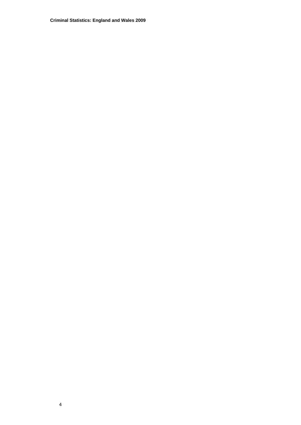**Criminal Statistics: England and Wales 2009**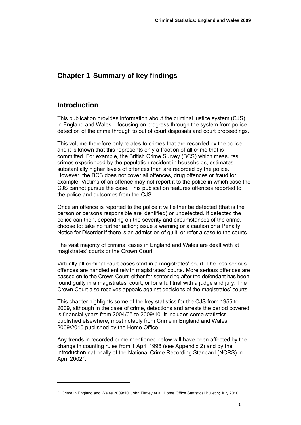## **Chapter 1 Summary of key findings**

### **Introduction**

 $\overline{a}$ 

This publication provides information about the criminal justice system (CJS) in England and Wales – focusing on progress through the system from police detection of the crime through to out of court disposals and court proceedings.

This volume therefore only relates to crimes that are recorded by the police and it is known that this represents only a fraction of all crime that is committed. For example, the British Crime Survey (BCS) which measures crimes experienced by the population resident in households, estimates substantially higher levels of offences than are recorded by the police. However, the BCS does not cover all offences, drug offences or fraud for example. Victims of an offence may not report it to the police in which case the CJS cannot pursue the case. This publication features offences reported to the police and outcomes from the CJS.

Once an offence is reported to the police it will either be detected (that is the person or persons responsible are identified) or undetected. If detected the police can then, depending on the severity and circumstances of the crime, choose to: take no further action; issue a warning or a caution or a Penalty Notice for Disorder if there is an admission of guilt; or refer a case to the courts.

The vast majority of criminal cases in England and Wales are dealt with at magistrates' courts or the Crown Court.

Virtually all criminal court cases start in a magistrates' court. The less serious offences are handled entirely in magistrates' courts. More serious offences are passed on to the Crown Court, either for sentencing after the defendant has been found guilty in a magistrates' court, or for a full trial with a judge and jury. The Crown Court also receives appeals against decisions of the magistrates' courts.

This chapter highlights some of the key statistics for the CJS from 1955 to 2009, although in the case of crime, detections and arrests the period covered is financial years from 2004/05 to 2009/10. It includes some statistics published elsewhere, most notably from Crime in England and Wales 2009/2010 published by the Home Office.

Any trends in recorded crime mentioned below will have been affected by the change in counting rules from 1 April 1998 (see [Appendix 2\)](#page-109-0) and by the introduction nationally of the National Crime Recording Standard (NCRS) in April [2](#page-8-0)002 $^2$ .

<span id="page-8-0"></span> $2^2$  Crime in England and Wales 2009/10; John Flatley et al; Home Office Statistical Bulletin; July 2010.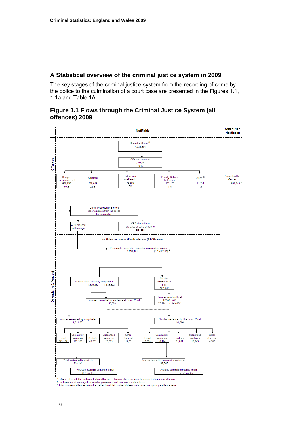#### **A Statistical overview of the criminal justice system in 2009**

The key stages of the criminal justice system from the recording of crime by the police to the culmination of a court case are presented in the Figures 1.1, 1.1a and Table 1A.

#### **Figure 1.1 Flows through the Criminal Justice System (all offences) 2009**



1. Covers all indictable, including triable either way, offences plus a few closely associated summary offences

2. Includes formal warnings for cannabis possession and non-sanction detections.<br>2. Includes formal warnings for cannabis possession and non-sanction detections.<br>\* Total number of offences committed rather than total numbe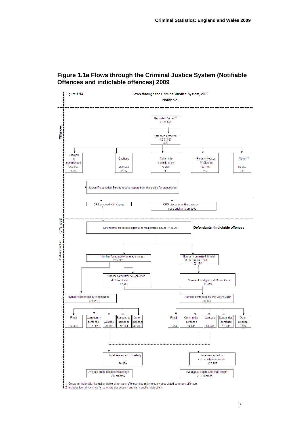#### **Figure 1.1a Flows through the Criminal Justice System (Notifiable Offences and indictable offences) 2009**



1. Covers all indictable, including triable either way, offences plus a few closely associated summary offences

1.2. Includes formal warnings for cannabis possession and non-sanction detections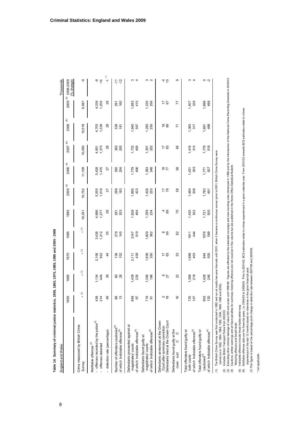| England and Wales                                                                                                                                                                                                                                          |                                |                     |                               |                      |                      |                      |                      |                      |                                 |                      | Thousands                      |
|------------------------------------------------------------------------------------------------------------------------------------------------------------------------------------------------------------------------------------------------------------|--------------------------------|---------------------|-------------------------------|----------------------|----------------------|----------------------|----------------------|----------------------|---------------------------------|----------------------|--------------------------------|
|                                                                                                                                                                                                                                                            | 1955                           | 1965                | 1975                          | 1985                 | 1995                 | 2005 <sup>(6)</sup>  | 2006 <sup>(6)</sup>  | 2007 <sup>(6)</sup>  | $\widehat{\circ}$<br>2008       | 2009                 | (6) 2008-2009<br>% change)     |
| Crime measured by British Crime<br>Survey                                                                                                                                                                                                                  | $_{\ast}$ (r)                  | $_{\star}$ (t)      | $\widehat{\epsilon}$          | $_{\ast}$ (r)        | 19,351               | 10,752               | 11,109               | 10,050               | 10,518                          | 9,587                | တု                             |
| offences recorded by the police <sup>(3)</sup><br>- detection rate (percentage)<br>Notifiable offences <sup>(2)</sup><br>offences detected                                                                                                                 | 49<br>438<br>214               | 445<br>89<br>1,134  | 2,106<br>922<br>$\frac{4}{4}$ | 3,426<br>1,212<br>35 | 26<br>4,886<br>1,277 | 5,555<br>1,516<br>27 | 5,428<br>1,475<br>27 | 28<br>1,373<br>4,951 | 28<br>1,339<br>4,703            | 28<br>4,339<br>1,205 | $\frac{2}{5}$<br>$\frac{1}{2}$ |
| Number of offenders cautioned <sup>(4)</sup><br>of which Indictable offences <sup>(5)</sup>                                                                                                                                                                | $\frac{3}{2}$<br>89            | 88                  | $136$<br>$102$                | 219<br>145           | 29<br>203            | 299<br>183           | 350<br>204           | 205<br>363           | 328<br>181                      | 160<br>291           | $-12$<br>$\frac{1}{2}$         |
| Defendants proceeded against at<br>of which Indictable offences <sup>(5)</sup><br>magistrates' courts                                                                                                                                                      | 848<br>$\overline{9}$          | 235<br>1,439        | 439<br>2,111                  | 519<br>2147          | 1,928<br>464         | 1,895<br>423         | 1,779<br>406         | 405<br>1,733         | 1,640<br>397                    | 415<br>1,693         | ო                              |
| of which Indictable offences <sup>(5)</sup><br>Defendants found guilty at<br>magistrates' courts                                                                                                                                                           | 719<br>$\overline{5}$          | 1,346<br>196        | 1,936<br>350                  | 1,829<br>362         | 1,359<br>234         | 1,426<br>253         | 1,363<br>248         | 252<br>1,351         | 1,293<br>250                    | 1,330<br>256         | ω<br>$\sim$                    |
| Defendants tried at the Crown Court<br>Defendants sentenced at the Crown<br>Court after summary conviction<br>Defendants found guilty at the rown ourt $C$ $C$<br>rown ourt                                                                                | $\frac{8}{6}$<br>$\frac{6}{5}$ | $\frac{8}{2}$<br>22 | $\frac{7}{3}$<br>S3           | ∞ ඉ<br>82            | 4 S<br>70            | 77<br>58             | $\frac{8}{7}$<br>58  | 89<br>17<br>83       | $\frac{8}{8}$<br>$\overline{z}$ | $rac{10}{11}$<br>77  | 4 5<br>თ                       |
| of which Indictable offences <sup>(5)</sup><br>Total offenders found guilty at<br>both courts                                                                                                                                                              | 735<br>107                     | 1,368<br>218        | 989<br>403                    | 44<br>1911           | $1,430$<br>302       | 1,484<br>308         | 303<br>1,421         | 1,416<br>313         | 1,363<br>317                    | 329<br>1,407         | ო<br>4                         |
| of which Indictable offences <sup>(5)</sup><br>Total offenders found guilty or<br>cautioned <sup>(4)</sup>                                                                                                                                                 | 303<br>120                     | 1,428<br>246        | $\frac{2}{3}$ g               | 589<br>1076          | 505<br>1,721         | 1,783<br>491         | 507<br>1,771         | 518<br>1,779         | 498<br>1,691                    | 1,698<br>488         | ہ ہ                            |
| (1) The British Crime Survey was first conducted in 1982 and ran at mostly two-year intervals until 2001, when it became a continuous survey (piror to 2001, British Crime Survey were<br>carried out in 1982, 1984, 1988, 1992, 1994, 1996, 1998 and 2000 |                                |                     |                               |                      |                      |                      |                      |                      |                                 |                      |                                |

Table 1A Summary of criminal justice statistics, 1955, 1965, 1975, 1985, 1995 and 2005 - 2009 **Table 1A Summary of criminal justice statistics, 1955, 1965, 1975, 1985, 1995 and 2005 - 2009**

carried out in 1982, 1984, 1988, 1992, 1994, 1996, 1998 and 2000).

(2) Includes British Transport Police from 2002/03

Excluding other criminal damage of value £20 and under until 1989/99. Figures are affected by the extended coverage and new counting rules introduced in 1998 and by the introduction of the National Crime Recording Standard (3) Excluding other criminal damage of value £20 and under until 1998/99. Figures are affected by the extended coverage and new counting rules introduction of the introduction of the National Crime Recording Standard in 20 (4) Cautions, written warnings and all fixed penalties for summary motoring offences are not covered in this volume but are published in the Home Office Statistical Bulletin complete that the second that the second that the second that the second control of the second control (3) Excluding other circular damage of value £20 and (4) Condoms, withness and all fixed penalties (4) Condoms, withnes

'Motoring offences and breath tests'. 'Motoring offences and breath tests'.

(5) Indictable offences include those triable-either-way.

(5) Indictable offences include those triable-efther-way.<br>(6) Notifiable offences data are for financial years, i.e. 2004/05 to 2008/09. Prior to 2001/02, BCS estimates relate to climes experienced in a given calendar year (6) Notifiable offences data are for financial years, i.e. 2004/05 to 2008/09. Prior to 2001/02, BCS estimates relate to crimes experienced in a given calendar year. From 2001/02 onwards BCS estimates relate to crimes experienced in the last 12 months based on interviews in the given financial year.

(7) This figure is based on the percentage point change in detection rate between 2007/08 and 2008/09. v.<br>experienced in the last 12 months based on interviews in the given financial year.<br>(7) This figure is based on the percentage point change in detection rate between 2007/08 and 2008/09.

\* not applicable. \* not applicable.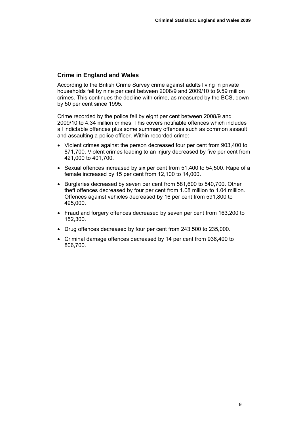#### **Crime in England and Wales**

According to the British Crime Survey crime against adults living in private households fell by nine per cent between 2008/9 and 2009/10 to 9.59 million crimes. This continues the decline with crime, as measured by the BCS, down by 50 per cent since 1995.

Crime recorded by the police fell by eight per cent between 2008/9 and 2009/10 to 4.34 million crimes. This covers notifiable offences which includes all indictable offences plus some summary offences such as common assault and assaulting a police officer. Within recorded crime:

- Violent crimes against the person decreased four per cent from 903,400 to 871,700. Violent crimes leading to an injury decreased by five per cent from 421,000 to 401,700.
- Sexual offences increased by six per cent from 51,400 to 54,500. Rape of a female increased by 15 per cent from 12,100 to 14,000.
- Burglaries decreased by seven per cent from 581,600 to 540,700. Other theft offences decreased by four per cent from 1.08 million to 1.04 million. Offences against vehicles decreased by 16 per cent from 591,800 to 495,000.
- Fraud and forgery offences decreased by seven per cent from 163,200 to 152,300.
- Drug offences decreased by four per cent from 243,500 to 235,000.
- Criminal damage offences decreased by 14 per cent from 936,400 to 806,700.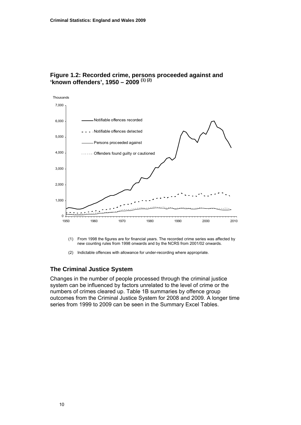



(1) From 1998 the figures are for financial years. The recorded crime series was affected by new counting rules from 1998 onwards and by the NCRS from 2001/02 onwards.

(2) Indictable offences with allowance for under-recording where appropriate.

#### **The Criminal Justice System**

Changes in the number of people processed through the criminal justice system can be influenced by factors unrelated to the level of crime or the numbers of crimes cleared up. Table 1B summaries by offence group outcomes from the Criminal Justice System for 2008 and 2009. A longer time series from 1999 to 2009 can be seen in the Summary Excel Tables.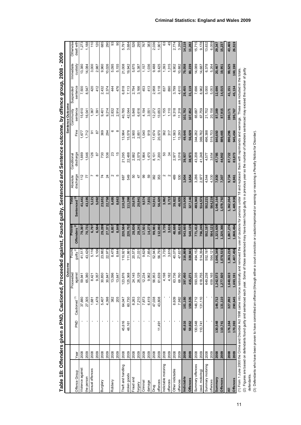| Table 1B: Offenders given a PND, Cautioned, Proceeded against, Found guilty, Sentenced and Sentence outcome, by offence group, 2008 - 2009                                                                                                                                                                                                                                                                                          |      |         |                          |                      |                       |                          |                          |                       |                          |          |                       |                       |                      |                         |
|-------------------------------------------------------------------------------------------------------------------------------------------------------------------------------------------------------------------------------------------------------------------------------------------------------------------------------------------------------------------------------------------------------------------------------------|------|---------|--------------------------|----------------------|-----------------------|--------------------------|--------------------------|-----------------------|--------------------------|----------|-----------------------|-----------------------|----------------------|-------------------------|
|                                                                                                                                                                                                                                                                                                                                                                                                                                     |      |         |                          | Outco                | Found<br>Ë            | Prover                   | lepol                    |                       |                          |          | Sentence Uutcome      |                       |                      |                         |
| Offence Group                                                                                                                                                                                                                                                                                                                                                                                                                       | Year | PND     | Cautioned <sup>(1)</sup> | Proceeded<br>against | guilty <sup>(2)</sup> | Offenders <sup>(3)</sup> | Sentenced <sup>(2)</sup> | discharge<br>Absolute | discharge<br>Conditional | Fine     | sentence<br>Community | sentence<br>Suspended | Immediate<br>custody | Otherwise<br>dealt with |
| Violence against                                                                                                                                                                                                                                                                                                                                                                                                                    | 2008 |         | 37,880                   | 59,941               | 41,517                | 79,397                   | 41,441                   | 112                   | 1,889                    | 1,677    | 15,610                | 7,500                 | 13,380               | 1,273                   |
| the person                                                                                                                                                                                                                                                                                                                                                                                                                          | 2009 |         | 27,305                   | 65,380               | 43,426                | 70,731                   | 43,195                   | 77                    | 546                      | 1.712    | 16,041                | 8,547                 | 14,084               | 1,188                   |
| Sexual offences                                                                                                                                                                                                                                                                                                                                                                                                                     | 2008 |         | 1,681                    | 8,421                | 5,116                 | 6,797                    | 5,121                    |                       | 126                      | 5        | 1,367                 | 420                   | 3,000                | 110                     |
|                                                                                                                                                                                                                                                                                                                                                                                                                                     | 2009 |         | 1,478                    | 9,357                | 5.106                 | 6,584                    | 5,092                    | $\infty$              | 67                       | 52       | 1,391                 | 412                   | 2,987                | 120                     |
| Burglary                                                                                                                                                                                                                                                                                                                                                                                                                            | 2008 |         | 5,407                    | 30,850               | 23,882                | 29,289                   | 23,651                   | 74                    | 730                      | 369      | 9,401                 | 2,432                 | 9,960                | 685                     |
|                                                                                                                                                                                                                                                                                                                                                                                                                                     | 2009 |         | 4,398                    | 30,847               | 22,973                | 27,371                   | 22,758                   | $^{24}$               | 536                      | 294      | 9,214                 | 2,374                 | 10,026               | 290                     |
| Robbery                                                                                                                                                                                                                                                                                                                                                                                                                             | 2008 |         | 382                      | 13,096               | 8,475                 | 8,857                    | 8,495                    | Ν                     | $23\,$                   | ဖ        | 2,832                 | 444                   | 5,095                | 93                      |
|                                                                                                                                                                                                                                                                                                                                                                                                                                     | 2009 |         | 205                      | 13,647               | 8,644                 | 8,849                    | 8,663                    | s                     | 15                       | $\infty$ | 2,914                 | 476                   | 5,155                | 90                      |
| Theft and handling                                                                                                                                                                                                                                                                                                                                                                                                                  | 2008 | 45,616  | 64,047                   | 123,876              | 110,921               | 220,584                  | 110,348                  | 687                   | 21,295                   | 13,964   | 40,785                | 6,818                 | 21,008               | 5,791                   |
| stolen goods                                                                                                                                                                                                                                                                                                                                                                                                                        | 2009 | 48,161  | 60.730                   | 125,368              | 11,861                | 220,752                  | 111,398                  | 549                   | 22,488                   | 15,578   | 42,044                | 7.113                 | 19.942               | 3.684                   |
| Fraud and                                                                                                                                                                                                                                                                                                                                                                                                                           | 2008 |         | 8,263                    | 24,145               | 20,573                | 28,836                   | 20,675                   | 50                    | 2,882                    | 2,900    | 5,848                 | 2,794                 | 5,675                | 526                     |
| forgery                                                                                                                                                                                                                                                                                                                                                                                                                             | 2009 |         | 7,210                    | 26,129               | 21,031                | 28,241                   | 20,941                   | 47                    | 2,579                    | 2,851    | 6,616                 | 3,166                 | 5,387                | 295                     |
| Criminal                                                                                                                                                                                                                                                                                                                                                                                                                            | 2008 |         | 7,873                    | 12,234               | 9,628                 | 17,501                   | 9,574                    | 8                     | 1,864                    | 1,040    | 4,194                 | 453                   | 1,157                | 767                     |
| damage                                                                                                                                                                                                                                                                                                                                                                                                                              | 2009 |         | 6,419                    | 9,962                | 7,854                 | 14,273                   | 7,831                    | 59                    | 1,470                    | 919      | 3,551                 | 413                   | 1,036                | 383                     |
| Drug                                                                                                                                                                                                                                                                                                                                                                                                                                | 2008 |         | 47,038                   | 56,953               | 52,943                | 99,981                   | 52,911                   | 382                   | 8,101                    | 17,674   | 12,272                | 2,958                 | 9,488                | 2,036                   |
| offences                                                                                                                                                                                                                                                                                                                                                                                                                            | 2009 | 11,491  | 43,808                   | 61,639               | 56,793                | 12,092                   | 56,620                   | 353                   | 7,200                    | 20,970   | 13,653                | 3,118                 | 9,425                | 1,901                   |
| Indictable motoring                                                                                                                                                                                                                                                                                                                                                                                                                 | 2008 |         |                          | 4,198                | 3,735                 | 3,735                    | 3,862                    | $\sim$ $\sim$         | 8                        | 362      | 1,155                 | 837                   | 1,393                | 63                      |
| offences                                                                                                                                                                                                                                                                                                                                                                                                                            | 2009 |         |                          | 4,182                | 3,616                 | 3,616                    | 3,713                    |                       | 34                       | 317      | 1,110                 | 890                   | 1,315                | 45                      |
| Other indictable                                                                                                                                                                                                                                                                                                                                                                                                                    | 2008 |         | 8,609                    | 63,736               | 40,079                | 48,688                   | 39,822                   | 489                   | 2,977                    | 11,563   | 9,318                 | 3,799                 | 8,902                | 2,774                   |
| offences                                                                                                                                                                                                                                                                                                                                                                                                                            | 2009 |         | 7,982                    | 68,760               | 47,637                | 55,619                   | 46,935                   | 530                   | 3,016                    | 13,293   | 11,318                | 4,610                 | 10,882               | 3,286                   |
| Indictable                                                                                                                                                                                                                                                                                                                                                                                                                          | 2008 | 45,616  | 181,180                  | 397,450              | 316,869               | 543,665                  | 315,900                  | 1,904                 | 39,937                   | 49,646   | 102,782               | 28,455                | 79,058               | 14,118                  |
| <b>Offences</b>                                                                                                                                                                                                                                                                                                                                                                                                                     | 2009 | 59,652  | 159,535                  | 415,271              | 328,941               | 548,128                  | 327,146                  | 1,654                 | 38,971                   | 56,029   | 107,852               | 31,119                | 80,239               | 11,282                  |
| Summary offences                                                                                                                                                                                                                                                                                                                                                                                                                    | 2008 | 130,548 | 146,712                  | 593,335              | 494,152               | 771,412                  | 493,943                  | 3,286                 | 43,208                   | 344,262  | 65,687                | 7,696                 | 14,089               | 15,715                  |
| (excl. motoring)                                                                                                                                                                                                                                                                                                                                                                                                                    | 2009 | 110,741 | 131,110                  | 618,755              | 514,394               | 756,245                  | 514,573                  | 2,977                 | 41,248                   | 369,762  | 67,759                | 8,962                 | 14,687               | 9,178                   |
| Summary motoring                                                                                                                                                                                                                                                                                                                                                                                                                    | 2008 |         |                          | 649,238              | 552, 197              | 552,197                  | 552,221                  | 4,544                 | 4,577                    | 496,388  | 21,702                | 5,000                 | 6,378                | 13,632                  |
| offences                                                                                                                                                                                                                                                                                                                                                                                                                            | 2009 |         |                          | 659,165              | 564,121               | 564,121                  | 564,219                  | 4,330                 | 3,654                    | 519,703  | 20,156                | 5,053                 | 5,264                | 6,059                   |
| Summary                                                                                                                                                                                                                                                                                                                                                                                                                             | 2008 | 130,548 | 146,712                  | 1,242,573            | ,046,349              | ,323,609                 | ,046,164                 | 7,830                 | 47,785                   | 840,650  | 87,389                | 12,696                | 20,467               | 29,347                  |
| <b>Offences</b>                                                                                                                                                                                                                                                                                                                                                                                                                     | 2009 | 110,741 | 131,110                  | 1,277,920            | 1,078,515             | ,320,366                 | 1,078,792                | 7,307                 | 44,902                   | 889,465  | 87,915                | 14,015                | 19,951               | 15,237                  |
| ₹                                                                                                                                                                                                                                                                                                                                                                                                                                   | 2008 | 176,164 | 327,892                  | 1,640,023            | 1,363,218             | 1,867,274                | 1,362,064                | 9,734                 | 87,722                   | 890,296  | 190,171               | 41,151                | 99,525               | 43,465                  |
| Offences                                                                                                                                                                                                                                                                                                                                                                                                                            | 2009 | 170,393 | 290,645                  | 1,693,191            | ,407,456              | ,868,494                 | ,405,938                 | 8,961                 | 83,873                   | 945,494  | 195,767               | 45,134                | 100,190              | 26,519                  |
| (1) From 1 June 2000 the Crime and Disorder Act 1998 came into force nationally and removed the use of cautions for persons under 18 and replaced them with reprimands and warnings. These are included in the totals.<br>(2) Figures are based on defendants found guilty and sentenced each year. Some of those sentenced may have been found guilty in a previous year so the number of 6rienced may exceed the number of guilty |      |         |                          |                      |                       |                          |                          |                       |                          |          |                       |                       |                      |                         |

é **Table 1B: Offenders given a PND, Cautioned, Proceeded against, Found guilty, Sentenced and Sentence outcome, by**  $\cdot$  $\epsilon$ ÷ J.  $\overline{1}$  $\epsilon$  $\ddot{\phantom{a}}$  $\overline{\mathbf{r}}$ 

defendants.<br>(3) Defendants who have been proven to have committed an offence (through either a court conviction or caution/reprimand or warning or receiving a Penalty Notice for Disorder). (3) Defendants who have been proven to have committed an offence (through either a court conviction or caution/reprimand or warning or receiving a Penalty Notice for Disorder). ሩ  $\frac{1}{2}$ j<br>D .<br>? <u>5</u><br>თ

defendants.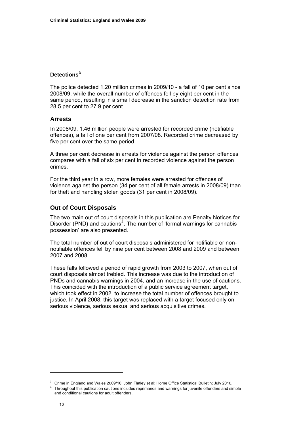#### **Detections[3](#page-15-0)**

The police detected 1.20 million crimes in 2009/10 - a fall of 10 per cent since 2008/09, while the overall number of offences fell by eight per cent in the same period, resulting in a small decrease in the sanction detection rate from 28.5 per cent to 27.9 per cent.

#### **Arrests**

In 2008/09, 1.46 million people were arrested for recorded crime (notifiable offences), a fall of one per cent from 2007/08. Recorded crime decreased by five per cent over the same period.

A three per cent decrease in arrests for violence against the person offences compares with a fall of six per cent in recorded violence against the person crimes.

For the third year in a row, more females were arrested for offences of violence against the person (34 per cent of all female arrests in 2008/09) than for theft and handling stolen goods (31 per cent in 2008/09).

#### **Out of Court Disposals**

The two main out of court disposals in this publication are Penalty Notices for Disorder (PND) and cautions<sup>[4](#page-15-1)</sup>. The number of 'formal warnings for cannabis possession' are also presented.

The total number of out of court disposals administered for notifiable or nonnotifiable offences fell by nine per cent between 2008 and 2009 and between 2007 and 2008.

These falls followed a period of rapid growth from 2003 to 2007, when out of court disposals almost trebled. This increase was due to the introduction of PNDs and cannabis warnings in 2004, and an increase in the use of cautions. This coincided with the introduction of a public service agreement target, which took effect in 2002, to increase the total number of offences brought to justice. In April 2008, this target was replaced with a target focused only on serious violence, serious sexual and serious acquisitive crimes.

 $\overline{a}$ 

<span id="page-15-0"></span> $3$  Crime in England and Wales 2009/10; John Flatley et al; Home Office Statistical Bulletin; July 2010.

<span id="page-15-1"></span>Throughout this publication cautions includes reprimands and warnings for juvenile offenders and simple and conditional cautions for adult offenders.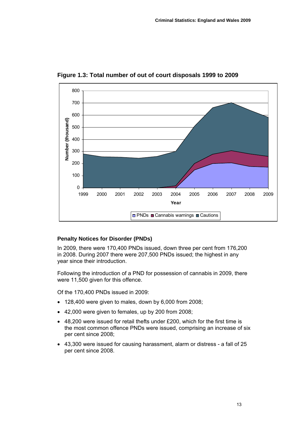

**Figure 1.3: Total number of out of court disposals 1999 to 2009** 

#### **Penalty Notices for Disorder (PNDs)**

In 2009, there were 170,400 PNDs issued, down three per cent from 176,200 in 2008. During 2007 there were 207,500 PNDs issued; the highest in any year since their introduction.

Following the introduction of a PND for possession of cannabis in 2009, there were 11,500 given for this offence.

Of the 170,400 PNDs issued in 2009:

- 128,400 were given to males, down by 6,000 from 2008;
- 42,000 were given to females, up by 200 from 2008;
- 48,200 were issued for retail thefts under £200, which for the first time is the most common offence PNDs were issued, comprising an increase of six per cent since 2008;
- 43,300 were issued for causing harassment, alarm or distress a fall of 25 per cent since 2008.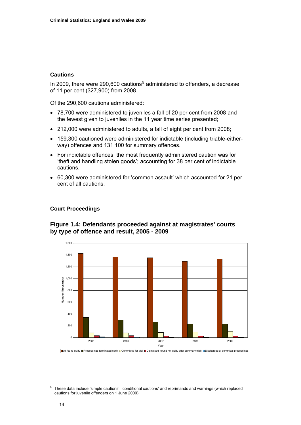#### **Cautions**

In 2009, there were 290,600 cautions<sup>[5](#page-17-0)</sup> administered to offenders, a decrease of 11 per cent (327,900) from 2008.

Of the 290,600 cautions administered:

- 78,700 were administered to juveniles a fall of 20 per cent from 2008 and the fewest given to juveniles in the 11 year time series presented;
- 212,000 were administered to adults, a fall of eight per cent from 2008;
- 159,300 cautioned were administered for indictable (including triable-eitherway) offences and 131,100 for summary offences.
- For indictable offences, the most frequently administered caution was for 'theft and handling stolen goods'; accounting for 38 per cent of indictable cautions.
- 60,300 were administered for 'common assault' which accounted for 21 per cent of all cautions.

#### **Court Proceedings**

**Figure 1.4: Defendants proceeded against at magistrates' courts by type of offence and result, 2005 - 2009** 



 $\overline{a}$ 

<span id="page-17-0"></span><sup>5</sup> These data include 'simple cautions', 'conditional cautions' and reprimands and warnings (which replaced cautions for juvenile offenders on 1 June 2000).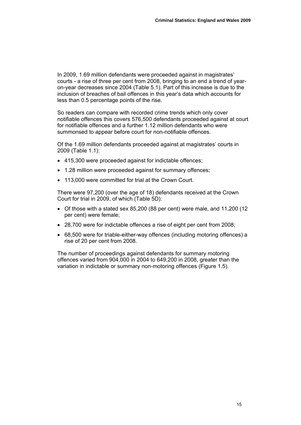In 2009, 1.69 million defendants were proceeded against in magistrates' courts - a rise of three per cent from 2008, bringing to an end a trend of yearon-year decreases since 2004 (Table 5.1). Part of this increase is due to the inclusion of breaches of bail offences in this year's data which accounts for less than 0.5 percentage points of the rise.

So readers can compare with recorded crime trends which only cover notifiable offences this covers 576,500 defendants proceeded against at court for notifiable offences and a further 1.12 million defendants who were summonsed to appear before court for non-notifiable offences.

Of the 1.69 million defendants proceeded against at magistrates' courts in 2009 (Table 1.1):

- 415,300 were proceeded against for indictable offences;
- 1.28 million were proceeded against for summary offences;
- 113,000 were committed for trial at the Crown Court.

There were 97,200 (over the age of 18) defendants received at the Crown Court for trial in 2009, of which (Table 5D):

- Of those with a stated sex 85,200 (88 per cent) were male, and 11,200 (12 per cent) were female;
- 28,700 were for indictable offences a rise of eight per cent from 2008;
- 68,500 were for triable-either-way offences (including motoring offences) a rise of 20 per cent from 2008.

The number of proceedings against defendants for summary motoring offences varied from 904,000 in 2004 to 649,200 in 2008, greater than the variation in indictable or summary non-motoring offences (Figure 1.5).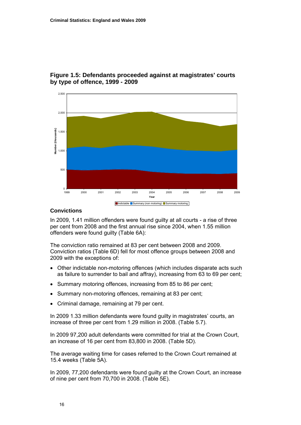

#### **Figure 1.5: Defendants proceeded against at magistrates' courts by type of offence, 1999 - 2009**

#### **Convictions**

In 2009, 1.41 million offenders were found guilty at all courts - a rise of three per cent from 2008 and the first annual rise since 2004, when 1.55 million offenders were found guilty (Table 6A):

The conviction ratio remained at 83 per cent between 2008 and 2009. Conviction ratios (Table 6D) fell for most offence groups between 2008 and 2009 with the exceptions of:

- Other indictable non-motoring offences (which includes disparate acts such as failure to surrender to bail and affray), increasing from 63 to 69 per cent;
- Summary motoring offences, increasing from 85 to 86 per cent;
- Summary non-motoring offences, remaining at 83 per cent;
- Criminal damage, remaining at 79 per cent.

In 2009 1.33 million defendants were found guilty in magistrates' courts, an increase of three per cent from 1.29 million in 2008. (Table 5.7).

In 2009 97,200 adult defendants were committed for trial at the Crown Court, an increase of 16 per cent from 83,800 in 2008. (Table 5D).

The average waiting time for cases referred to the Crown Court remained at 15.4 weeks (Table 5A).

In 2009, 77,200 defendants were found guilty at the Crown Court, an increase of nine per cent from 70,700 in 2008. (Table 5E).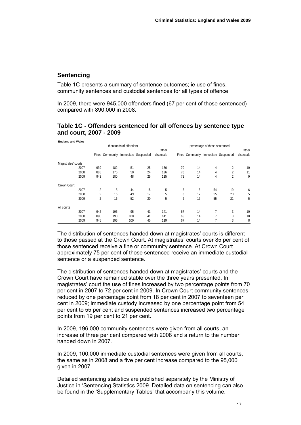#### **Sentencing**

**England and Wales**

Table 1C presents a summary of sentence outcomes; ie use of fines, community sentences and custodial sentences for all types of offence.

In 2009, there were 945,000 offenders fined (67 per cent of those sentenced) compared with 890,000 in 2008.

#### **Table 1C - Offenders sentenced for all offences by sentence type and court, 2007 - 2009**

|                     |     |                 | thousands of offenders |                     |           |    |                 | percentage of those sentenced |                     |           |
|---------------------|-----|-----------------|------------------------|---------------------|-----------|----|-----------------|-------------------------------|---------------------|-----------|
|                     |     |                 |                        |                     | Other     |    |                 |                               |                     | Other     |
|                     |     | Fines Community |                        | Immediate Suspended | disposals |    | Fines Community |                               | Immediate Suspended | disposals |
| Magistrates' courts |     |                 |                        |                     |           |    |                 |                               |                     |           |
| 2007                | 939 | 182             | 51                     | 25                  | 136       | 70 | 14              | 4                             | 2                   | 10        |
| 2008                | 888 | 175             | 50                     | 24                  | 136       | 70 | 14              | 4                             | 2                   | 11        |
| 2009                | 943 | 180             | 48                     | 25                  | 115       | 72 | 14              | 4                             | 2                   | 9         |
| Crown Court         |     |                 |                        |                     |           |    |                 |                               |                     |           |
| 2007                | 2   | 15              | 44                     | 15                  | 5         | 3  | 18              | 54                            | 19                  | 6         |
| 2008                | 2   | 15              | 49                     | 17                  | 5         | 3  | 17              | 55                            | 20                  | 5         |
| 2009                | 2   | 16              | 52                     | 20                  | 5         | 2  | 17              | 55                            | 21                  | 5         |
| All courts          |     |                 |                        |                     |           |    |                 |                               |                     |           |
| 2007                | 942 | 196             | 95                     | 41                  | 141       | 67 | 14              |                               | 3                   | 10        |
| 2008                | 890 | 190             | 100                    | 41                  | 141       | 65 | 14              |                               | 3                   | 10        |
| 2009                | 945 | 196             | 100                    | 45                  | 119       | 67 | 14              |                               | 3                   | 8         |

The distribution of sentences handed down at magistrates' courts is different to those passed at the Crown Court. At magistrates' courts over 85 per cent of those sentenced receive a fine or community sentence. At Crown Court approximately 75 per cent of those sentenced receive an immediate custodial sentence or a suspended sentence.

The distribution of sentences handed down at magistrates' courts and the Crown Court have remained stable over the three years presented. In magistrates' court the use of fines increased by two percentage points from 70 per cent in 2007 to 72 per cent in 2009. In Crown Court community sentences reduced by one percentage point from 18 per cent in 2007 to seventeen per cent in 2009; immediate custody increased by one percentage point from 54 per cent to 55 per cent and suspended sentences increased two percentage points from 19 per cent to 21 per cent.

In 2009, 196,000 community sentences were given from all courts, an increase of three per cent compared with 2008 and a return to the number handed down in 2007.

In 2009, 100,000 immediate custodial sentences were given from all courts, the same as in 2008 and a five per cent increase compared to the 95,000 given in 2007.

Detailed sentencing statistics are published separately by the Ministry of Justice in 'Sentencing Statistics 2009. Detailed data on sentencing can also be found in the 'Supplementary Tables' that accompany this volume.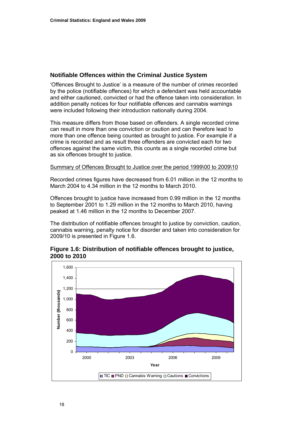#### **Notifiable Offences within the Criminal Justice System**

'Offences Brought to Justice' is a measure of the number of crimes recorded by the police (notifiable offences) for which a defendant was held accountable and either cautioned, convicted or had the offence taken into consideration. In addition penalty notices for four notifiable offences and cannabis warnings were included following their introduction nationally during 2004.

This measure differs from those based on offenders. A single recorded crime can result in more than one conviction or caution and can therefore lead to more than one offence being counted as brought to justice. For example if a crime is recorded and as result three offenders are convicted each for two offences against the same victim, this counts as a single recorded crime but as six offences brought to justice.

#### Summary of Offences Brought to Justice over the period 1999\00 to 2009\10

Recorded crimes figures have decreased from 6.01 million in the 12 months to March 2004 to 4.34 million in the 12 months to March 2010.

Offences brought to justice have increased from 0.99 million in the 12 months to September 2001 to 1.29 million in the 12 months to March 2010, having peaked at 1.46 million in the 12 months to December 2007.

The distribution of notifiable offences brought to justice by conviction, caution, cannabis warning, penalty notice for disorder and taken into consideration for 2009/10 is presented in Figure 1.6.



**Figure 1.6: Distribution of notifiable offences brought to justice, 2000 to 2010**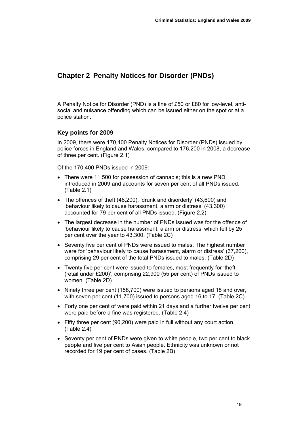## **Chapter 2 Penalty Notices for Disorder (PNDs)**

A Penalty Notice for Disorder (PND) is a fine of £50 or £80 for low-level, antisocial and nuisance offending which can be issued either on the spot or at a police station.

#### **Key points for 2009**

In 2009, there were 170,400 Penalty Notices for Disorder (PNDs) issued by police forces in England and Wales, compared to 176,200 in 2008, a decrease of three per cent. (Figure 2.1)

Of the 170,400 PNDs issued in 2009:

- There were 11,500 for possession of cannabis; this is a new PND introduced in 2009 and accounts for seven per cent of all PNDs issued. (Table 2.1)
- The offences of theft (48,200), 'drunk and disorderly' (43,600) and 'behaviour likely to cause harassment, alarm or distress' (43,300) accounted for 79 per cent of all PNDs issued. (Figure 2.2)
- The largest decrease in the number of PNDs issued was for the offence of 'behaviour likely to cause harassment, alarm or distress' which fell by 25 per cent over the year to 43,300. (Table 2C)
- Seventy five per cent of PNDs were issued to males. The highest number were for 'behaviour likely to cause harassment, alarm or distress' (37,200), comprising 29 per cent of the total PNDs issued to males. (Table 2D)
- Twenty five per cent were issued to females, most frequently for 'theft (retail under £200)', comprising 22,900 (55 per cent) of PNDs issued to women. (Table 2D)
- Ninety three per cent (158,700) were issued to persons aged 18 and over, with seven per cent (11,700) issued to persons aged 16 to 17. (Table 2C)
- Forty one per cent of were paid within 21 days and a further twelve per cent were paid before a fine was registered. (Table 2.4)
- Fifty three per cent (90,200) were paid in full without any court action. (Table 2.4)
- Seventy per cent of PNDs were given to white people, two per cent to black people and five per cent to Asian people. Ethnicity was unknown or not recorded for 19 per cent of cases. (Table 2B)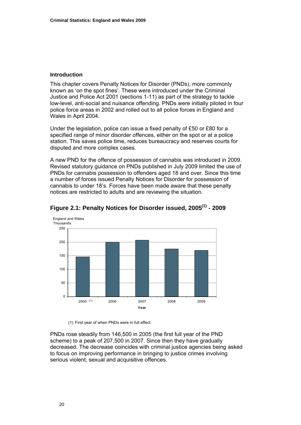#### **Introduction**

This chapter covers Penalty Notices for Disorder (PNDs), more commonly known as 'on the spot fines'. These were introduced under the Criminal Justice and Police Act 2001 (sections 1-11) as part of the strategy to tackle low-level, anti-social and nuisance offending. PNDs were initially piloted in four police force areas in 2002 and rolled out to all police forces in England and Wales in April 2004.

Under the legislation, police can issue a fixed penalty of £50 or £80 for a specified range of minor disorder offences, either on the spot or at a police station. This saves police time, reduces bureaucracy and reserves courts for disputed and more complex cases.

A new PND for the offence of possession of cannabis was introduced in 2009. Revised statutory guidance on PNDs published in July 2009 limited the use of PNDs for cannabis possession to offenders aged 18 and over. Since this time a number of forces issued Penalty Notices for Disorder for possession of cannabis to under 18's. Forces have been made aware that these penalty notices are restricted to adults and are reviewing the situation.





(1) First year of when PNDs were in full effect.

PNDs rose steadily from 146,500 in 2005 (the first full year of the PND scheme) to a peak of 207,500 in 2007. Since then they have gradually decreased. The decrease coincides with criminal justice agencies being asked to focus on improving performance in bringing to justice crimes involving serious violent, sexual and acquisitive offences.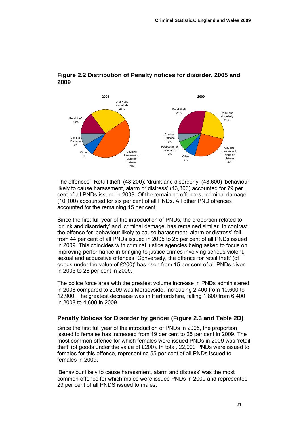

#### **Figure 2.2 Distribution of Penalty notices for disorder, 2005 and 2009**

The offences: 'Retail theft' (48,200); 'drunk and disorderly' (43,600) 'behaviour likely to cause harassment, alarm or distress' (43,300) accounted for 79 per cent of all PNDs issued in 2009. Of the remaining offences, 'criminal damage' (10,100) accounted for six per cent of all PNDs. All other PND offences accounted for the remaining 15 per cent.

Since the first full year of the introduction of PNDs, the proportion related to 'drunk and disorderly' and 'criminal damage' has remained similar. In contrast the offence for 'behaviour likely to cause harassment, alarm or distress' fell from 44 per cent of all PNDs issued in 2005 to 25 per cent of all PNDs issued in 2009. This coincides with criminal justice agencies being asked to focus on improving performance in bringing to justice crimes involving serious violent, sexual and acquisitive offences. Conversely, the offence for retail theft' (of goods under the value of £200)' has risen from 15 per cent of all PNDs given in 2005 to 28 per cent in 2009.

The police force area with the greatest volume increase in PNDs administered in 2008 compared to 2009 was Merseyside, increasing 2,400 from 10,600 to 12,900. The greatest decrease was in Hertfordshire, falling 1,800 from 6,400 in 2008 to 4,600 in 2009.

#### **Penalty Notices for Disorder by gender (Figure 2.3 and Table 2D)**

Since the first full year of the introduction of PNDs in 2005, the proportion issued to females has increased from 19 per cent to 25 per cent in 2009. The most common offence for which females were issued PNDs in 2009 was 'retail theft' (of goods under the value of £200). In total, 22,900 PNDs were issued to females for this offence, representing 55 per cent of all PNDs issued to females in 2009.

'Behaviour likely to cause harassment, alarm and distress' was the most common offence for which males were issued PNDs in 2009 and represented 29 per cent of all PNDS issued to males.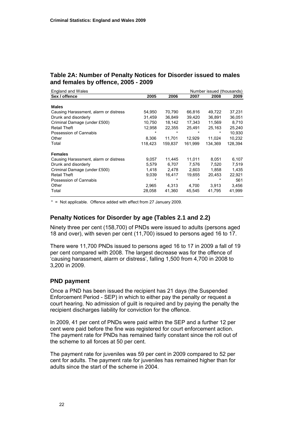#### **Table 2A: Number of Penalty Notices for Disorder issued to males and females by offence, 2005 - 2009**

| England and Wales                     |         |         |         | Number issued (thousands) |         |
|---------------------------------------|---------|---------|---------|---------------------------|---------|
| Sex / offence                         | 2005    | 2006    | 2007    | 2008                      | 2009    |
|                                       |         |         |         |                           |         |
| <b>Males</b>                          |         |         |         |                           |         |
| Causing Harassment, alarm or distress | 54,950  | 70,790  | 66,816  | 49,722                    | 37,231  |
| Drunk and disorderly                  | 31,459  | 36,849  | 39,420  | 36,891                    | 36,051  |
| Criminal Damage (under £500)          | 10,750  | 18,142  | 17.343  | 11,569                    | 8,710   |
| <b>Retail Theft</b>                   | 12,958  | 22,355  | 25,491  | 25,163                    | 25,240  |
| Possession of Cannabis                | $\star$ | $\star$ | $\star$ | *                         | 10,930  |
| Other                                 | 8,306   | 11.701  | 12,929  | 11,024                    | 10,232  |
| Total                                 | 118,423 | 159,837 | 161,999 | 134,369                   | 128,394 |
| <b>Females</b>                        |         |         |         |                           |         |
| Causing Harassment, alarm or distress | 9,057   | 11,445  | 11,011  | 8.051                     | 6,107   |
| Drunk and disorderly                  | 5,579   | 6,707   | 7,576   | 7,520                     | 7,519   |
| Criminal Damage (under £500)          | 1,418   | 2,478   | 2,603   | 1,858                     | 1,435   |
| <b>Retail Theft</b>                   | 9,039   | 16,417  | 19,655  | 20,453                    | 22,921  |
| Possession of Cannabis                | $\star$ | $\star$ | $\star$ | $\star$                   | 561     |
| Other                                 | 2,965   | 4.313   | 4,700   | 3.913                     | 3,456   |
| Total                                 | 28,058  | 41,360  | 45.545  | 41,795                    | 41,999  |

\* = Not applicable. Offence added with effect from 27 January 2009.

#### **Penalty Notices for Disorder by age (Tables 2.1 and 2.2)**

Ninety three per cent (158,700) of PNDs were issued to adults (persons aged 18 and over), with seven per cent (11,700) issued to persons aged 16 to 17.

There were 11,700 PNDs issued to persons aged 16 to 17 in 2009 a fall of 19 per cent compared with 2008. The largest decrease was for the offence of 'causing harassment, alarm or distress', falling 1,500 from 4,700 in 2008 to 3,200 in 2009.

#### **PND payment**

Once a PND has been issued the recipient has 21 days (the Suspended Enforcement Period - SEP) in which to either pay the penalty or request a court hearing. No admission of guilt is required and by paying the penalty the recipient discharges liability for conviction for the offence.

In 2009, 41 per cent of PNDs were paid within the SEP and a further 12 per cent were paid before the fine was registered for court enforcement action. The payment rate for PNDs has remained fairly constant since the roll out of the scheme to all forces at 50 per cent.

The payment rate for juveniles was 59 per cent in 2009 compared to 52 per cent for adults. The payment rate for juveniles has remained higher than for adults since the start of the scheme in 2004.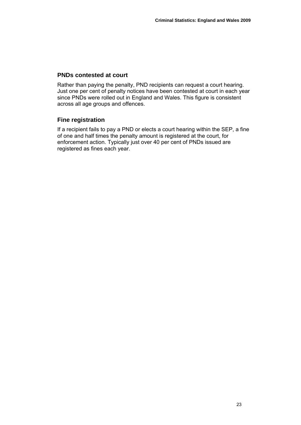#### **PNDs contested at court**

Rather than paying the penalty, PND recipients can request a court hearing. Just one per cent of penalty notices have been contested at court in each year since PNDs were rolled out in England and Wales. This figure is consistent across all age groups and offences.

#### **Fine registration**

If a recipient fails to pay a PND or elects a court hearing within the SEP, a fine of one and half times the penalty amount is registered at the court, for enforcement action. Typically just over 40 per cent of PNDs issued are registered as fines each year.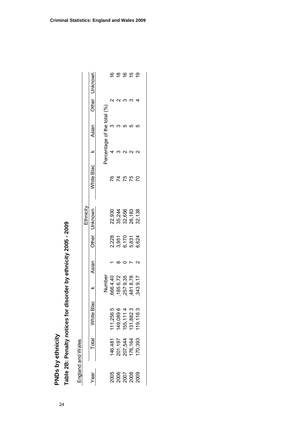|                                          | PNDs by ethnicity |                                                                 |           |       |                |               |            |   |                             |               |
|------------------------------------------|-------------------|-----------------------------------------------------------------|-----------|-------|----------------|---------------|------------|---|-----------------------------|---------------|
|                                          |                   | Table 2B: Penalty notices for disorder by ethnicity 2005 - 2009 |           |       |                |               |            |   |                             |               |
|                                          | England and Wales |                                                                 |           |       |                |               |            |   |                             |               |
|                                          |                   |                                                                 |           |       |                | Ethnicity     |            |   |                             |               |
| Year                                     | Total             | White Blac                                                      | ×         | Asian |                | Other Unknown | White Blac | × | Asian                       | Other Unknown |
|                                          |                   |                                                                 |           |       |                |               |            |   |                             |               |
|                                          |                   |                                                                 | Number    |       |                |               |            |   | Percentage of the total (%) |               |
|                                          | 146,481           | 111,2565                                                        | ,666 4,40 |       | 2,228          | 22,930        | 76         |   |                             |               |
| 8<br>8 8 8 7<br>8 8 8 8 8<br>8 8 8 8 8 9 | 201,197           | 149,0896                                                        | 1856,72   |       | 3,951          | 35,244        | 74         |   |                             | œ             |
|                                          | 207,544           | 155, 1114                                                       | ,2579,35  |       | 6,170<br>5,831 | 32,656        | 75         |   |                             | ဖ             |
|                                          | 176,164           | 131,8823                                                        | ,4818,78  |       |                | 26,183        | 75         |   |                             | ≌             |
|                                          | 170,393           | 19,1163                                                         | ,3439,17  |       | 6,624          | 32,138        | 20         |   |                             | თ             |
|                                          |                   |                                                                 |           |       |                |               |            |   |                             |               |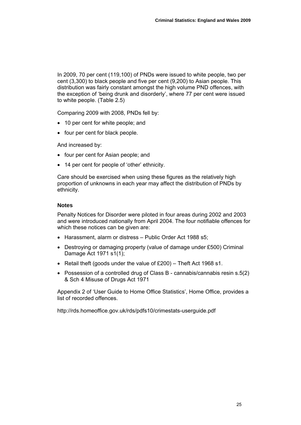In 2009, 70 per cent (119,100) of PNDs were issued to white people, two per cent (3,300) to black people and five per cent (9,200) to Asian people. This distribution was fairly constant amongst the high volume PND offences, with the exception of 'being drunk and disorderly', where 77 per cent were issued to white people. (Table 2.5)

Comparing 2009 with 2008, PNDs fell by:

- 10 per cent for white people; and
- four per cent for black people.

And increased by:

- four per cent for Asian people; and
- 14 per cent for people of 'other' ethnicity.

Care should be exercised when using these figures as the relatively high proportion of unknowns in each year may affect the distribution of PNDs by ethnicity.

#### **Notes**

Penalty Notices for Disorder were piloted in four areas during 2002 and 2003 and were introduced nationally from April 2004. The four notifiable offences for which these notices can be given are:

- Harassment, alarm or distress Public Order Act 1988 s5;
- Destroying or damaging property (value of damage under £500) Criminal Damage Act 1971 s1(1);
- Exercise Retail theft (goods under the value of  $£200$ ) Theft Act 1968 s1.
- Possession of a controlled drug of Class B cannabis/cannabis resin s.5(2) & Sch 4 Misuse of Drugs Act 1971

[Appendix 2](#page-109-0) of 'User Guide to Home Office Statistics', Home Office, provides a list of recorded offences.

<http://rds.homeoffice.gov.uk/rds/pdfs10/crimestats-userguide.pdf>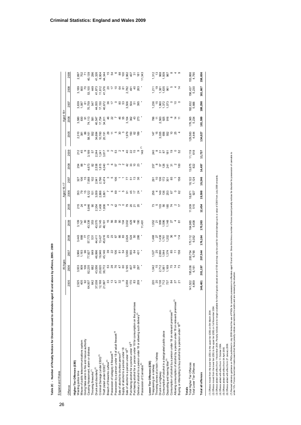| i<br>i        |
|---------------|
| $\frac{1}{2}$ |
|               |
|               |
|               |
|               |
|               |
|               |
|               |
| ׇ֚֘֡<br>I     |
|               |
|               |
|               |
|               |
| l             |
|               |
| ı             |
| I             |
|               |
|               |
|               |
| ۱             |
|               |

England and Wales England and Wales

26

|                                                                                                                                                                                  |                                   | All Ages         |                                                                         |                                                                                                                                                                                                                                                                                                                                                                                                                                                                                                                                                                                                                        |                                                                                                                                                                                                                                                                                                                                                                                                                                        |                                                                                           | Aged 16-17    |                      |                             |                                                                                                                                                                                                                                                                                                                                                                                       |                                                                                                                                                                                                                                                                                                                                      | Aged 18+         |                  |                                                                                                                                                                                                                                                                                                                                                                                                                                     |                 |
|----------------------------------------------------------------------------------------------------------------------------------------------------------------------------------|-----------------------------------|------------------|-------------------------------------------------------------------------|------------------------------------------------------------------------------------------------------------------------------------------------------------------------------------------------------------------------------------------------------------------------------------------------------------------------------------------------------------------------------------------------------------------------------------------------------------------------------------------------------------------------------------------------------------------------------------------------------------------------|----------------------------------------------------------------------------------------------------------------------------------------------------------------------------------------------------------------------------------------------------------------------------------------------------------------------------------------------------------------------------------------------------------------------------------------|-------------------------------------------------------------------------------------------|---------------|----------------------|-----------------------------|---------------------------------------------------------------------------------------------------------------------------------------------------------------------------------------------------------------------------------------------------------------------------------------------------------------------------------------------------------------------------------------|--------------------------------------------------------------------------------------------------------------------------------------------------------------------------------------------------------------------------------------------------------------------------------------------------------------------------------------|------------------|------------------|-------------------------------------------------------------------------------------------------------------------------------------------------------------------------------------------------------------------------------------------------------------------------------------------------------------------------------------------------------------------------------------------------------------------------------------|-----------------|
| Offence                                                                                                                                                                          | 2005                              | 2006             | 2007                                                                    | 2008                                                                                                                                                                                                                                                                                                                                                                                                                                                                                                                                                                                                                   | 2009                                                                                                                                                                                                                                                                                                                                                                                                                                   | 2005                                                                                      | 2006          | 2007                 | 2008                        | 2009                                                                                                                                                                                                                                                                                                                                                                                  | 2005                                                                                                                                                                                                                                                                                                                                 | 2006             | 2007             | 2008                                                                                                                                                                                                                                                                                                                                                                                                                                | 2009            |
| Higher Tier Offences (£80)                                                                                                                                                       |                                   |                  |                                                                         |                                                                                                                                                                                                                                                                                                                                                                                                                                                                                                                                                                                                                        |                                                                                                                                                                                                                                                                                                                                                                                                                                        |                                                                                           |               |                      |                             |                                                                                                                                                                                                                                                                                                                                                                                       |                                                                                                                                                                                                                                                                                                                                      |                  |                  |                                                                                                                                                                                                                                                                                                                                                                                                                                     |                 |
| Nasting police time                                                                                                                                                              |                                   |                  |                                                                         |                                                                                                                                                                                                                                                                                                                                                                                                                                                                                                                                                                                                                        |                                                                                                                                                                                                                                                                                                                                                                                                                                        |                                                                                           |               |                      |                             |                                                                                                                                                                                                                                                                                                                                                                                       |                                                                                                                                                                                                                                                                                                                                      |                  |                  |                                                                                                                                                                                                                                                                                                                                                                                                                                     |                 |
| Viisuse of public telecommunications system                                                                                                                                      |                                   |                  |                                                                         |                                                                                                                                                                                                                                                                                                                                                                                                                                                                                                                                                                                                                        |                                                                                                                                                                                                                                                                                                                                                                                                                                        |                                                                                           |               |                      |                             |                                                                                                                                                                                                                                                                                                                                                                                       |                                                                                                                                                                                                                                                                                                                                      |                  |                  |                                                                                                                                                                                                                                                                                                                                                                                                                                     |                 |
| Giving false alarm to fire and rescue authority                                                                                                                                  |                                   |                  |                                                                         |                                                                                                                                                                                                                                                                                                                                                                                                                                                                                                                                                                                                                        |                                                                                                                                                                                                                                                                                                                                                                                                                                        |                                                                                           |               |                      |                             |                                                                                                                                                                                                                                                                                                                                                                                       |                                                                                                                                                                                                                                                                                                                                      |                  |                  |                                                                                                                                                                                                                                                                                                                                                                                                                                     |                 |
| Causing Harassment, alarm or distress                                                                                                                                            |                                   |                  |                                                                         |                                                                                                                                                                                                                                                                                                                                                                                                                                                                                                                                                                                                                        |                                                                                                                                                                                                                                                                                                                                                                                                                                        |                                                                                           |               |                      |                             |                                                                                                                                                                                                                                                                                                                                                                                       |                                                                                                                                                                                                                                                                                                                                      |                  |                  |                                                                                                                                                                                                                                                                                                                                                                                                                                     |                 |
| Throwing fireworks <sup>(1)</sup>                                                                                                                                                |                                   |                  |                                                                         |                                                                                                                                                                                                                                                                                                                                                                                                                                                                                                                                                                                                                        |                                                                                                                                                                                                                                                                                                                                                                                                                                        |                                                                                           |               |                      |                             |                                                                                                                                                                                                                                                                                                                                                                                       |                                                                                                                                                                                                                                                                                                                                      |                  |                  |                                                                                                                                                                                                                                                                                                                                                                                                                                     |                 |
| Drunk and disorderly <sup>(2)</sup>                                                                                                                                              |                                   |                  |                                                                         |                                                                                                                                                                                                                                                                                                                                                                                                                                                                                                                                                                                                                        |                                                                                                                                                                                                                                                                                                                                                                                                                                        |                                                                                           |               |                      |                             |                                                                                                                                                                                                                                                                                                                                                                                       |                                                                                                                                                                                                                                                                                                                                      |                  |                  |                                                                                                                                                                                                                                                                                                                                                                                                                                     |                 |
| Criminal Damage (under £500) <sup>(3)</sup>                                                                                                                                      |                                   |                  |                                                                         |                                                                                                                                                                                                                                                                                                                                                                                                                                                                                                                                                                                                                        |                                                                                                                                                                                                                                                                                                                                                                                                                                        |                                                                                           |               |                      |                             |                                                                                                                                                                                                                                                                                                                                                                                       |                                                                                                                                                                                                                                                                                                                                      |                  |                  |                                                                                                                                                                                                                                                                                                                                                                                                                                     |                 |
| Theft (retail under £200) <sup>(3)</sup>                                                                                                                                         |                                   |                  |                                                                         | $\begin{array}{lllllllllll} \mathop{\mathrm{diag}}\limits_{\mathop{\mathrm{min}}\limits_{\mathop{\mathrm{min}}\limits_{\mathop{\mathrm{min}}\limits_{\mathop{\mathrm{min}}\limits_{\mathop{\mathrm{min}}\limits_{\mathop{\mathrm{min}}\limits_{\mathop{\mathrm{min}}\limits_{\mathop{\mathrm{min}}\limits_{\mathop{\mathrm{min}}\limits_{\mathop{\mathrm{min}}\limits_{\mathop{\mathrm{min}}\limits_{\mathop{\mathrm{min}}\limits_{\mathop{\mathrm{min}}\limits_{\mathop{\mathrm{min}}\limits_{\mathop{\mathrm{min}}\limits_{\mathop{\mathrm{min}}\limits_{\mathop{\mathrm{min}}\limits_{\mathop{\mathrm{min}}\limits$ | $\begin{array}{lll} \mathbf{1} & \mathbf{1} & \mathbf{1} & \mathbf{1} & \mathbf{1} \\ \mathbf{1} & \mathbf{1} & \mathbf{1} & \mathbf{1} & \mathbf{1} \\ \mathbf{1} & \mathbf{1} & \mathbf{1} & \mathbf{1} & \mathbf{1} \\ \mathbf{1} & \mathbf{1} & \mathbf{1} & \mathbf{1} & \mathbf{1} \\ \mathbf{1} & \mathbf{1} & \mathbf{1} & \mathbf{1} & \mathbf{1} \\ \mathbf{1} & \mathbf{1} & \mathbf{1} & \mathbf{1} & \mathbf{1} \\ \math$ | ० १८९८ छन् । १९९८ पुरुष ४ १९९७ छन्।<br>१९९७ छन् । १९९७ पुरुष ४ १९९८ पुरुष ४<br>१९९७ छन् । |               |                      |                             | $\begin{array}{ccc} \tilde{\omega} & \tilde{\omega} & \tilde{\omega} & \tilde{\omega} & \tilde{\omega} \\ \tilde{\omega} & \tilde{\omega} & \tilde{\omega} & \tilde{\omega} & \tilde{\omega} \\ \tilde{\omega} & \tilde{\omega} & \tilde{\omega} & \tilde{\omega} & \tilde{\omega} \\ \tilde{\omega} & \tilde{\omega} & \tilde{\omega} & \tilde{\omega} & \tilde{\omega} \end{array}$ | $\begin{array}{lll} \Xi_1\cong\Xi_2\cong\Xi_3\cong\Xi_4\cong\Xi_5\cong\Xi_6\cong\Xi_7\cong\Xi_7\cong\Xi_8\cong\Xi_7\cong\Xi_8\cong\Xi_8\cong\Xi_8\cong\Xi_8\cong\Xi_8\cong\Xi_8\cong\Xi_8\cong\Xi_8\cong\Xi_8\cong\Xi_8\cong\Xi_8\cong\Xi_8\cong\Xi_8\cong\Xi_8\cong\Xi_8\cong\Xi_8\cong\Xi_8\cong\Xi_8\cong\Xi_8\cong\Xi_8\cong\Xi$ |                  |                  | $\begin{array}{lll} \mathbb{S} & \mathbb{S} & \mathbb{S} & \mathbb{S} & \mathbb{S} & \mathbb{S} \\ \mathbb{S} & \mathbb{S} & \mathbb{S} & \mathbb{S} & \mathbb{S} & \mathbb{S} & \mathbb{S} & \mathbb{S} \\ \mathbb{S} & \mathbb{S} & \mathbb{S} & \mathbb{S} & \mathbb{S} & \mathbb{S} & \mathbb{S} & \mathbb{S} & \mathbb{S} & \mathbb{S} \\ \mathbb{S} & \mathbb{S} & \mathbb{S} & \mathbb{S} & \mathbb{S} & \mathbb{S} & \math$ |                 |
| Breach of fireworks curfew <sup>(4)</sup>                                                                                                                                        |                                   |                  |                                                                         |                                                                                                                                                                                                                                                                                                                                                                                                                                                                                                                                                                                                                        |                                                                                                                                                                                                                                                                                                                                                                                                                                        |                                                                                           |               |                      |                             |                                                                                                                                                                                                                                                                                                                                                                                       |                                                                                                                                                                                                                                                                                                                                      |                  |                  |                                                                                                                                                                                                                                                                                                                                                                                                                                     |                 |
| Possession of category 4 firework <sup>(4)</sup>                                                                                                                                 |                                   |                  |                                                                         |                                                                                                                                                                                                                                                                                                                                                                                                                                                                                                                                                                                                                        |                                                                                                                                                                                                                                                                                                                                                                                                                                        |                                                                                           |               |                      |                             |                                                                                                                                                                                                                                                                                                                                                                                       |                                                                                                                                                                                                                                                                                                                                      |                  |                  |                                                                                                                                                                                                                                                                                                                                                                                                                                     |                 |
| Possession by a person under 18 of adult firework <sup>(4)</sup>                                                                                                                 |                                   |                  |                                                                         |                                                                                                                                                                                                                                                                                                                                                                                                                                                                                                                                                                                                                        |                                                                                                                                                                                                                                                                                                                                                                                                                                        |                                                                                           |               |                      |                             |                                                                                                                                                                                                                                                                                                                                                                                       |                                                                                                                                                                                                                                                                                                                                      |                  |                  |                                                                                                                                                                                                                                                                                                                                                                                                                                     |                 |
| Sale of alcohol to drunken person <sup>(5)</sup>                                                                                                                                 |                                   |                  |                                                                         |                                                                                                                                                                                                                                                                                                                                                                                                                                                                                                                                                                                                                        |                                                                                                                                                                                                                                                                                                                                                                                                                                        |                                                                                           |               |                      |                             |                                                                                                                                                                                                                                                                                                                                                                                       |                                                                                                                                                                                                                                                                                                                                      |                  |                  |                                                                                                                                                                                                                                                                                                                                                                                                                                     |                 |
| Supply of alcohol to a person under 18                                                                                                                                           |                                   |                  |                                                                         |                                                                                                                                                                                                                                                                                                                                                                                                                                                                                                                                                                                                                        |                                                                                                                                                                                                                                                                                                                                                                                                                                        |                                                                                           |               |                      |                             |                                                                                                                                                                                                                                                                                                                                                                                       |                                                                                                                                                                                                                                                                                                                                      |                  |                  |                                                                                                                                                                                                                                                                                                                                                                                                                                     |                 |
| Sale of alcohol to a person under 18 <sup>(3)</sup>                                                                                                                              |                                   |                  |                                                                         |                                                                                                                                                                                                                                                                                                                                                                                                                                                                                                                                                                                                                        |                                                                                                                                                                                                                                                                                                                                                                                                                                        |                                                                                           |               |                      |                             |                                                                                                                                                                                                                                                                                                                                                                                       |                                                                                                                                                                                                                                                                                                                                      |                  |                  |                                                                                                                                                                                                                                                                                                                                                                                                                                     |                 |
| Purchasing alcohol for a person under 18 <sup>(3)</sup>                                                                                                                          |                                   |                  |                                                                         |                                                                                                                                                                                                                                                                                                                                                                                                                                                                                                                                                                                                                        |                                                                                                                                                                                                                                                                                                                                                                                                                                        |                                                                                           |               |                      |                             |                                                                                                                                                                                                                                                                                                                                                                                       |                                                                                                                                                                                                                                                                                                                                      |                  |                  |                                                                                                                                                                                                                                                                                                                                                                                                                                     |                 |
| Purchasing alcohol for a person under 18 for consumption on the premises                                                                                                         |                                   |                  |                                                                         |                                                                                                                                                                                                                                                                                                                                                                                                                                                                                                                                                                                                                        |                                                                                                                                                                                                                                                                                                                                                                                                                                        |                                                                                           |               |                      |                             |                                                                                                                                                                                                                                                                                                                                                                                       |                                                                                                                                                                                                                                                                                                                                      |                  |                  |                                                                                                                                                                                                                                                                                                                                                                                                                                     |                 |
| Delivery of alcohol to a person under 18 or allowing such delivery <sup>(3)</sup>                                                                                                |                                   |                  |                                                                         |                                                                                                                                                                                                                                                                                                                                                                                                                                                                                                                                                                                                                        |                                                                                                                                                                                                                                                                                                                                                                                                                                        |                                                                                           |               |                      |                             |                                                                                                                                                                                                                                                                                                                                                                                       |                                                                                                                                                                                                                                                                                                                                      |                  |                  |                                                                                                                                                                                                                                                                                                                                                                                                                                     |                 |
| Possession of Cannabis <sup>(6)</sup>                                                                                                                                            |                                   |                  |                                                                         |                                                                                                                                                                                                                                                                                                                                                                                                                                                                                                                                                                                                                        |                                                                                                                                                                                                                                                                                                                                                                                                                                        |                                                                                           |               |                      |                             |                                                                                                                                                                                                                                                                                                                                                                                       |                                                                                                                                                                                                                                                                                                                                      |                  |                  |                                                                                                                                                                                                                                                                                                                                                                                                                                     |                 |
| Lower Tier Offences (£50)                                                                                                                                                        |                                   |                  |                                                                         |                                                                                                                                                                                                                                                                                                                                                                                                                                                                                                                                                                                                                        |                                                                                                                                                                                                                                                                                                                                                                                                                                        |                                                                                           |               |                      |                             |                                                                                                                                                                                                                                                                                                                                                                                       |                                                                                                                                                                                                                                                                                                                                      |                  |                  |                                                                                                                                                                                                                                                                                                                                                                                                                                     |                 |
| respassing on a railway                                                                                                                                                          |                                   |                  |                                                                         |                                                                                                                                                                                                                                                                                                                                                                                                                                                                                                                                                                                                                        |                                                                                                                                                                                                                                                                                                                                                                                                                                        |                                                                                           |               |                      |                             |                                                                                                                                                                                                                                                                                                                                                                                       |                                                                                                                                                                                                                                                                                                                                      |                  |                  |                                                                                                                                                                                                                                                                                                                                                                                                                                     |                 |
| Throwing stones at a train / railway                                                                                                                                             |                                   |                  |                                                                         |                                                                                                                                                                                                                                                                                                                                                                                                                                                                                                                                                                                                                        |                                                                                                                                                                                                                                                                                                                                                                                                                                        |                                                                                           |               |                      |                             |                                                                                                                                                                                                                                                                                                                                                                                       |                                                                                                                                                                                                                                                                                                                                      |                  |                  |                                                                                                                                                                                                                                                                                                                                                                                                                                     |                 |
| Drunk in a highway                                                                                                                                                               |                                   |                  |                                                                         |                                                                                                                                                                                                                                                                                                                                                                                                                                                                                                                                                                                                                        |                                                                                                                                                                                                                                                                                                                                                                                                                                        |                                                                                           |               |                      |                             |                                                                                                                                                                                                                                                                                                                                                                                       |                                                                                                                                                                                                                                                                                                                                      |                  |                  |                                                                                                                                                                                                                                                                                                                                                                                                                                     |                 |
| Consumption of alcohol in a designated public place                                                                                                                              |                                   |                  |                                                                         |                                                                                                                                                                                                                                                                                                                                                                                                                                                                                                                                                                                                                        |                                                                                                                                                                                                                                                                                                                                                                                                                                        |                                                                                           |               |                      |                             |                                                                                                                                                                                                                                                                                                                                                                                       |                                                                                                                                                                                                                                                                                                                                      |                  |                  |                                                                                                                                                                                                                                                                                                                                                                                                                                     |                 |
| Depositing and leaving litter <sup>(3)</sup>                                                                                                                                     |                                   |                  |                                                                         |                                                                                                                                                                                                                                                                                                                                                                                                                                                                                                                                                                                                                        |                                                                                                                                                                                                                                                                                                                                                                                                                                        |                                                                                           |               |                      |                             |                                                                                                                                                                                                                                                                                                                                                                                       |                                                                                                                                                                                                                                                                                                                                      |                  |                  |                                                                                                                                                                                                                                                                                                                                                                                                                                     |                 |
| Consumption of alcohol by a person under 18 on relevant premises <sup>(3)</sup>                                                                                                  |                                   |                  | $1.527$<br>$2.866$<br>$3.574$<br>$5.574$<br>$5.574$<br>$5.52$<br>$5.52$ |                                                                                                                                                                                                                                                                                                                                                                                                                                                                                                                                                                                                                        | $\frac{15}{15}$ $\frac{50}{15}$ $\frac{60}{15}$ $\frac{60}{15}$ $\frac{60}{15}$ $\frac{60}{15}$ $\frac{60}{15}$ $\frac{60}{15}$ $\frac{60}{15}$ $\frac{60}{15}$ $\frac{60}{15}$ $\frac{60}{15}$ $\frac{60}{15}$ $\frac{60}{15}$ $\frac{60}{15}$ $\frac{60}{15}$ $\frac{60}{15}$ $\frac{60}{15}$ $\frac{6$                                                                                                                              | 5.5888795                                                                                 | 84882208      | គ្គ ខខុដ្ឋ ទូ ឌ – ឌ្ | ន្ល <sup>ី</sup> ក្នុង ចំនួ | <b>A</b> s p a s s a s                                                                                                                                                                                                                                                                                                                                                                | អ្នក និង<br>អ្នក និង និង 4                                                                                                                                                                                                                                                                                                           |                  | 7.98070900       | $\frac{1}{2}$ $\frac{1}{2}$ $\frac{1}{2}$ $\frac{1}{2}$ $\frac{1}{2}$ $\frac{1}{2}$ $\frac{1}{2}$ $\frac{1}{2}$ $\frac{1}{2}$ $\frac{1}{2}$ $\frac{1}{2}$ $\frac{1}{2}$ $\frac{1}{2}$ $\frac{1}{2}$ $\frac{1}{2}$ $\frac{1}{2}$ $\frac{1}{2}$ $\frac{1}{2}$ $\frac{1}{2}$ $\frac{1}{2}$ $\frac{1}{2}$ $\frac{1}{2}$                                                                                                                 |                 |
| Allowing consumption of alcohol by a person under 18 on relevant premises <sup>(3)</sup>                                                                                         |                                   |                  |                                                                         |                                                                                                                                                                                                                                                                                                                                                                                                                                                                                                                                                                                                                        |                                                                                                                                                                                                                                                                                                                                                                                                                                        |                                                                                           |               |                      |                             |                                                                                                                                                                                                                                                                                                                                                                                       |                                                                                                                                                                                                                                                                                                                                      |                  |                  |                                                                                                                                                                                                                                                                                                                                                                                                                                     |                 |
| Buying or Attempting to buy alcohol by a person under 18 <sup>(5)</sup>                                                                                                          | នា<br>ក្នុង ដូង ដូ ដូ<br>ត្រូវ ដូ |                  |                                                                         | $7.3808077$<br>$7.4808077$                                                                                                                                                                                                                                                                                                                                                                                                                                                                                                                                                                                             |                                                                                                                                                                                                                                                                                                                                                                                                                                        |                                                                                           |               |                      |                             |                                                                                                                                                                                                                                                                                                                                                                                       |                                                                                                                                                                                                                                                                                                                                      |                  |                  |                                                                                                                                                                                                                                                                                                                                                                                                                                     |                 |
| Totals                                                                                                                                                                           |                                   |                  |                                                                         |                                                                                                                                                                                                                                                                                                                                                                                                                                                                                                                                                                                                                        |                                                                                                                                                                                                                                                                                                                                                                                                                                        |                                                                                           |               |                      |                             |                                                                                                                                                                                                                                                                                                                                                                                       |                                                                                                                                                                                                                                                                                                                                      |                  |                  |                                                                                                                                                                                                                                                                                                                                                                                                                                     |                 |
| Total Higher Tier Offences                                                                                                                                                       | 41,522                            | 195,036<br>6,161 | 200,754                                                                 | I70, 112<br>6, 052                                                                                                                                                                                                                                                                                                                                                                                                                                                                                                                                                                                                     | 164,985<br>5,408                                                                                                                                                                                                                                                                                                                                                                                                                       | 11,939<br>515                                                                             | 18,671<br>927 | 18,124<br>1,124      | 13,675<br>822               | 11,119<br>618                                                                                                                                                                                                                                                                                                                                                                         | 129,583<br>4,444                                                                                                                                                                                                                                                                                                                     | 176,365<br>5,234 | 182,632<br>5,666 | 156,437<br>5,230                                                                                                                                                                                                                                                                                                                                                                                                                    | 53,866<br>4,790 |
| <b>Total Lower Tier Offences</b>                                                                                                                                                 | 4,959                             |                  |                                                                         |                                                                                                                                                                                                                                                                                                                                                                                                                                                                                                                                                                                                                        |                                                                                                                                                                                                                                                                                                                                                                                                                                        |                                                                                           |               |                      |                             |                                                                                                                                                                                                                                                                                                                                                                                       |                                                                                                                                                                                                                                                                                                                                      |                  |                  |                                                                                                                                                                                                                                                                                                                                                                                                                                     |                 |
| Total all offences                                                                                                                                                               | 146,481                           | 201,197          | 207,544                                                                 | 176,164                                                                                                                                                                                                                                                                                                                                                                                                                                                                                                                                                                                                                | 170,393                                                                                                                                                                                                                                                                                                                                                                                                                                | 12,454                                                                                    | 19,598        | 19,246               | 14,497                      | 11,737                                                                                                                                                                                                                                                                                                                                                                                | 134,027                                                                                                                                                                                                                                                                                                                              | 181,599          | 188,298          | 161,667                                                                                                                                                                                                                                                                                                                                                                                                                             | 58,656          |
| ") Offence moved from the lower fler (PSO) to the upper fler (PSO) on 1st November 2004<br>(1) Offence moved from the lower tier (£50) to the upper tier (£80) on 5th March 2004 |                                   |                  |                                                                         |                                                                                                                                                                                                                                                                                                                                                                                                                                                                                                                                                                                                                        |                                                                                                                                                                                                                                                                                                                                                                                                                                        |                                                                                           |               |                      |                             |                                                                                                                                                                                                                                                                                                                                                                                       |                                                                                                                                                                                                                                                                                                                                      |                  |                  |                                                                                                                                                                                                                                                                                                                                                                                                                                     |                 |

(2) Offence moved from the lower tier (£50) to the upper tier (£80) on 1st November 2004. (3) Offence added with effect from 1 November 2004. Penalty notices are no longer available for theft of goods valued at over £100 and may only be used for criminal damage up to a value of £300 from July 2009 onwards.

(4) Offence added with effect from 11 October 2004.

(5) Offence added with effect from 04 April 2005.

(6) Offence added with effect form 27 January 2009.

7) Revised statutory quidance on PNDs published in July 2009 limited the use of PNDs for cannabis possession to difenders aged 18 and over. Since this time a number of forces issued penalty notices for disorder for possess

under 18's. Forces have been made aware that these penalty notices are restricted to adults and are reviewing the situation.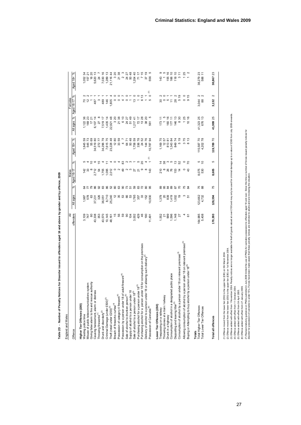| l                                                                                                                                        |
|------------------------------------------------------------------------------------------------------------------------------------------|
|                                                                                                                                          |
|                                                                                                                                          |
|                                                                                                                                          |
|                                                                                                                                          |
|                                                                                                                                          |
|                                                                                                                                          |
|                                                                                                                                          |
|                                                                                                                                          |
| l                                                                                                                                        |
|                                                                                                                                          |
| $\overline{a}$<br>í                                                                                                                      |
|                                                                                                                                          |
| I<br>j<br>l<br>I<br>l                                                                                                                    |
| i<br>ĺ                                                                                                                                   |
| í                                                                                                                                        |
| ֖֖֖֖֖֖֧֖֖֧ׅ֖֧֖֧֧֪֪֪֪֪֪֪֪֪֪ׅ֚֚֚֚֚֚֚֚֚֚֚֚֚֚֚֚֚֚֚֚֚֚֚֚֚֡֝֝֝֓֞֝֓֞֝<br>ć<br>7<br>֖ׅ֚֚֚֚֚֚֚֚֚֚֚֚֚֚֚֚֚֚֚֚֚֚֬֝֝֝֡֡֡֡֡֬֝֬֝֓֡֡֡֬֝֬֓֡֬֓֬֝֓֬֝֓֬֝֓֬֝֬ |

England and Wales England and Wales

|                                                                                                                                                                                                                                      | ₹                                               |                |                    | Males                                                   |                 |                               |                                               | Females                                |                                              |
|--------------------------------------------------------------------------------------------------------------------------------------------------------------------------------------------------------------------------------------|-------------------------------------------------|----------------|--------------------|---------------------------------------------------------|-----------------|-------------------------------|-----------------------------------------------|----------------------------------------|----------------------------------------------|
| Offence                                                                                                                                                                                                                              | offenders                                       | All ages       | $\%$               | Aged 16-17                                              | ೫               | $ \mathcal{S} $<br>Aged 18+   | %<br>All ages                                 | ℅<br>Aged 16-17                        | ∣৯<br>Aged 18+                               |
| Higher Tier Offences (£80)                                                                                                                                                                                                           |                                                 |                |                    |                                                         |                 |                               |                                               |                                        |                                              |
| Wasting police time                                                                                                                                                                                                                  | 3,109                                           | 1,987          |                    |                                                         |                 | 1,845                         | 1,122                                         |                                        |                                              |
| Misuse of public telecommunications system                                                                                                                                                                                           | 747                                             | 578            |                    | $\frac{43}{3}$                                          |                 | ន ឌ<br>545                    | 169                                           |                                        |                                              |
| Giving false alarm to fire and rescue authority                                                                                                                                                                                      | 80                                              | 63             |                    |                                                         |                 | 8<br>55                       | $\overline{17}$                               |                                        |                                              |
| Causing harassment, alarm or distress                                                                                                                                                                                                | 43,338                                          | 37,231         |                    | 2,712                                                   |                 | 80<br>34,519                  | ននក ± ∞<br>6,107                              | $52 - 8$ $\frac{1}{2}$ $\frac{1}{2}$   | $\frac{1,052}{157}$ 21<br>157 21<br>5,620 13 |
| Throwing fireworks <sup>(1)</sup>                                                                                                                                                                                                    | 353                                             | 326            |                    | $\overline{5}$ 4                                        |                 | 27277                         | 27                                            |                                        | 24 7                                         |
| Drunk and disorderly <sup>(2)</sup>                                                                                                                                                                                                  | 43,570                                          | 36,051         |                    | 1,755                                                   |                 | 34,296 79                     | 7,519 17                                      | 489                                    | 7,030 16                                     |
| Criminal Damage (under £500) <sup>(3)</sup>                                                                                                                                                                                          | 10,145                                          | 8,710          |                    | 1,095                                                   |                 | 7,61575                       | 1,435 14                                      | 146                                    | 1,289 13                                     |
| Theft (retail under £200) <sup>(3)</sup>                                                                                                                                                                                             | 48,161                                          | 25,240         |                    | 2,012                                                   |                 | 23,228 48                     | 22,921 48                                     | 805                                    | 21,116 44                                    |
| Breach of fireworks curfew <sup>(4)</sup>                                                                                                                                                                                            |                                                 | $\frac{2}{3}$  |                    |                                                         |                 | 8<br>$\frac{2}{3}$            |                                               |                                        |                                              |
| Possession of category 4 firework <sup>(4)</sup>                                                                                                                                                                                     |                                                 | 35             |                    |                                                         |                 | 59<br>$\overline{33}$         |                                               | $\circ$<br>$\circ$                     | 3 20<br>21 38<br>$\overline{z}$              |
| Possession by a person under 18 of adult firework <sup>(4)</sup><br>Sale of alcohol to drunken person <sup>(5)</sup>                                                                                                                 | $88882$                                         | 585            | 302888888888025888 |                                                         | 4740482315041   | r,<br>4                       | 2<br>ខិត 5<br>ខិត 2<br>ខិត                    | $\overline{ }$                         | $\omega$<br>$\sim$                           |
|                                                                                                                                                                                                                                      |                                                 |                |                    |                                                         |                 | 71<br>$rac{6}{4}$ $rac{6}{9}$ |                                               | $\circ$ $\sim$<br>4 ○                  |                                              |
| Supply of alcohol to a person under 18                                                                                                                                                                                               |                                                 |                |                    |                                                         |                 | 48                            |                                               |                                        | 24 27<br>50 48                               |
| $18^{(3)}$<br>Sale of alcohol to a person under                                                                                                                                                                                      | 3,002                                           | 1,785          |                    |                                                         |                 | 59<br>1,758                   | 21741                                         | $\circ$<br>$-2$                        | 204 40<br>71 17                              |
| Purchasing alcohol for a person under 18 <sup>(3)</sup>                                                                                                                                                                              | 429                                             | 357            |                    |                                                         |                 | 33678                         | $72 73$<br>$13 28$<br>$38 20$                 | $\circ$<br>$\overline{\phantom{0}}$    |                                              |
| Purchasing alcohol for a person under 18 for consumption on the premises                                                                                                                                                             | $\frac{6}{5}$                                   | 33             |                    |                                                         |                 | 52<br>$\overline{24}$         |                                               | 13<br>$\circ$                          | $\overline{ }$                               |
| Delivery of alcohol to a person under 18 or allowing such delivery <sup>(3)</sup>                                                                                                                                                    | 190                                             | 152            | 8 S                |                                                         |                 | 76<br>144                     |                                               | — თ                                    | 57                                           |
| Possession of Cannabis <sup>(6)</sup>                                                                                                                                                                                                | 11,491                                          | 930<br>≘       |                    | 143                                                     | ε               | रू<br>10,787                  | မာ<br>561                                     | $\circ$                                | 556<br>ε                                     |
| Lower Tier Offences (£50)                                                                                                                                                                                                            |                                                 |                |                    |                                                         |                 |                               |                                               |                                        |                                              |
| Trespassing on a railway                                                                                                                                                                                                             |                                                 | 1,379          |                    |                                                         |                 | 1,16975                       | H                                             |                                        |                                              |
| Throwing stones at a train / railway                                                                                                                                                                                                 |                                                 | $\overline{c}$ |                    |                                                         |                 | 57<br>$\frac{1}{2}$           | 160 16                                        | $\sim$ $\sim$                          |                                              |
| Drunk in a highway                                                                                                                                                                                                                   |                                                 | 839            |                    | $\frac{8}{2}$ $\frac{8}{2}$ $\frac{8}{2}$ $\frac{8}{2}$ |                 | $\overline{\infty}$<br>813    |                                               |                                        | $43 - 160$<br>$450$<br>$450$<br>$460$        |
| Consumption of alcohol in a designated public place                                                                                                                                                                                  |                                                 | 1,419          |                    |                                                         |                 | 1,34384                       | 17711                                         | $\overline{\phantom{0}}$<br>$800 = 58$ |                                              |
| Depositing and leaving litter <sup>(3)</sup>                                                                                                                                                                                         | $1.52$<br>$7.888$<br>$7.78$<br>$7.78$<br>$7.78$ | 1,002          |                    | $\frac{153}{4}$                                         |                 | 84974                         | $\begin{array}{c} 146 \\ 8 \\ 30 \end{array}$ | $\mathbf{\Omega}$                      | 55<br>118                                    |
| Consumption of alcohol by a person under 18 on relevant premises <sup>(3)</sup>                                                                                                                                                      | 21                                              | $\frac{6}{5}$  | 223352             |                                                         | င္း ကမ္းကို ေပး | 5 19                          |                                               | စ္<br>S                                | S                                            |
| Allowing consumption of alcohol by a person under 18 on relevant premises <sup>(3)</sup>                                                                                                                                             |                                                 |                | $75$ $34$          | $\circ$ $\frac{3}{4}$                                   |                 | S                             | 25<br>Ξ                                       | $\circ$                                | $\overline{\phantom{0}}$                     |
| Buying or Attempting to buy alcohol by a person under 18 <sup>(5)</sup>                                                                                                                                                              | 6                                               | 51             |                    |                                                         |                 | <b>75</b><br>13<br>$\infty$   | 10 16                                         | $\overline{5}$<br>$\circ$ $\circ$      | ಇ ಇ<br>$\overline{ }$                        |
| Totals                                                                                                                                                                                                                               |                                                 |                |                    |                                                         |                 |                               |                                               |                                        |                                              |
| Total Higher Tier Offences                                                                                                                                                                                                           | 164,985                                         | 123,662        |                    |                                                         |                 | 5<br>115,587                  |                                               | 3,044                                  |                                              |
| Total Lower Tier Offences                                                                                                                                                                                                            | 5,408                                           | 4,732          | 75<br>88           | 8,075<br>530                                            | မ ခ             | $\overline{78}$<br>4,202      | 41,323 25<br>676 13                           | $\sim$ $\sim$<br>88                    | <u>ឌ =</u><br>38,279                         |
|                                                                                                                                                                                                                                      |                                                 |                |                    |                                                         |                 |                               |                                               |                                        |                                              |
| Total all offences                                                                                                                                                                                                                   | 170,393                                         | 128,394        | 75                 | 8,605                                                   | Ю               | 2<br>119,789                  | 41,999 25                                     | 2<br>3,132                             | $\boldsymbol{\mathcal{Z}}$<br>38,867         |
| (1) Offence moved from the lower tier (£50) to the upper tier (£80) on 5th March 2004.                                                                                                                                               |                                                 |                |                    |                                                         |                 |                               |                                               |                                        |                                              |
| (2) Ofence moved from the lower fact (3) on the right), on 1st November 2004.<br>(3) Ofence added with effect from 1 November 2004. Perally notices are no Origer available for the divided and<br>(3) Ofence added with effect from |                                                 |                |                    |                                                         |                 |                               |                                               |                                        |                                              |
| (4) Offence added with effect from 11 October 2004.                                                                                                                                                                                  |                                                 |                |                    |                                                         |                 |                               |                                               |                                        |                                              |
| 12005.<br>Offence added with effect from 04 Apri<br>$\widehat{\mathfrak{G}}$                                                                                                                                                         |                                                 |                |                    |                                                         |                 |                               |                                               |                                        |                                              |
| (6) Offence added with effect form 27 January 2009.                                                                                                                                                                                  |                                                 |                |                    |                                                         |                 |                               |                                               |                                        |                                              |
| Revised statutory quidance on PNDs published in July 2009 limited the use of PNDs for cannabls possession to offerders aged 18 and over. Since this time a number of forces issued penalty notices for<br>G                          |                                                 |                |                    |                                                         |                 |                               |                                               |                                        |                                              |

**Criminal Statistics: England and Wales 2009** 

(7) Revised stattbory guidance on PNDs published in July 2009 imited the use of PNDs for carnatis possession to offerded saged 18 and over. Since this finne a number of forces issued panally notices for<br>disorder for posses

disorder for possession of cannabis to under 18's. Forces have been made aware that these penalty notices are restricted to adults and are reviewing the situation.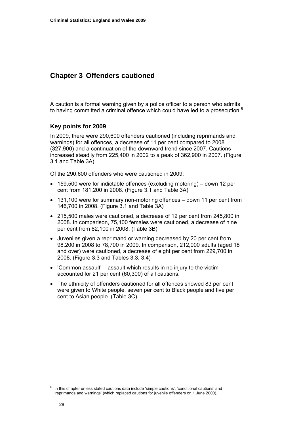### **Chapter 3 Offenders cautioned**

A caution is a formal warning given by a police officer to a person who admits to having committed a criminal offence which could have led to a prosecution.<sup>[6](#page-31-0)</sup>

#### **Key points for 2009**

In 2009, there were 290,600 offenders cautioned (including reprimands and warnings) for all offences, a decrease of 11 per cent compared to 2008 (327,900) and a continuation of the downward trend since 2007. Cautions increased steadily from 225,400 in 2002 to a peak of 362,900 in 2007. (Figure 3.1 and Table 3A)

Of the 290,600 offenders who were cautioned in 2009:

- 159,500 were for indictable offences (excluding motoring) down 12 per cent from 181,200 in 2008. (Figure 3.1 and Table 3A)
- 131,100 were for summary non-motoring offences down 11 per cent from 146,700 in 2008. (Figure 3.1 and Table 3A)
- 215,500 males were cautioned, a decrease of 12 per cent from 245,800 in 2008. In comparison, 75,100 females were cautioned, a decrease of nine per cent from 82,100 in 2008. (Table 3B)
- Juveniles given a reprimand or warning decreased by 20 per cent from 98,200 in 2008 to 78,700 in 2009. In comparison, 212,000 adults (aged 18 and over) were cautioned, a decrease of eight per cent from 229,700 in 2008. (Figure 3.3 and Tables 3.3, 3.4)
- 'Common assault' assault which results in no injury to the victim accounted for 21 per cent (60,300) of all cautions.
- The ethnicity of offenders cautioned for all offences showed 83 per cent were given to White people, seven per cent to Black people and five per cent to Asian people. (Table 3C)

 $\overline{a}$ 

<span id="page-31-0"></span><sup>6</sup> In this chapter unless stated cautions data include 'simple cautions', 'conditional cautions' and 'reprimands and warnings' (which replaced cautions for juvenile offenders on 1 June 2000).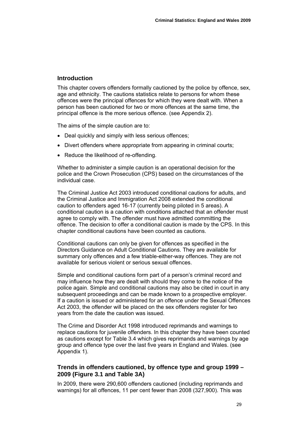#### **Introduction**

This chapter covers offenders formally cautioned by the police by offence, sex, age and ethnicity. The cautions statistics relate to persons for whom these offences were the principal offences for which they were dealt with. When a person has been cautioned for two or more offences at the same time, the principal offence is the more serious offence. (see [Appendix 2](#page-109-0)).

The aims of the simple caution are to:

- Deal quickly and simply with less serious offences:
- Divert offenders where appropriate from appearing in criminal courts;
- Reduce the likelihood of re-offending.

Whether to administer a simple caution is an operational decision for the police and the Crown Prosecution (CPS) based on the circumstances of the individual case.

The Criminal Justice Act 2003 introduced conditional cautions for adults, and the Criminal Justice and Immigration Act 2008 extended the conditional caution to offenders aged 16-17 (currently being piloted in 5 areas). A conditional caution is a caution with conditions attached that an offender must agree to comply with. The offender must have admitted committing the offence. The decision to offer a conditional caution is made by the CPS. In this chapter conditional cautions have been counted as cautions.

Conditional cautions can only be given for offences as specified in the Directors Guidance on Adult Conditional Cautions. They are available for summary only offences and a few triable-either-way offences. They are not available for serious violent or serious sexual offences.

Simple and conditional cautions form part of a person's criminal record and may influence how they are dealt with should they come to the notice of the police again. Simple and conditional cautions may also be cited in court in any subsequent proceedings and can be made known to a prospective employer. If a caution is issued or administered for an offence under the Sexual Offences Act 2003, the offender will be placed on the sex offenders register for two years from the date the caution was issued.

The Crime and Disorder Act 1998 introduced reprimands and warnings to replace cautions for juvenile offenders. In this chapter they have been counted as cautions except for Table 3.4 which gives reprimands and warnings by age group and offence type over the last five years in England and Wales. (see Appendix 1).

#### **Trends in offenders cautioned, by offence type and group 1999 – 2009 (Figure 3.1 and Table 3A)**

In 2009, there were 290,600 offenders cautioned (including reprimands and warnings) for all offences, 11 per cent fewer than 2008 (327,900). This was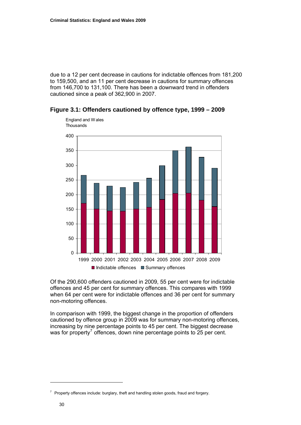due to a 12 per cent decrease in cautions for indictable offences from 181,200 to 159,500, and an 11 per cent decrease in cautions for summary offences from 146,700 to 131,100. There has been a downward trend in offenders cautioned since a peak of 362,900 in 2007.



**Figure 3.1: Offenders cautioned by offence type, 1999 – 2009** 

Of the 290,600 offenders cautioned in 2009, 55 per cent were for indictable offences and 45 per cent for summary offences. This compares with 1999 when 64 per cent were for indictable offences and 36 per cent for summary non-motoring offences.

In comparison with 1999, the biggest change in the proportion of offenders cautioned by offence group in 2009 was for summary non-motoring offences, increasing by nine percentage points to 45 per cent. The biggest decrease was for property<sup>[7](#page-33-0)</sup> offences, down nine percentage points to 25 per cent.

 $\overline{a}$ 

<span id="page-33-0"></span> $7$  Property offences include: burglary, theft and handling stolen goods, fraud and forgery.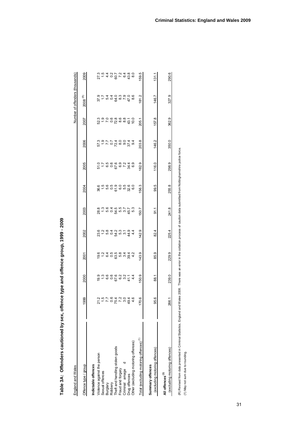Table 3A: Offenders cautioned by sex, offence type and offence group, 1999 - 2009 **Table 3A: Offenders cautioned by sex, offence type and offence group, 1999 - 2009**

| Ĩ |
|---|
|   |
|   |
| ā |
|   |
| г |
| г |
|   |
|   |
|   |
|   |
|   |
|   |

| 2000  | 2001                                                       | 2002  | 2003                                                                          | 2004                                                                    | 2005                                                                                                                                                                                                                                                                                                                | 2006  | 2007                            | $2008$ <sup>(R)</sup>                                       | 2009                                                        |
|-------|------------------------------------------------------------|-------|-------------------------------------------------------------------------------|-------------------------------------------------------------------------|---------------------------------------------------------------------------------------------------------------------------------------------------------------------------------------------------------------------------------------------------------------------------------------------------------------------|-------|---------------------------------|-------------------------------------------------------------|-------------------------------------------------------------|
|       |                                                            |       |                                                                               |                                                                         |                                                                                                                                                                                                                                                                                                                     |       |                                 |                                                             |                                                             |
|       |                                                            |       |                                                                               |                                                                         |                                                                                                                                                                                                                                                                                                                     |       |                                 |                                                             |                                                             |
|       |                                                            |       |                                                                               |                                                                         |                                                                                                                                                                                                                                                                                                                     |       |                                 |                                                             |                                                             |
|       |                                                            |       |                                                                               |                                                                         |                                                                                                                                                                                                                                                                                                                     |       |                                 |                                                             |                                                             |
|       |                                                            |       |                                                                               |                                                                         |                                                                                                                                                                                                                                                                                                                     |       |                                 |                                                             |                                                             |
|       |                                                            |       |                                                                               |                                                                         |                                                                                                                                                                                                                                                                                                                     |       |                                 |                                                             | 7 – 4 0 8 L 0 3 8<br>2 – 4 0 8 L 0 3 8                      |
|       |                                                            |       |                                                                               |                                                                         |                                                                                                                                                                                                                                                                                                                     |       |                                 |                                                             |                                                             |
|       |                                                            |       |                                                                               |                                                                         |                                                                                                                                                                                                                                                                                                                     |       |                                 |                                                             |                                                             |
|       |                                                            |       |                                                                               |                                                                         |                                                                                                                                                                                                                                                                                                                     |       |                                 |                                                             |                                                             |
|       |                                                            |       |                                                                               |                                                                         |                                                                                                                                                                                                                                                                                                                     |       |                                 |                                                             |                                                             |
| 150.9 | 143.9                                                      | 142.9 | 150.7                                                                         | 56.3                                                                    | 182.9                                                                                                                                                                                                                                                                                                               | 203.8 | 205.1                           | 181.2                                                       | 159.5                                                       |
| 88    | 85.9                                                       | 82.4  | $\frac{1}{5}$                                                                 | 99.5                                                                    | 116.0                                                                                                                                                                                                                                                                                                               | 146.2 | 157.8                           | 146.                                                        | <u>នា</u> ់                                                 |
| 239.0 | 229.9                                                      | 225.4 | 241.8                                                                         | 255.8                                                                   | 298.9                                                                                                                                                                                                                                                                                                               | 350.0 | 362.9                           | 327.9                                                       | 290.6                                                       |
|       | c c c c c c t 4<br>c c c c c c c t 4<br>စ္ -<br>၁ -<br>၁ - |       | co ci eo ci eo ci eo ci<br>co ci eo ci eo ci eo ci<br>co ci eo ci eo ci eo ci | ca di ci ci ci<br>ci ci ci ci ci ci<br>ci ci ci ci ci ci<br>28.3<br>1.3 | $\frac{1}{6}$ $\frac{1}{6}$ $\frac{1}{6}$ $\frac{1}{6}$ $\frac{1}{6}$ $\frac{1}{6}$ $\frac{1}{6}$ $\frac{1}{6}$ $\frac{1}{6}$ $\frac{1}{6}$ $\frac{1}{6}$ $\frac{1}{6}$ $\frac{1}{6}$ $\frac{1}{6}$ $\frac{1}{6}$ $\frac{1}{6}$ $\frac{1}{6}$ $\frac{1}{6}$ $\frac{1}{6}$ $\frac{1}{6}$ $\frac{1}{6}$ $\frac{1}{6}$ |       | r<br>Surrado 4 a<br>Surrado 4 a | 0. 6. 8. 8. 8. 7. 0.<br>0. 6. 8. 8. 8. 7. 0.<br>52.3<br>1.9 | 9 1 4 4 6 9 9 6 9<br>9 1 4 4 6 9 9 6 6<br>9 1 4 4 6 9 9 6 6 |

(R) Revised from data presented in Criminal Statistics, England and Wales 2008. There was an error in the collation process of caution data submitted from Nottinghamshire police force.<br>(1) May not sumdue to rounding. (R) Revised from data presented in Criminal Statistics, England and Wales 2008. There was an error in the collation process of caution data submitted from Nottinghamshire police force.

(1) May not sum due to rounding.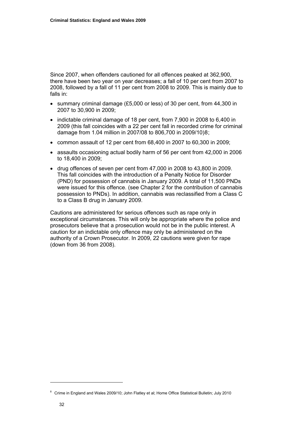Since 2007, when offenders cautioned for all offences peaked at 362,900, there have been two year on year decreases; a fall of 10 per cent from 2007 to 2008, followed by a fall of 11 per cent from 2008 to 2009. This is mainly due to falls in:

- $\bullet$  summary criminal damage (£5,000 or less) of 30 per cent, from 44,300 in 2007 to 30,900 in 2009;
- indictable criminal damage of 18 per cent, from 7,900 in 2008 to 6,400 in 2009 (this fall coincides with a 22 per cent fall in recorded crime for criminal damage from 1.04 million in 2007/08 to 806,700 in 2009/10)[8](#page-35-0);
- common assault of 12 per cent from 68,400 in 2007 to 60,300 in 2009;
- assaults occasioning actual bodily harm of 56 per cent from 42,000 in 2006 to 18,400 in 2009;
- drug offences of seven per cent from 47,000 in 2008 to 43,800 in 2009. This fall coincides with the introduction of a Penalty Notice for Disorder (PND) for possession of cannabis in January 2009. A total of 11,500 PNDs were issued for this offence. (see Chapter 2 for the contribution of cannabis possession to PNDs). In addition, cannabis was reclassified from a Class C to a Class B drug in January 2009.

Cautions are administered for serious offences such as rape only in exceptional circumstances. This will only be appropriate where the police and prosecutors believe that a prosecution would not be in the public interest. A caution for an indictable only offence may only be administered on the authority of a Crown Prosecutor. In 2009, 22 cautions were given for rape (down from 36 from 2008).

 $\overline{a}$ 

<span id="page-35-0"></span> $8$  Crime in England and Wales 2009/10; John Flatley et al; Home Office Statistical Bulletin; July 2010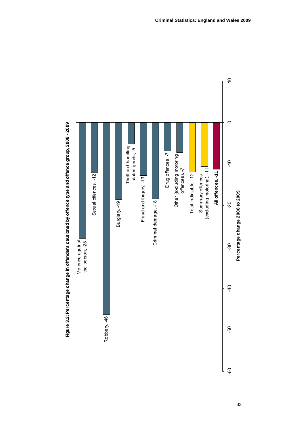

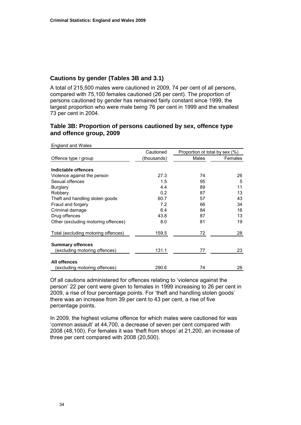## **Cautions by gender (Tables 3B and 3.1)**

A total of 215,500 males were cautioned in 2009, 74 per cent of all persons, compared with 75,100 females cautioned (26 per cent). The proportion of persons cautioned by gender has remained fairly constant since 1999, the largest proportion who were male being 76 per cent in 1999 and the smallest 73 per cent in 2004.

### **Table 3B: Proportion of persons cautioned by sex, offence type and offence group, 2009**

| England and Wales                   |             |                                |         |
|-------------------------------------|-------------|--------------------------------|---------|
|                                     | Cautioned   | Proportion ot total by sex (%) |         |
| Offence type / group                | (thousands) | Males                          | Females |
| Indictable offences                 |             |                                |         |
| Violence against the person         | 27.3        | 74                             | 26      |
| Sexual offences                     | 1.5         | 95                             | 5       |
| <b>Burglary</b>                     | 4.4         | 89                             | 11      |
| Robbery                             | 0.2         | 87                             | 13      |
| Theft and handling stolen goods     | 60.7        | 57                             | 43      |
| Fraud and forgery                   | 7.2         | 66                             | 34      |
| Criminal damage                     | 6.4         | 84                             | 16      |
| Drug offences                       | 43.8        | 87                             | 13      |
| Other (excluding motoring offences) | 8.0         | 81                             | 19      |
| Total (excluding motoring offences) | 159.5       | 72                             | 28      |
| <b>Summary offences</b>             |             |                                |         |
| (excluding motoring offences)       | 131.1       | 77                             | 23      |
| <b>All offences</b>                 |             |                                |         |
| (excluding motoring offences)       | 290.6       | 74                             | 26      |

Of all cautions administered for offences relating to 'violence against the person' 22 per cent were given to females in 1999 increasing to 26 per cent in 2009, a rise of four percentage points. For 'theft and handling stolen goods' there was an increase from 39 per cent to 43 per cent, a rise of five percentage points.

In 2009, the highest volume offence for which males were cautioned for was 'common assault' at 44,700, a decrease of seven per cent compared with 2008 (48,100). For females it was 'theft from shops' at 21,200, an increase of three per cent compared with 2008 (20,500).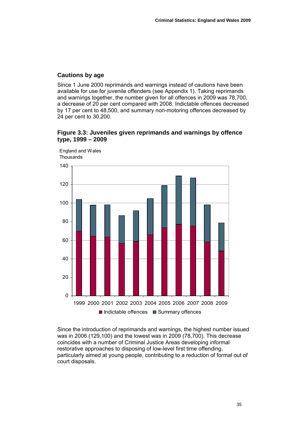## **Cautions by age**

Since 1 June 2000 reprimands and warnings instead of cautions have been available for use for juvenile offenders (see Appendix 1). Taking reprimands and warnings together, the number given for all offences in 2009 was 78,700, a decrease of 20 per cent compared with 2008. Indictable offences decreased by 17 per cent to 48,500, and summary non-motoring offences decreased by 24 per cent to 30,200.

#### **Figure 3.3: Juveniles given reprimands and warnings by offence type, 1999 – 2009**



England and Wales **Thousands** 

Since the introduction of reprimands and warnings, the highest number issued was in 2006 (129,100) and the lowest was in 2009 (78,700). This decrease coincides with a number of Criminal Justice Areas developing informal restorative approaches to disposing of low-level first time offending, particularly aimed at young people, contributing to a reduction of formal out of court disposals.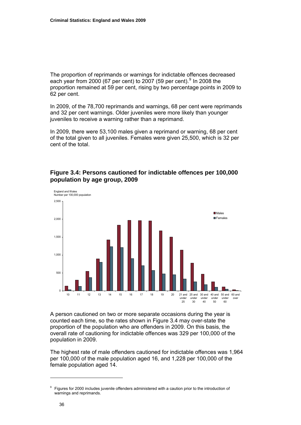The proportion of reprimands or warnings for indictable offences decreased each year from 2000 (67 per cent) to 2007 (5[9](#page-39-0) per cent). <sup>9</sup> In 2008 the proportion remained at 59 per cent, rising by two percentage points in 2009 to 62 per cent.

In 2009, of the 78,700 reprimands and warnings, 68 per cent were reprimands and 32 per cent warnings. Older juveniles were more likely than younger juveniles to receive a warning rather than a reprimand.

In 2009, there were 53,100 males given a reprimand or warning, 68 per cent of the total given to all juveniles. Females were given 25,500, which is 32 per cent of the total.

### **Figure 3.4: Persons cautioned for indictable offences per 100,000 population by age group, 2009**



A person cautioned on two or more separate occasions during the year is counted each time, so the rates shown in Figure 3.4 may over-state the proportion of the population who are offenders in 2009. On this basis, the overall rate of cautioning for indictable offences was 329 per 100,000 of the population in 2009.

The highest rate of male offenders cautioned for indictable offences was 1,964 per 100,000 of the male population aged 16, and 1,228 per 100,000 of the female population aged 14.

 $\overline{a}$ 

<span id="page-39-0"></span><sup>9</sup> Figures for 2000 includes juvenile offenders administered with a caution prior to the introduction of warnings and reprimands.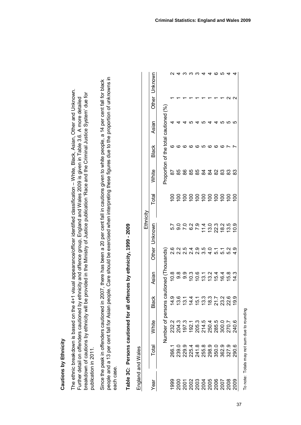**Cautions by Ethnicity Cautions by Ethnicity**

The ethnic breakdown is based on the 4+1 visual appearance/officer identified classification – White, Black, Asian, Other and Unknown. The ethnic breakdown is based on the 4+1 visual appearance/officer identified classification - White, Black, Asian, Other and Unknown. breakdown of cautions by ethnicity will be provided in the Ministry of Justice publication 'Race and the Criminal Justice System' due for breakdown of cautions by ethnicity will be provided in the Ministry of Justice publication 'Race and the Criminal Justice System' due for Further detail on offenders cautioned by ethnicity and offence group, England and Wales 2009 is given in Table 3.6. A more detailed Further detail on offenders cautioned by ethnicity and offence group, England and Wales 2009 is given in Table 3.6. A more detailed publication in 2011. publication in 2011.

people and a 13 per cent fall for Asian people. Care should be exercised when interpreting these figures due to the proportion of unknowns in people and a 13 per cent fall for Asian people. Care should be exercised when interpreting these figures due to the proportion of unknowns in Since the peak in offenders cautioned in 2007, there has been a 20 per cent fall in cautions given to white people, a 14 per cent fall for black Since the peak in offenders cautioned in 2007, there has been a 20 per cent fall in cautions given to white people, a 14 per cent fall for black each case. each case.

Table 3C: Persons cautioned for all offences by ethnicity, 1999 - 2009 **Table 3C: Persons cautioned for all offences by ethnicity, 1999 - 2009**  $\mathbf{I}$ 

England and Wales England and Wales

|      |              |                   |                                                         |               |                           | Fthnicit                     |              |                           |          |                                      |              |
|------|--------------|-------------------|---------------------------------------------------------|---------------|---------------------------|------------------------------|--------------|---------------------------|----------|--------------------------------------|--------------|
| Year | <b>Total</b> | Mhite             | Black                                                   | Asian         | Iner<br>Other             | Linknowr                     | <b>Total</b> | Mhite                     | Black    | Asian                                | Other Unknow |
|      |              | Number of persons |                                                         | c<br>C        | pusands                   |                              |              |                           |          | roportion of the total cautioned (%) |              |
|      |              |                   |                                                         |               |                           |                              |              |                           | ဖ        |                                      |              |
|      |              |                   |                                                         |               |                           |                              |              |                           | ဖ        |                                      |              |
|      |              |                   |                                                         |               | 6254950112961 10510000000 | ちゅうえいせいどうかい しょうしょう しょうしょうしょう |              | 8 8 8 8 8 8 8 8 8 8 8 8 8 | ဖ        |                                      |              |
|      |              |                   |                                                         |               |                           |                              |              |                           | ဖ        |                                      |              |
|      |              |                   |                                                         |               |                           |                              |              |                           | ဖ        |                                      |              |
|      |              |                   |                                                         |               |                           |                              |              |                           | <u>က</u> |                                      |              |
|      |              |                   |                                                         |               |                           |                              |              |                           | ဖ        |                                      |              |
|      |              |                   |                                                         |               |                           |                              |              |                           | ဖ        |                                      |              |
|      |              |                   |                                                         |               |                           |                              |              |                           | ဖ        |                                      |              |
|      |              |                   |                                                         |               |                           |                              |              |                           |          |                                      |              |
|      |              |                   | 9. 9 1 1 1 1 3 3 4 5 6 7 8 9<br>4 7 9 4 5 6 7 9 7 9 9 9 | $\frac{3}{4}$ |                           |                              |              |                           |          |                                      |              |

37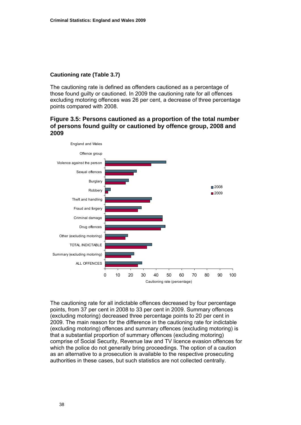#### **Cautioning rate (Table 3.7)**

The cautioning rate is defined as offenders cautioned as a percentage of those found guilty or cautioned. In 2009 the cautioning rate for all offences excluding motoring offences was 26 per cent, a decrease of three percentage points compared with 2008.

### **Figure 3.5: Persons cautioned as a proportion of the total number of persons found guilty or cautioned by offence group, 2008 and 2009**



The cautioning rate for all indictable offences decreased by four percentage points, from 37 per cent in 2008 to 33 per cent in 2009. Summary offences (excluding motoring) decreased three percentage points to 20 per cent in 2009. The main reason for the difference in the cautioning rate for indictable (excluding motoring) offences and summary offences (excluding motoring) is that a substantial proportion of summary offences (excluding motoring) comprise of Social Security, Revenue law and TV licence evasion offences for which the police do not generally bring proceedings. The option of a caution as an alternative to a prosecution is available to the respective prosecuting authorities in these cases, but such statistics are not collected centrally.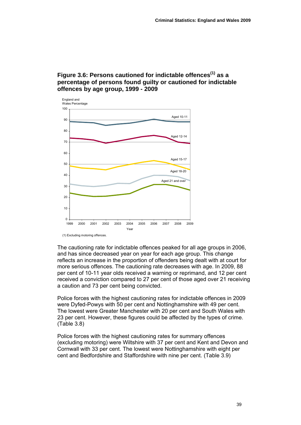## Figure 3.6: Persons cautioned for indictable offences<sup>(1)</sup> as a **percentage of persons found guilty or cautioned for indictable offences by age group, 1999 - 2009**



(1) Excluding motoring offences.

The cautioning rate for indictable offences peaked for all age groups in 2006, and has since decreased year on year for each age group. This change reflects an increase in the proportion of offenders being dealt with at court for more serious offences. The cautioning rate decreases with age. In 2009, 88 per cent of 10-11 year olds received a warning or reprimand, and 12 per cent received a conviction compared to 27 per cent of those aged over 21 receiving a caution and 73 per cent being convicted.

Police forces with the highest cautioning rates for indictable offences in 2009 were Dyfed-Powys with 50 per cent and Nottinghamshire with 49 per cent. The lowest were Greater Manchester with 20 per cent and South Wales with 23 per cent. However, these figures could be affected by the types of crime. (Table 3.8)

Police forces with the highest cautioning rates for summary offences (excluding motoring) were Wiltshire with 37 per cent and Kent and Devon and Cornwall with 33 per cent. The lowest were Nottinghamshire with eight per cent and Bedfordshire and Staffordshire with nine per cent. (Table 3.9)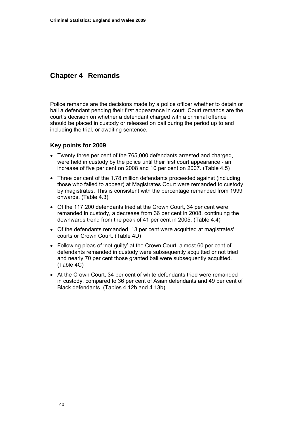# **Chapter 4 Remands**

Police remands are the decisions made by a police officer whether to detain or bail a defendant pending their first appearance in court. Court remands are the court's decision on whether a defendant charged with a criminal offence should be placed in custody or released on bail during the period up to and including the trial, or awaiting sentence.

#### **Key points for 2009**

- Twenty three per cent of the 765,000 defendants arrested and charged, were held in custody by the police until their first court appearance - an increase of five per cent on 2008 and 10 per cent on 2007. (Table 4.5)
- Three per cent of the 1.78 million defendants proceeded against (including those who failed to appear) at Magistrates Court were remanded to custody by magistrates. This is consistent with the percentage remanded from 1999 onwards. (Table 4.3)
- Of the 117,200 defendants tried at the Crown Court, 34 per cent were remanded in custody, a decrease from 36 per cent in 2008, continuing the downwards trend from the peak of 41 per cent in 2005. (Table 4.4)
- Of the defendants remanded, 13 per cent were acquitted at magistrates' courts or Crown Court. (Table 4D)
- Following pleas of 'not guilty' at the Crown Court, almost 60 per cent of defendants remanded in custody were subsequently acquitted or not tried and nearly 70 per cent those granted bail were subsequently acquitted. (Table 4C)
- At the Crown Court, 34 per cent of white defendants tried were remanded in custody, compared to 36 per cent of Asian defendants and 49 per cent of Black defendants. (Tables 4.12b and 4.13b)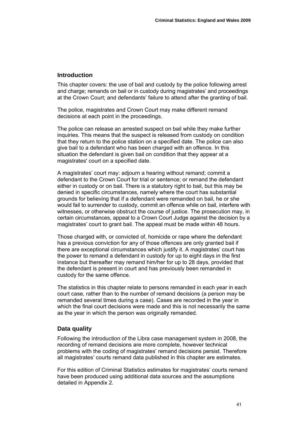#### **Introduction**

This chapter covers: the use of bail and custody by the police following arrest and charge; remands on bail or in custody during magistrates' and proceedings at the Crown Court; and defendants' failure to attend after the granting of bail.

The police, magistrates and Crown Court may make different remand decisions at each point in the proceedings.

The police can release an arrested suspect on bail while they make further inquiries. This means that the suspect is released from custody on condition that they return to the police station on a specified date. The police can also give bail to a defendant who has been charged with an offence. In this situation the defendant is given bail on condition that they appear at a magistrates' court on a specified date.

A magistrates' court may: adjourn a hearing without remand; commit a defendant to the Crown Court for trial or sentence; or remand the defendant either in custody or on bail. There is a statutory right to bail, but this may be denied in specific circumstances, namely where the court has substantial grounds for believing that if a defendant were remanded on bail, he or she would fail to surrender to custody, commit an offence while on bail, interfere with witnesses, or otherwise obstruct the course of justice. The prosecution may, in certain circumstances, appeal to a Crown Court Judge against the decision by a magistrates' court to grant bail. The appeal must be made within 48 hours.

Those charged with, or convicted of, homicide or rape where the defendant has a previous conviction for any of those offences are only granted bail if there are exceptional circumstances which justify it. A magistrates' court has the power to remand a defendant in custody for up to eight days in the first instance but thereafter may remand him/her for up to 28 days, provided that the defendant is present in court and has previously been remanded in custody for the same offence.

The statistics in this chapter relate to persons remanded in each year in each court case, rather than to the number of remand decisions (a person may be remanded several times during a case). Cases are recorded in the year in which the final court decisions were made and this is not necessarily the same as the year in which the person was originally remanded.

#### **Data quality**

Following the introduction of the Libra case management system in 2008, the recording of remand decisions are more complete, however technical problems with the coding of magistrates' remand decisions persist. Therefore all magistrates' courts remand data published in this chapter are estimates.

For this edition of Criminal Statistics estimates for magistrates' courts remand have been produced using additional data sources and the assumptions detailed in Appendix 2.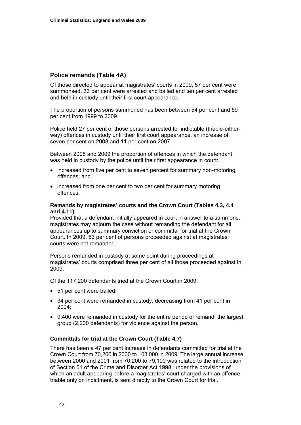## **Police remands (Table 4A)**

Of those directed to appear at magistrates' courts in 2009, 57 per cent were summonsed, 33 per cent were arrested and bailed and ten per cent arrested and held in custody until their first court appearance.

The proportion of persons summoned has been between 54 per cent and 59 per cent from 1999 to 2009.

Police held 27 per cent of those persons arrested for indictable (triable-eitherway) offences in custody until their first court appearance, an increase of seven per cent on 2008 and 11 per cent on 2007.

Between 2008 and 2009 the proportion of offences in which the defendant was held in custody by the police until their first appearance in court:

- increased from five per cent to seven percent for summary non-motoring offences; and
- increased from one per cent to two per cent for summary motoring offences.

#### **Remands by magistrates' courts and the Crown Court (Tables 4.3, 4.4 and 4.11)**

Provided that a defendant initially appeared in court in answer to a summons, magistrates may adjourn the case without remanding the defendant for all appearances up to summary conviction or committal for trial at the Crown Court. In 2009, 63 per cent of persons proceeded against at magistrates' courts were not remanded.

Persons remanded in custody at some point during proceedings at magistrates' courts comprised three per cent of all those proceeded against in 2009.

Of the 117,200 defendants tried at the Crown Court in 2009:

- 51 per cent were bailed;
- 34 per cent were remanded in custody, decreasing from 41 per cent in 2004;
- 9,400 were remanded in custody for the entire period of remand, the largest group (2,200 defendants) for violence against the person.

#### **Committals for trial at the Crown Court (Table 4.7)**

There has been a 47 per cent increase in defendants committed for trial at the Crown Court from 70,200 in 2000 to 103,000 in 2009. The large annual increase between 2000 and 2001 from 70,200 to 79,100 was related to the introduction of Section 51 of the Crime and Disorder Act 1998, under the provisions of which an adult appearing before a magistrates' court charged with an offence triable only on indictment, is sent directly to the Crown Court for trial.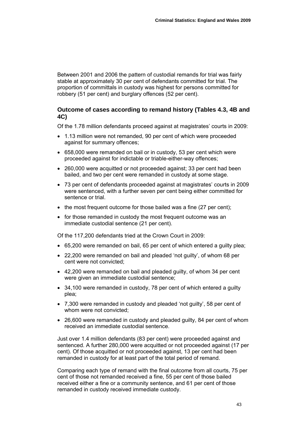Between 2001 and 2006 the pattern of custodial remands for trial was fairly stable at approximately 30 per cent of defendants committed for trial. The proportion of committals in custody was highest for persons committed for robbery (51 per cent) and burglary offences (52 per cent).

### **Outcome of cases according to remand history (Tables 4.3, 4B and 4C)**

Of the 1.78 million defendants proceed against at magistrates' courts in 2009:

- 1.13 million were not remanded, 90 per cent of which were proceeded against for summary offences;
- 658,000 were remanded on bail or in custody, 53 per cent which were proceeded against for indictable or triable-either-way offences;
- 260,000 were acquitted or not proceeded against; 33 per cent had been bailed, and two per cent were remanded in custody at some stage.
- 73 per cent of defendants proceeded against at magistrates' courts in 2009 were sentenced, with a further seven per cent being either committed for sentence or trial.
- $\bullet$  the most frequent outcome for those bailed was a fine (27 per cent);
- for those remanded in custody the most frequent outcome was an immediate custodial sentence (21 per cent).

Of the 117,200 defendants tried at the Crown Court in 2009:

- 65,200 were remanded on bail, 65 per cent of which entered a guilty plea;
- 22,200 were remanded on bail and pleaded 'not guilty', of whom 68 per cent were not convicted;
- 42,200 were remanded on bail and pleaded guilty, of whom 34 per cent were given an immediate custodial sentence:
- 34,100 were remanded in custody, 78 per cent of which entered a guilty plea;
- 7,300 were remanded in custody and pleaded 'not guilty', 58 per cent of whom were not convicted;
- 26,600 were remanded in custody and pleaded guilty, 84 per cent of whom received an immediate custodial sentence.

Just over 1.4 million defendants (83 per cent) were proceeded against and sentenced. A further 280,000 were acquitted or not proceeded against (17 per cent). Of those acquitted or not proceeded against, 13 per cent had been remanded in custody for at least part of the total period of remand.

Comparing each type of remand with the final outcome from all courts, 75 per cent of those not remanded received a fine, 55 per cent of those bailed received either a fine or a community sentence, and 61 per cent of those remanded in custody received immediate custody.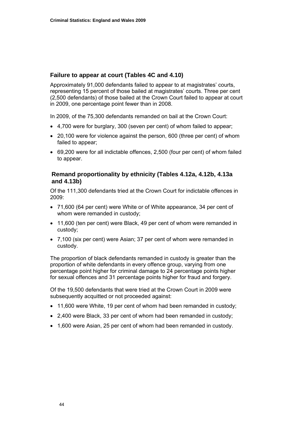## **Failure to appear at court (Tables 4C and 4.10)**

Approximately 91,000 defendants failed to appear to at magistrates' courts, representing 15 percent of those bailed at magistrates' courts. Three per cent (2,500 defendants) of those bailed at the Crown Court failed to appear at court in 2009, one percentage point fewer than in 2008.

In 2009, of the 75,300 defendants remanded on bail at the Crown Court:

- 4,700 were for burglary, 300 (seven per cent) of whom failed to appear;
- 20,100 were for violence against the person, 600 (three per cent) of whom failed to appear;
- 69,200 were for all indictable offences, 2,500 (four per cent) of whom failed to appear.

## **Remand proportionality by ethnicity (Tables 4.12a, 4.12b, 4.13a and 4.13b)**

Of the 111,300 defendants tried at the Crown Court for indictable offences in 2009:

- 71,600 (64 per cent) were White or of White appearance, 34 per cent of whom were remanded in custody;
- 11,600 (ten per cent) were Black, 49 per cent of whom were remanded in custody;
- 7,100 (six per cent) were Asian; 37 per cent of whom were remanded in custody.

The proportion of black defendants remanded in custody is greater than the proportion of white defendants in every offence group, varying from one percentage point higher for criminal damage to 24 percentage points higher for sexual offences and 31 percentage points higher for fraud and forgery.

Of the 19,500 defendants that were tried at the Crown Court in 2009 were subsequently acquitted or not proceeded against:

- 11,600 were White, 19 per cent of whom had been remanded in custody;
- 2,400 were Black, 33 per cent of whom had been remanded in custody;
- 1,600 were Asian, 25 per cent of whom had been remanded in custody.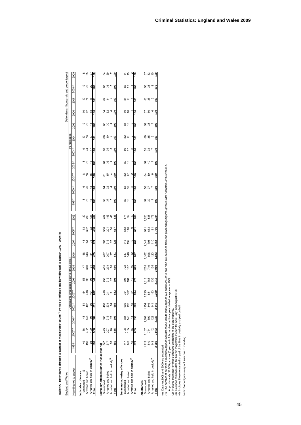|                                             |               |                     |                    | Defendan            |                        | its proceeded against (thousands) |               |                  |                  |                             |                                                                                                                               |              |                                 |                                                             |              |              | Percentages |              |            |      |              | Defendants (thousands and percentages) |
|---------------------------------------------|---------------|---------------------|--------------------|---------------------|------------------------|-----------------------------------|---------------|------------------|------------------|-----------------------------|-------------------------------------------------------------------------------------------------------------------------------|--------------|---------------------------------|-------------------------------------------------------------|--------------|--------------|-------------|--------------|------------|------|--------------|----------------------------------------|
| How directed to appear                      | $1999^{(2)}$  | 2000 <sup>(2)</sup> | 2001 <sup>16</sup> | 2002 <sup>(2)</sup> | $2003^{(2)}$           | <b>2004</b>                       | 2005          | 2006             | 2007             | $2008^{(3)}$                | 2009                                                                                                                          | $1999^{(2)}$ | $2000^{(2)}$                    | $2001^{(2)}$                                                | $2002^{(2)}$ | $2003^{(2)}$ | 2004        | 2005         | 2006       | 2007 | $2008^{(3)}$ | 2009                                   |
| Indictable offences                         |               |                     |                    |                     |                        |                                   |               |                  |                  |                             |                                                                                                                               |              |                                 |                                                             |              |              |             |              |            |      |              |                                        |
| S<br>unnmoned                               |               | శి                  |                    | 5                   |                        |                                   |               |                  |                  |                             |                                                                                                                               |              |                                 |                                                             |              |              |             |              |            |      |              |                                        |
| Arrested and bailed                         | 450           | 432                 | 448                | 462                 |                        | 56<br>395                         |               |                  |                  |                             |                                                                                                                               | ® 12 @       |                                 |                                                             | ∞ ೯ ಕ        | いちい          | ことこ         | စ <u>ည</u> ဆ |            | 546  |              |                                        |
| Arrested and held in custody <sup>(4)</sup> | 8             | $\frac{8}{2}$       | 5                  | 99                  | 효 휵 호 <mark> </mark> 8 | ္တ                                | $489$ $25$    | 4348             | 48.78            | ង ខ្លី ឌុ <mark>ឌ</mark> ្ន | ន ខ្លួ ឆ្នួ                                                                                                                   |              | 088                             | 889                                                         |              |              |             |              | 5 k a      |      | 98           | $\degree$ & $\frac{5}{10}$             |
| Total                                       | នី            | 568                 | 587                | 611                 |                        | 54                                | 498           | 475              | 474              |                             |                                                                                                                               | ទី           | $\frac{100}{2}$                 | ខ្ព                                                         | 8            | <u>ទ</u>     | ខ្ព         | 8            | Ιā         | ខ្ទ  | <u>ទ</u>     |                                        |
| Summary offences (other than motoring)      |               |                     |                    |                     |                        |                                   |               |                  |                  |                             |                                                                                                                               |              |                                 |                                                             |              |              |             |              |            |      |              |                                        |
| Summoned                                    | 18            |                     |                    | 408                 |                        |                                   |               |                  |                  |                             |                                                                                                                               |              |                                 |                                                             |              |              |             |              |            |      |              |                                        |
| Arrested and bailed                         | 217           | 423<br>207          | 368<br>215         | 233                 | $410$<br>241           | 82 x                              | 38<br>38      | 12<br>195        | 387<br>215<br>25 | ន្លូក្តូ ន                  | <u>ក្ខិ ឌូ ងន្រ</u> ី                                                                                                         | შ ს<br>გ     | 요 3 4                           | 284                                                         | <b>2224</b>  | ၉ မှ စ       | 88          | 88           | ढ २३ व     | 2 2  | <b>885</b>   | $280 -$                                |
| Arrested and held in custody <sup>(4)</sup> | 28            | 26                  | $^{23}$            | 24                  | $\overline{5}$         |                                   |               |                  |                  |                             |                                                                                                                               |              |                                 |                                                             |              |              | 4           | 4            |            | 4    |              |                                        |
| Total                                       | ត្ត           | 655                 | 606                | 885                 | 682                    | 695                               | 666           | 541              | 626              | 617                         |                                                                                                                               | <u>ខ</u>     | ខ្ព                             | ខ្ព                                                         | 8            | <u>ទ</u>     | ខ្ព         | ខ្           | ខ្ព        | ទី   | 8            | ls                                     |
| Summary motoring offences                   |               |                     |                    |                     |                        |                                   |               |                  |                  |                             |                                                                                                                               |              |                                 |                                                             |              |              |             |              |            |      |              |                                        |
| Summoned                                    | 717           | 708                 | 684                | 695                 |                        |                                   |               |                  |                  |                             |                                                                                                                               |              |                                 |                                                             |              |              |             |              |            |      |              |                                        |
| Arrested and bailed                         | 143           | 135                 | 140                | 152                 | ក្ខ 2<br>វ             | 98<br>19<br>19<br>19              | 722<br>157    | 847<br>148<br>12 | 6790             | 320                         | 589                                                                                                                           | 8 m s        | $\frac{20}{20}$ $\frac{20}{20}$ | $\mathbb{S} \stackrel{\sim}{\scriptstyle\sim}$ $\mathbb{S}$ | ೫ ಹೆ         | 8 는 ~        | 8 m s       | 5 @ 2        | <u>ន ទ</u> | - 85 | 2 는 -        | $\frac{36}{5}$ $\frac{10}{5}$          |
| Arrested and held in custody <sup>(4)</sup> | $\frac{8}{2}$ | $\overline{6}$      | $\frac{4}{4}$      | $\frac{8}{1}$       |                        |                                   | $\frac{6}{2}$ |                  |                  |                             |                                                                                                                               |              |                                 |                                                             |              |              |             |              |            |      |              |                                        |
| Total                                       | 879           | 859                 | 838                | 865                 | 34                     | 976                               | 895           | 208              | 763              | <u>يع</u>                   | 684                                                                                                                           | °0           | ខ្ទ                             | ខ្ព                                                         | ទី           | <u>ទ</u>     | ខ្ព         | ខ្ទ          | ខ្ព        | ខ្ទ  | ខ្ព          |                                        |
| All offences                                |               |                     |                    |                     |                        |                                   |               |                  |                  |                             |                                                                                                                               |              |                                 |                                                             |              |              |             |              |            |      |              |                                        |
| Summoned                                    | 1,113         | 1,167<br>774        | 1,101              | 1,154               | <b>្តុ</b><br>នភ       | <sup>313</sup><br>768             | 1,205<br>719  | $\frac{2}{3}$ 88 | SOZ<br>670       |                             |                                                                                                                               |              |                                 |                                                             |              |              |             |              |            |      |              |                                        |
| Arrested and bailed                         | 810           |                     | 803                | 846                 |                        |                                   |               |                  |                  |                             |                                                                                                                               | ដ ឌ "        | 5<br>5<br>5<br>5<br>7           | 460                                                         | 요 승 r        | ង ឌ -        | ಠಿ ಇ ಂ      | ន ន •        | 9 % g      |      | <b>၆ % ®</b> |                                        |
| Arrested and held in custody <sup>(4)</sup> | 143           | 142                 | 128                | 141                 | 153                    | 135                               | 135           | 123              | 110              | 5 3 5<br>5 3 5              | $\frac{1}{2}$ $\frac{1}{2}$ $\frac{1}{2}$ $\frac{1}{2}$ $\frac{1}{2}$ $\frac{1}{2}$ $\frac{1}{2}$ $\frac{1}{2}$ $\frac{1}{2}$ |              |                                 |                                                             |              |              |             |              |            |      |              | <mark>ទ</mark> ីុន ជ                   |
| Total                                       | 2,066         | 2,082               | 2.032              | 2,141               | 2,219                  | 2,215                             | 2,060         | .923             | .864             | 736                         |                                                                                                                               | ខ្ព          | ខ្ព                             | ខ្ទ                                                         | ខ្ទ          | g            | ខ្ទ         | ខ            | ខ្ទ        | ខ្ទ  | 8            |                                        |

Table 4A - Defendants directed to appear at magistrates' courts<sup>(1)</sup> by type of offence and how directed to appear, 1999 - 2009 (e) **Table 4A - Defendants directed to appear at magistrates' courts(1) by type of offence and how directed to appear, 1999 - 2009 (e)**

(e) Data for 2008 and 2009 are estimated.

(e) Dala for 2008 and 2009 are estimated.<br>(1) Dala for 2008 and 2009 are estimated arincludes those who failed to appear to a summons or to bail, who are excluded from the proceedings figures given in other chapters of th (1) The number of persons directed to appear includes those who failed to appear to a summons or to bail, who are excluded from the proceedings figures given in other chapters of this volume.

Approximately 91,000 persons (5 per cent of those directed to appear) failed to appear in 2009.

(2) Includes estimates for those offences omitted from the data supplied.

(3) Excludes remands data for Cardiff magistrates' court for April, July, and August 2008. (4) Includes those remanded for part of the time in custody and part on bail.

Note: Some figures may not sum due to rounding.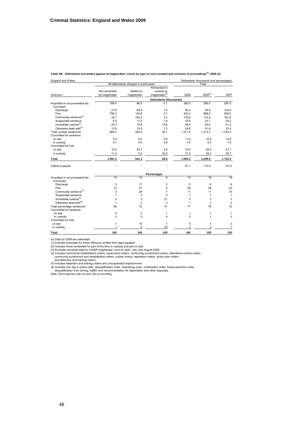| England and Wales                   |                |                                    |                            |                | Defendants (thousands and percentages)<br>Total |                |
|-------------------------------------|----------------|------------------------------------|----------------------------|----------------|-------------------------------------------------|----------------|
|                                     |                | All defendants charged or summoned | Remanded in                |                |                                                 |                |
|                                     | Not remanded   | Bailed by                          | custody by                 |                |                                                 |                |
|                                     |                |                                    |                            |                | $2008^{(3)}$                                    |                |
| Outcome                             | by magistrates | magistrates                        | magistrates <sup>(2)</sup> | 2009           |                                                 | 2007           |
|                                     |                |                                    | Defendants (thousands)     |                |                                                 |                |
| Acquitted or not proceeded etc.     | 168.0          | 86.9                               | 5.1                        | 260.0          | 258.0                                           | 297.0          |
| Convicted:                          |                |                                    |                            |                |                                                 |                |
| Discharge                           | 27.6           | 60.8                               | 1.8                        | 90.2           | 94.8                                            | 102.5          |
| Fine                                | 794.3          | 145.8                              | 3.1                        | 943.2          | 888.0                                           | 939.0          |
| Community sentence <sup>(4)</sup>   | 32.7           | 142.4                              | 4.5                        | 179.6          | 174.8                                           | 181.6          |
| Suspended sentence                  | 6.5            | 17.0                               | 1.9                        | 25.4           | 23.7                                            | 25.5           |
| Immediate custody <sup>(5)</sup>    | 20.3           | 15.6                               | 12.6                       | 48.4           | 50.4                                            | 51.2           |
| Otherwise dealt with <sup>(6)</sup> | 12.9           | 10.5                               | 1.3                        | 24.6           | 41.6                                            | 33.4           |
| Total number sentenced              | 894.2          | 392.0                              | 25.1                       | 1,311.4        | 1,273.3                                         | 1,333.2        |
| Committed for sentence:             |                |                                    |                            |                |                                                 |                |
| on bail                             | 2.0            | 8.2                                | 0.8                        | 11.0           | 10.9                                            | 10.0           |
| in custody                          | 2.7            | 0.0                                | 4.9                        | 7.6            | 8.2                                             | 7.9            |
| Committed for trial:                |                |                                    |                            |                |                                                 |                |
| on bail                             | 12.0           | 53.7                               | 4.5                        | 70.2           | 59.4                                            | 57.7           |
| in custody                          | 11.4           | 0.0                                | 20.0                       | 31.5           | 29.2                                            | 26.7           |
|                                     |                |                                    |                            |                |                                                 |                |
| Total                               | 1,091.3        | 541.2                              | 60.8                       | 1,693.2        | 1,639.0                                         | 1,732.5        |
| Failed to appear                    |                |                                    | ۸                          | 91.1           | 113.0                                           | 131.0          |
|                                     |                |                                    | Percentages                |                |                                                 |                |
| Acquitted or not proceeded etc.     | 15             | 16                                 | 8                          | 15             | 16                                              | 16             |
| Convicted:                          |                |                                    |                            |                |                                                 |                |
| Discharge                           | 3              | 11                                 | 3                          | 5              | 6                                               | 6              |
| Fine                                | 73             | 27                                 | 5                          | 56             | 54                                              | 50             |
| Community sentence <sup>(4)</sup>   | 3              | 26                                 | $\overline{7}$             | 11             | 11                                              | 10             |
| Suspended sentence                  | $\mathbf{1}$   | 3                                  | 3                          | 1              | $\mathbf{1}$                                    | 1              |
| Immediate custody <sup>(5)</sup>    | $\overline{2}$ | 3                                  | 21                         | 3              | 3                                               | 3              |
| Otherwise dealt with <sup>(6)</sup> | $\mathbf{1}$   | $\overline{2}$                     | $\overline{2}$             | $\mathbf{1}$   | 3                                               | $\overline{2}$ |
| Total percentage sentenced          | 82             | 72                                 | 41                         | 77             | 78                                              | 72             |
| Committed for sentence:             |                |                                    |                            |                |                                                 |                |
| on bail                             | 0              | $\overline{2}$                     | 1                          | 1              | $\mathbf{1}$                                    | 1              |
| in custody                          | 0              | $\Omega$                           | 8                          | $\Omega$       | 1                                               | 0              |
| Committed for trial:                |                |                                    |                            |                |                                                 |                |
| on bail                             | 1              | 10                                 | $\overline{7}$             | 4              | 4                                               | 3              |
| in custody                          | 1              | $\Omega$                           | 33                         | $\overline{2}$ | $\overline{2}$                                  | $\mathbf{1}$   |
|                                     |                |                                    |                            |                |                                                 |                |
| <b>Total</b>                        | 100            | 100                                | 100                        | 100            | 100                                             | 100            |

**Table 4B - Defendants proceeded against at magistrates' courts by type of court remand and outcome of proceedings(1), 2009 (e)**

(e) Data for 2009 are estimated.

(1) Includes estimates for those offences omitted from data supplied.<br>(2) Includes those remanded for part of the time in custody and part on bail.<br>(3) Excludes remands data for Cardiff magistrates' court for April, July,

and detention and training orders. (5) Includes detention and training orders and unsuspended imprisonment.

(6) Includes one day in police cells, disqualification order, restraining order, confiscation order, travel restriction order,<br>disqualification from driving, ASBO and recommendation for deportation and other disposals.<br>Not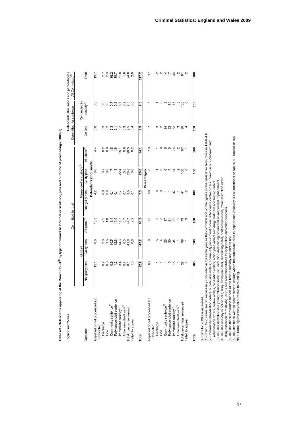| i           |
|-------------|
| í<br>ì      |
|             |
| I           |
|             |
|             |
|             |
|             |
|             |
|             |
|             |
|             |
|             |
|             |
|             |
| l           |
|             |
|             |
|             |
|             |
|             |
|             |
|             |
|             |
|             |
|             |
|             |
|             |
|             |
| į           |
| ŝ           |
| l           |
|             |
|             |
|             |
|             |
|             |
|             |
|             |
| ֦           |
|             |
|             |
|             |
|             |
|             |
| ١           |
| ļ           |
| 죾<br>į<br>l |

| England and Wales                                                                                                                                                                                            |                                                                                                                          |               |                                           |                                           |                                    |                          |                        |                           | Defendants (thousands and percentages) |
|--------------------------------------------------------------------------------------------------------------------------------------------------------------------------------------------------------------|--------------------------------------------------------------------------------------------------------------------------|---------------|-------------------------------------------|-------------------------------------------|------------------------------------|--------------------------|------------------------|---------------------------|----------------------------------------|
|                                                                                                                                                                                                              |                                                                                                                          |               | Committed for trial                       |                                           |                                    |                          | Committed for sentence |                           | All Committed <sup>(6)</sup>           |
|                                                                                                                                                                                                              |                                                                                                                          | On Bai        |                                           |                                           | Remanded in custody <sup>(5)</sup> |                          |                        | Remanded in               |                                        |
| Outcome                                                                                                                                                                                                      | Not guilty plea                                                                                                          | Guilty plea   | All pleas <sup>(6)</sup>                  | Not guilty plea                           | Guilty plea                        | All pleas <sup>(6)</sup> | On Bail                | $\frac{\text{cutoff}}{2}$ | Total                                  |
|                                                                                                                                                                                                              |                                                                                                                          |               |                                           |                                           | Defendants (thousands)             |                          |                        |                           |                                        |
| Acquitted or not proceeded etc.                                                                                                                                                                              | 15.1                                                                                                                     | 0.0           | 15.3                                      | 4.2                                       | $\frac{0}{0}$                      | 4.4                      | 0.0                    | 0.0                       | 19.7                                   |
| Convicted:                                                                                                                                                                                                   | 0.2                                                                                                                      | 2.0           |                                           | 0.0                                       | $\frac{2}{3}$                      | 0.2                      | $0.\overline{3}$       | 0.0                       | 2.7                                    |
| Discharge<br>Fine<br>Community sentence <sup>(2)</sup>                                                                                                                                                       | $0.\overline{3}$                                                                                                         | 1.5           | 218                                       | $\overline{0}$                            | $\overline{0}$ .                   | 0.0                      | 0.2                    | 0.0                       | 2.3                                    |
|                                                                                                                                                                                                              | 0.9                                                                                                                      | 10.5          | 11.4                                      | $\overline{c}$                            | $\overline{1}$ :                   |                          |                        | 0.7                       | 16.2                                   |
| Fully suspended sentence                                                                                                                                                                                     | 12                                                                                                                       | 12.8          |                                           | $\overline{c}$                            | 1.8                                | $\frac{8}{1.8}$          | 3.1                    | 0.8                       | 19.7                                   |
| Immediate custody <sup>(3)</sup>                                                                                                                                                                             | 3.4                                                                                                                      |               | $1170$<br>$1770$<br>$1770$<br>$172$       | 27                                        | 22.4                               | 25.1                     | 3.2                    | 5.7                       | 51.8                                   |
| Otherwise dealt with <sup>(4)</sup>                                                                                                                                                                          |                                                                                                                          | $14.3$<br>0.5 |                                           |                                           |                                    | 0.6                      |                        |                           |                                        |
| Total number sentenced                                                                                                                                                                                       | 0.2                                                                                                                      | 41.6          |                                           | $\frac{5}{9}$ $\frac{5}{9}$ $\frac{5}{9}$ | $0.5$<br>26.6                      | 29.5                     | 0.5<br>0.9             |                           | 9<br>- 9<br>2<br>2<br>2                |
| Failed to appear                                                                                                                                                                                             | $\frac{1}{2}$                                                                                                            | $\frac{6}{2}$ |                                           |                                           | 0.0                                | $\overline{0.2}$         | 0.4                    |                           |                                        |
| Total                                                                                                                                                                                                        | 22.2                                                                                                                     | 42.2          | 65.2                                      | 7.3                                       | 26.6                               | 34.1                     | 9.3                    | 7.5                       | 117.2                                  |
|                                                                                                                                                                                                              |                                                                                                                          |               |                                           |                                           | Percentages                        |                          |                        |                           |                                        |
| Acquitted or not proceeded etc.<br>Convicted:                                                                                                                                                                | 68                                                                                                                       | $\circ$       | 23                                        | 58                                        | 0                                  | చ                        |                        |                           | 17                                     |
|                                                                                                                                                                                                              |                                                                                                                          | ю             |                                           | $\circ$                                   |                                    |                          | ო                      |                           |                                        |
| Discharge<br>Fine                                                                                                                                                                                            |                                                                                                                          | 4             | ო ო                                       | $\circ$                                   | $\circ$                            | $\circ$                  | $\mathbf{\Omega}$      | $\circ$                   |                                        |
| Community sentence <sup>(2)</sup>                                                                                                                                                                            | 4                                                                                                                        |               | $\frac{1}{6}$ $\frac{1}{2}$ $\frac{1}{2}$ |                                           | $\circ$ $\sim$                     |                          |                        | ၜ                         |                                        |
| Fully suspended sentence                                                                                                                                                                                     | Ю                                                                                                                        | 282           |                                           | $\overline{ }$                            |                                    |                          |                        | 79                        |                                        |
| Immediate custody <sup>13</sup>                                                                                                                                                                              | $\frac{1}{2}$                                                                                                            |               |                                           | 57                                        | \$                                 | <b>505225</b>            | 38999                  |                           | 224252                                 |
| Otherwise dealt with <sup>(4)</sup>                                                                                                                                                                          | $\frac{1}{2}$                                                                                                            | Τ             |                                           | ٣                                         | $\sim$                             |                          |                        | $\degree$ 8               |                                        |
| Total percentage sentenced                                                                                                                                                                                   |                                                                                                                          | 99            | $-5.8$                                    | $\frac{4}{5}$                             | $\overline{100}$                   |                          |                        |                           |                                        |
| Failed to appear                                                                                                                                                                                             | 4                                                                                                                        |               |                                           | $\sim$                                    | $\circ$                            | $\overline{a}$           | 4                      | $\circ$                   |                                        |
| Total                                                                                                                                                                                                        | ξ                                                                                                                        | <u>ទី</u>     | ខ្ព                                       | ខ្ញុ                                      | ខ្ព                                | ខ្ព                      | ទី                     | ខ្ព                       | ខ្ព                                    |
| (2) Community rehabilitation orders, supervision orders, community punishment orders, attendance centre orders, community punishment and<br>(e) Data for 2009 are estimated<br>(1) Crown Court cases are not | necessarily concluded in the same year as the committal and so the figures in this table differ from those in Table 4.6. |               |                                           |                                           |                                    |                          |                        |                           |                                        |

 rehabilitation orders, curfew orders, reparation orders, action plan orders and drug treatment and testing orders. (3) Includes detention in a young offender institution, detention and training orders and unsuspended imprisonment.

(4) Includes one day in police cells, disqualification order, restraining order, confiscation order, travel restriction order,

disqualification from driving, ASBO and recommendation for deportation and other disposals.

(5) Includes those remanded for part of the time in custody and part on bail.

rehabilitation orders, curfew orders, reparation orders, action plan orders and drug treatment and testing orders.<br>(3) Includes detention in a young offender institution, detention and training orders and unsuspended impri (6) Includes those with no plea recorded: usually where the defendant failed to appear and Voluntary Bill of Indictment or Notice of Transfer cases. Note: Some figures may not sum due to rounding.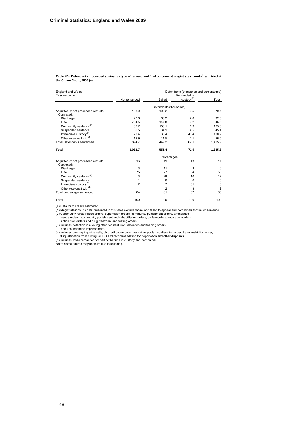**Table 4D - Defendants proceeded against by type of remand and final outcome at magistrates' courts(1) and tried at the Crown Court, 2009 (e)**

| <b>England and Wales</b>             |              |                | Defendants (thousands and percentages) |                |
|--------------------------------------|--------------|----------------|----------------------------------------|----------------|
| Final outcome                        |              |                | Remanded in                            |                |
|                                      | Not remanded | Bailed         | $custody^{(5)}$                        | Total          |
|                                      |              |                | Defendants (thousands)                 |                |
| Acquitted or not proceeded with etc. | 168.0        | 102.2          | 9.5                                    | 279.7          |
| Convicted:                           |              |                |                                        |                |
| Discharge                            | 27.6         | 63.2           | 2.0                                    | 92.8           |
| Fine                                 | 794.5        | 147.8          | 3.2                                    | 945.5          |
| Community sentence <sup>(2)</sup>    | 32.7         | 156.1          | 6.9                                    | 195.8          |
| Suspended sentence                   | 6.5          | 34.1           | 4.5                                    | 45.1           |
| Immediate custody <sup>(3)</sup>     | 20.4         | 36.4           | 43.4                                   | 100.2          |
| Otherwise dealt with <sup>(4)</sup>  | 12.9         | 11.5           | 2.1                                    | 26.5           |
| <b>Total Defendants sentenced</b>    | 894.7        | 449.2          | 62.1                                   | 1,405.9        |
| <b>Total</b>                         | 1,062.7      | 551.4          | 71.5                                   | 1,685.6        |
|                                      |              |                | Percentages                            |                |
| Acquitted or not proceeded with etc. | 16           | 19             | 13                                     | 17             |
| Convicted:                           |              |                |                                        |                |
| Discharge                            | 3            | 11             | 3                                      | 6              |
| Fine                                 | 75           | 27             | 4                                      | 56             |
| Community sentence <sup>(2)</sup>    | 3            | 28             | 10                                     | 12             |
| Suspended sentence                   |              | 6              | 6                                      | 3              |
| Immediate custody <sup>(3)</sup>     | 2            | 7              | 61                                     | 6              |
| Otherwise dealt with <sup>(4)</sup>  |              | $\overline{2}$ | 3                                      | $\overline{2}$ |
| Total percentage sentenced           | 84           | 81             | 87                                     | 83             |
| <b>Total</b>                         | 100          | 100            | 100                                    | 100            |

(e) Data for 2009 are estimated.

(1) Magistrates' courts data presented in this table exclude those who failed to appear and committals for trial or sentence. (2) Community rehabilitation orders, supervision orders, community punishment orders, attendance

centre orders, community punishment and rehabilitation orders, curfew orders, reparation orders<br>action plan orders and drug treatment and testing orders.<br>(3) Includes detention in a young offender institution, detention an

and unsuspended imprisonment. (4) Includes one day in police cells, disqualification order, restraining order, confiscation order, travel restriction order,

disqualification from driving, ASBO and recommendation for deportation and other disposals. (5) Includes those remanded for part of the time in custody and part on bail. Note: Some figures may not sum due to rounding.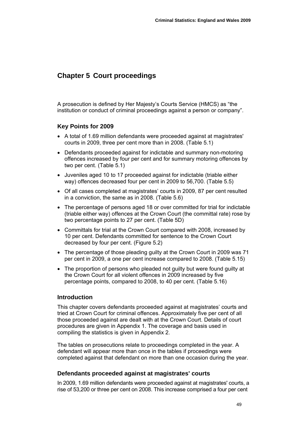# **Chapter 5 Court proceedings**

A prosecution is defined by Her Majesty's Courts Service (HMCS) as "the institution or conduct of criminal proceedings against a person or company".

## **Key Points for 2009**

- A total of 1.69 million defendants were proceeded against at magistrates' courts in 2009, three per cent more than in 2008. (Table 5.1)
- Defendants proceeded against for indictable and summary non-motoring offences increased by four per cent and for summary motoring offences by two per cent. (Table 5.1)
- Juveniles aged 10 to 17 proceeded against for indictable (triable either way) offences decreased four per cent in 2009 to 56,700. (Table 5.5)
- Of all cases completed at magistrates' courts in 2009, 87 per cent resulted in a conviction, the same as in 2008. (Table 5.6)
- The percentage of persons aged 18 or over committed for trial for indictable (triable either way) offences at the Crown Court (the committal rate) rose by two percentage points to 27 per cent. (Table 5D)
- Committals for trial at the Crown Court compared with 2008, increased by 10 per cent. Defendants committed for sentence to the Crown Court decreased by four per cent. (Figure 5.2)
- The percentage of those pleading guilty at the Crown Court in 2009 was 71 per cent in 2009, a one per cent increase compared to 2008. (Table 5.15)
- The proportion of persons who pleaded not quilty but were found quilty at the Crown Court for all violent offences in 2009 increased by five percentage points, compared to 2008, to 40 per cent. (Table 5.16)

#### **Introduction**

This chapter covers defendants proceeded against at magistrates' courts and tried at Crown Court for criminal offences. Approximately five per cent of all those proceeded against are dealt with at the Crown Court. Details of court procedures are given in Appendix 1. The coverage and basis used in compiling the statistics is given in Appendix 2.

The tables on prosecutions relate to proceedings completed in the year. A defendant will appear more than once in the tables if proceedings were completed against that defendant on more than one occasion during the year.

#### **Defendants proceeded against at magistrates' courts**

In 2009, 1.69 million defendants were proceeded against at magistrates' courts, a rise of 53,200 or three per cent on 2008. This increase comprised a four per cent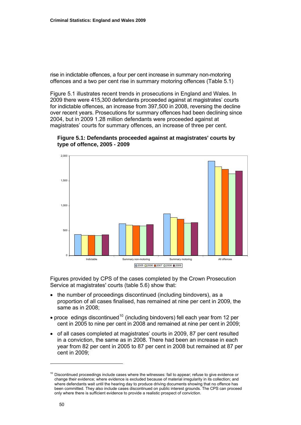rise in indictable offences, a four per cent increase in summary non-motoring offences and a two per cent rise in summary motoring offences (Table 5.1)

Figure 5.1 illustrates recent trends in prosecutions in England and Wales. In 2009 there were 415,300 defendants proceeded against at magistrates' courts for indictable offences, an increase from 397,500 in 2008, reversing the decline over recent years. Prosecutions for summary offences had been declining since 2004, but in 2009 1.28 million defendants were proceeded against at magistrates' courts for summary offences, an increase of three per cent.



**Figure 5.1: Defendants proceeded against at magistrates' courts by type of offence, 2005 - 2009** 

Figures provided by CPS of the cases completed by the Crown Prosecution Service at magistrates' courts (table 5.6) show that:

- the number of proceedings discontinued (including bindovers), as a proportion of all cases finalised, has remained at nine per cent in 2009, the same as in 2008;
- proce edings discontinued<sup>[10](#page-53-0)</sup> (including bindovers) fell each year from 12 per cent in 2005 to nine per cent in 2008 and remained at nine per cent in 2009;
- of all cases completed at magistrates' courts in 2009, 87 per cent resulted in a conviction, the same as in 2008. There had been an increase in each year from 82 per cent in 2005 to 87 per cent in 2008 but remained at 87 per cent in 2009;

-

<span id="page-53-0"></span>Discontinued proceedings include cases where the witnesses: fail to appear; refuse to give evidence or change their evidence; where evidence is excluded because of material irregularity in its collection; and where defendants wait until the hearing day to produce driving documents showing that no offence has been committed. They also include cases discontinued on public interest grounds. The CPS can proceed only where there is sufficient evidence to provide a realistic prospect of conviction.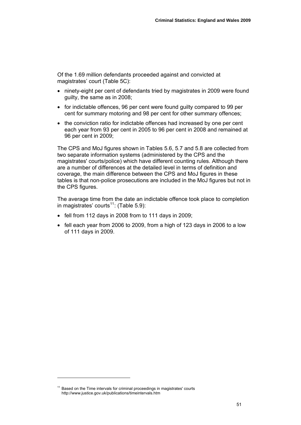Of the 1.69 million defendants proceeded against and convicted at magistrates' court (Table 5C):

- ninety-eight per cent of defendants tried by magistrates in 2009 were found guilty, the same as in 2008;
- for indictable offences, 96 per cent were found guilty compared to 99 per cent for summary motoring and 98 per cent for other summary offences;
- the conviction ratio for indictable offences had increased by one per cent each year from 93 per cent in 2005 to 96 per cent in 2008 and remained at 96 per cent in 2009;

The CPS and MoJ figures shown in Tables 5.6, 5.7 and 5.8 are collected from two separate information systems (administered by the CPS and the magistrates' courts/police) which have different counting rules. Although there are a number of differences at the detailed level in terms of definition and coverage, the main difference between the CPS and MoJ figures in these tables is that non-police prosecutions are included in the MoJ figures but not in the CPS figures.

The average time from the date an indictable offence took place to completion in magistrates' courts<sup>[11](#page-54-0)</sup>: (Table 5.9):

- fell from 112 days in 2008 from to 111 days in 2009;
- fell each year from 2006 to 2009, from a high of 123 days in 2006 to a low of 111 days in 2009.

 $\overline{a}$ 

<span id="page-54-0"></span>Based on the Time intervals for criminal proceedings in magistrates' courts http://www.justice.gov.uk/publications/timeintervals.htm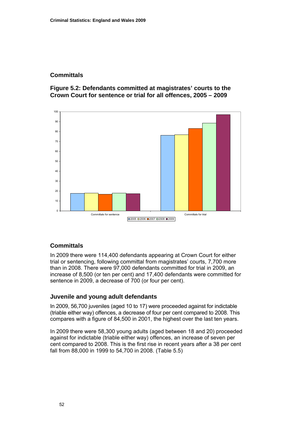## **Committals**

**Figure 5.2: Defendants committed at magistrates' courts to the Crown Court for sentence or trial for all offences, 2005 – 2009** 



#### **Committals**

In 2009 there were 114,400 defendants appearing at Crown Court for either trial or sentencing, following committal from magistrates' courts, 7,700 more than in 2008. There were 97,000 defendants committed for trial in 2009, an increase of 8,500 (or ten per cent) and 17,400 defendants were committed for sentence in 2009, a decrease of 700 (or four per cent).

#### **Juvenile and young adult defendants**

In 2009, 56,700 juveniles (aged 10 to 17) were proceeded against for indictable (triable either way) offences, a decrease of four per cent compared to 2008. This compares with a figure of 84,500 in 2001, the highest over the last ten years.

In 2009 there were 58,300 young adults (aged between 18 and 20) proceeded against for indictable (triable either way) offences, an increase of seven per cent compared to 2008. This is the first rise in recent years after a 38 per cent fall from 88,000 in 1999 to 54,700 in 2008. (Table 5.5)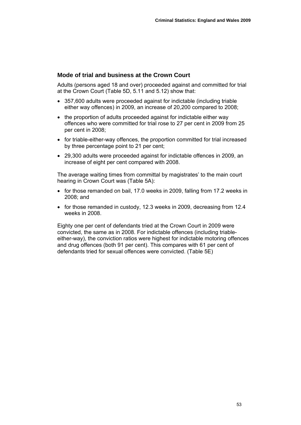### **Mode of trial and business at the Crown Court**

Adults (persons aged 18 and over) proceeded against and committed for trial at the Crown Court (Table 5D, 5.11 and 5.12) show that:

- 357,600 adults were proceeded against for indictable (including triable either way offences) in 2009, an increase of 20,200 compared to 2008;
- the proportion of adults proceeded against for indictable either way offences who were committed for trial rose to 27 per cent in 2009 from 25 per cent in 2008;
- for triable-either-way offences, the proportion committed for trial increased by three percentage point to 21 per cent;
- 29,300 adults were proceeded against for indictable offences in 2009, an increase of eight per cent compared with 2008.

The average waiting times from committal by magistrates' to the main court hearing in Crown Court was (Table 5A):

- for those remanded on bail, 17.0 weeks in 2009, falling from 17.2 weeks in 2008; and
- for those remanded in custody, 12.3 weeks in 2009, decreasing from 12.4 weeks in 2008.

Eighty one per cent of defendants tried at the Crown Court in 2009 were convicted, the same as in 2008. For indictable offences (including triableeither-way), the conviction ratios were highest for indictable motoring offences and drug offences (both 91 per cent). This compares with 61 per cent of defendants tried for sexual offences were convicted. (Table 5E)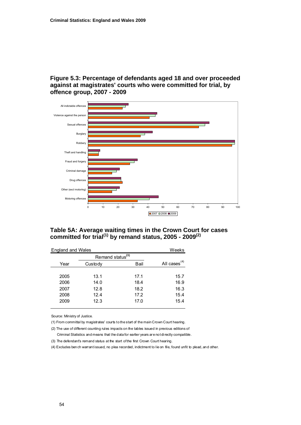## **Figure 5.3: Percentage of defendants aged 18 and over proceeded against at magistrates' courts who were committed for trial, by offence group, 2007 - 2009**



## **Table 5A: Average waiting times in the Crown Court for cases committed for trial(1) by remand status, 2005 - 2009(2)**

| <b>England and Wales</b> |                              |      | Weeks           |
|--------------------------|------------------------------|------|-----------------|
|                          | Remand status <sup>(3)</sup> |      |                 |
| Year                     | Custody                      | Bail | All cases $(4)$ |
|                          |                              |      |                 |
| 2005                     | 13.1                         | 17.1 | 15.7            |
| 2006                     | 14.0                         | 18.4 | 16.9            |
| 2007                     | 12.8                         | 18.2 | 16.3            |
| 2008                     | 12.4                         | 17.2 | 15.4            |
| 2009                     | 12.3                         | 17.0 | 15.4            |
|                          |                              |      |                 |

Source: Ministry of Justice.

(1) From committal by magistrates' courts to the start of the main Crown Court hearing.

(2) The use of different counting rules impacts on the tables issued in previous editions of Criminal Statistics and means that the data for earlier years ar e not di rectly compatible.

(3) The defendant's remand status at the start of the first Crown Court hearing.

(4) Excludes bench warrant issued, no plea recorded, indictment to lie on file, found unfit to plead, and other.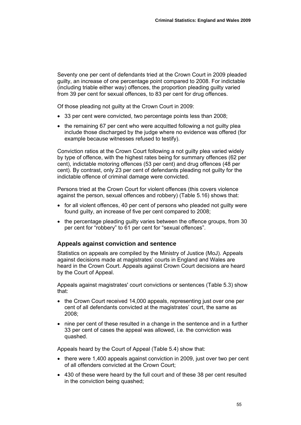Seventy one per cent of defendants tried at the Crown Court in 2009 pleaded guilty, an increase of one percentage point compared to 2008. For indictable (including triable either way) offences, the proportion pleading guilty varied from 39 per cent for sexual offences, to 83 per cent for drug offences.

Of those pleading not guilty at the Crown Court in 2009:

- 33 per cent were convicted, two percentage points less than 2008;
- the remaining 67 per cent who were acquitted following a not quilty plea include those discharged by the judge where no evidence was offered (for example because witnesses refused to testify).

Conviction ratios at the Crown Court following a not guilty plea varied widely by type of offence, with the highest rates being for summary offences (62 per cent), indictable motoring offences (53 per cent) and drug offences (48 per cent). By contrast, only 23 per cent of defendants pleading not guilty for the indictable offence of criminal damage were convicted.

Persons tried at the Crown Court for violent offences (this covers violence against the person, sexual offences and robbery) (Table 5.16) shows that:

- for all violent offences, 40 per cent of persons who pleaded not guilty were found guilty, an increase of five per cent compared to 2008;
- the percentage pleading guilty varies between the offence groups, from 30 per cent for "robbery" to 61 per cent for "sexual offences".

#### **Appeals against conviction and sentence**

Statistics on appeals are compiled by the Ministry of Justice (MoJ). Appeals against decisions made at magistrates' courts in England and Wales are heard in the Crown Court. Appeals against Crown Court decisions are heard by the Court of Appeal.

Appeals against magistrates' court convictions or sentences (Table 5.3) show that:

- the Crown Court received 14,000 appeals, representing just over one per cent of all defendants convicted at the magistrates' court, the same as 2008;
- nine per cent of these resulted in a change in the sentence and in a further 33 per cent of cases the appeal was allowed, i.e. the conviction was quashed.

Appeals heard by the Court of Appeal (Table 5.4) show that:

- there were 1,400 appeals against conviction in 2009, just over two per cent of all offenders convicted at the Crown Court;
- 430 of these were heard by the full court and of these 38 per cent resulted in the conviction being quashed;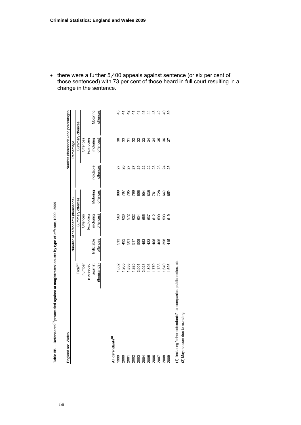|                                               |                                  |            | Number of defendants (thousands) |          |                            | Percentage       |                            |
|-----------------------------------------------|----------------------------------|------------|----------------------------------|----------|----------------------------|------------------|----------------------------|
|                                               | Total <sup>(2)</sup>             |            | Summary offences                 |          |                            | Summary offences |                            |
|                                               | number                           |            | Offences                         |          |                            | Offences         |                            |
|                                               | proceeded                        |            | (excluding                       |          |                            | (excluding       |                            |
|                                               | against                          | Indictable | motoring                         | Motoring | Indictable                 | motoring         | Motoring                   |
|                                               | (thousands)                      | offences   | offences)                        | offences | offences                   | offences         | offences                   |
| All defendants <sup>(1)</sup>                 |                                  |            |                                  |          |                            |                  |                            |
| 1999                                          | 1,882                            | 513        | 560                              | 809      | 27                         | ౚ                | ఞ                          |
| 2000                                          | 1,905                            | 492        | 626                              | 787      | 26                         | 33               | $\Delta$                   |
|                                               | 1,838                            | 501        | 572                              | 765      | 27                         | స్               | $\frac{2}{3}$              |
| ត្ត<br>ខ្លួន ខ្លួន ខ្លួន<br>ស្ថិត ខ្លួន ខ្លួន | 1,925                            | 517        | 622                              | 786      | 27                         | ೫                | 7                          |
|                                               |                                  | 509        | 634                              | 858      | 25                         | 32               | 43                         |
|                                               |                                  | 453        | 665                              | 904      | 22                         | 33               | 45                         |
|                                               |                                  | 423        | 637                              | 835      |                            | रू               | $\frac{4}{3}$              |
|                                               | 2,001<br>2,023<br>1,779<br>1,779 | 406        | 612                              | 761      | 23                         | z                | $\boldsymbol{\mathcal{L}}$ |
|                                               | 1,733                            | 405        | 599                              | 728      | $\boldsymbol{\mathcal{Z}}$ | 35               | $\frac{2}{3}$              |
| 2008                                          | 1,640                            | 398        | 593                              | 649      | $\overline{a}$             | 36               | $\overline{a}$             |
| 2009                                          | 1,693                            | 415        | 619                              | 659      | ని                         | 5                | 39                         |

Table 5B - Defendants<sup>(1)</sup> proceeded against at magistrates' courts by type of offence, 1999 - 2009 **Table 5B - Defendants(1) proceeded against at magistrates' courts by type of offence, 1999 - 2009**

• there were a further 5,400 appeals against sentence (or six per cent of those sentenced) with 73 per cent of those heard in full court resulting in a change in the sentence.

<sup>(1)</sup> Including "other defendants" i.e. companies, public bodies, etc.<br>(2) May not sum due to rounding (1) Including "other defendants" i.e. companies, public bodies, etc. (2) May not sum due to rounding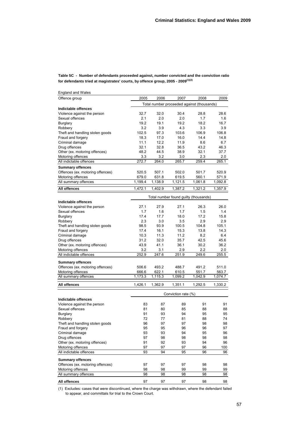| <b>England and Wales</b>                     |              |              |                     |                                            |              |
|----------------------------------------------|--------------|--------------|---------------------|--------------------------------------------|--------------|
| Offence group                                | 2005         | 2006         | 2007                | 2008                                       | 2009         |
|                                              |              |              |                     | Total number proceeded against (thousands) |              |
| Indictable offences                          |              |              |                     |                                            |              |
| Violence against the person                  | 32.7         | 32.0         | 30.4                | 28.8                                       | 28.6         |
| Sexual offences                              | 2.1          | 2.0          | 2.0                 | 1.7                                        | 1.6          |
| Burglary                                     | 19.2         | 19.1         | 19.2                | 18.2                                       | 16.7         |
| Robbery                                      | 3.2          | 3.9          | 4.3                 | 3.3                                        | 3.9          |
| Theft and handling stolen goods              | 102.5        | 97.3         | 103.6               | 106.9                                      | 106.8        |
| Fraud and forgery                            | 18.3         | 17.0         | 16.0                | 14.4                                       | 14.8         |
| Criminal damage                              | 11.1         | 12.2         | 11.9                | 8.6                                        | 6.7          |
| Drug offences                                | 32.1         | 32.8         | 36.5                | 43.2                                       | 46.3         |
| Other (ex. motoring offences)                | 48.2         | 44.5         | 38.9                | 32.1                                       | 37.7         |
| Motoring offences                            | 3.3          | 3.2          | 3.0                 | 2.3                                        | 2.0          |
| All indictable offences                      | 272.7        | 264.0        | 265.7               | 259.4                                      | 265.1        |
| <b>Summary offences</b>                      |              |              |                     |                                            |              |
| Offences (ex. motoring offences)             | 520.5        | 507.1        | 502.0               | 501.7                                      | 520.9        |
| Motoring offences                            | 679.0        | 631.8        | 619.5               | 560.1                                      | 571.9        |
| All summary offences                         | 1,199.4      | 1,138.9      | 1,121.5             | 1,061.8                                    | 1,092.8      |
| <b>All offences</b>                          | 1,472.1      | 1,402.9      | 1,387.2             | 1,321.2                                    | 1,357.9      |
|                                              |              |              |                     | Total number found guilty (thousands)      |              |
| Indictable offences                          |              |              |                     |                                            |              |
| Violence against the person                  | 27.1         | 27.9         | 27.1                | 26.3                                       | 26.0         |
| Sexual offences                              | 1.7          | 1.6          | 1.7                 | 1.5                                        | 1.4          |
| Burglary                                     | 17.4         | 17.7         | 18.0                | 17.2                                       | 15.8         |
| Robbery                                      | 2.3          | 3.0          | 3.5                 | 2.9                                        | 2.9          |
| Theft and handling stolen goods              | 98.5         | 93.9         | 100.5               | 104.8                                      | 105.1        |
| Fraud and forgery                            | 17.4         | 16.1         | 15.3                | 13.8                                       | 14.3         |
| Criminal damage                              | 10.3         | 11.3         | 11.2                | 8.2                                        | 6.4          |
| Drug offences                                | 31.2         | 32.0         | 35.7                | 42.5                                       | 45.6         |
| Other (ex. motoring offences)                | 43.9         | 41.1         | 36.1                | 30.2                                       | 36.2         |
| Motoring offences<br>All indictable offences | 3.2<br>252.9 | 3.1<br>247.6 | 2.9<br>251.9        | 2.2<br>249.6                               | 2.0<br>255.5 |
|                                              |              |              |                     |                                            |              |
| <b>Summary offences</b>                      |              |              |                     |                                            |              |
| Offences (ex. motoring offences)             | 506.6        | 493.2        | 488.7               | 491.2                                      | 511.0        |
| Motoring offences                            | 666.6        | 622.1        | 610.5               | 551.7                                      | 563.7        |
| All summary offences                         | 1,173.3      | 1,115.3      | 1,099.2             | 1,042.9                                    | 1,074.7      |
| All offences                                 | 1,426.1      | 1,362.9      | 1,351.1             | 1,292.5                                    | 1,330.2      |
|                                              |              |              | Conviction rate (%) |                                            |              |
| Indictable offences                          |              |              |                     |                                            |              |
| Violence against the person                  | 83           | 87           | 89                  | 91                                         | 91           |
| Sexual offences                              | 81           | 80           | 85                  | 88                                         | 88           |
| Burglary                                     | 91           | 93           | 94                  | 95                                         | 95           |
| Robbery                                      | 72           | 77           | 81                  | 88                                         | 74           |
| Theft and handling stolen goods              | 96           | 97           | 97                  | 98                                         | 98           |
| Fraud and forgery                            | 95           | 95           | 96                  | 96                                         | 97           |
| Criminal damage                              | 93           | 93           | 94                  | 95                                         | 96           |
| Drug offences                                | 97           | 98           | 98                  | 98                                         | 98           |
| Other (ex. motoring offences)                | 91           | 92           | 93                  | 94                                         | 96           |
| Motoring offences                            | 97           | 97           | 97                  | 96                                         | 100          |
| All indictable offences                      | 93           | 94           | 95                  | 96                                         | 96           |
| <b>Summary offences</b>                      |              |              |                     |                                            |              |
| Offences (ex. motoring offences)             | 97           | 97           | 97                  | 98                                         | 98           |
| Motoring offences                            | 98           | 98           | 99                  | 99                                         | 99           |
| All summary offences                         | 98           | 98           | 98                  | 98                                         | 98           |
| All offences                                 | 97           | 97           | 97                  | 98                                         | 98           |

**Table 5C - Number of defendants proceeded against, number convicted and the conviction ratio for defendants tried at magistrates' courts, by offence group, 2005 - 2009(1)(2)**

(1) Excludes: cases that were discontinued, where the charge was withdrawn, where the defendant failed to appear, and committals for trial to the Crown Court.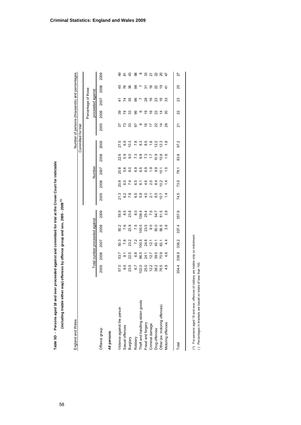Table 5D - Persons aged 18 and over proceeded against and committed for trial at the Crown Court for indictable **Table 5D - Persons aged 18 and over proceeded against and committed for trial at the Crown Court for indictable** 

(including triable either way) offences by offence group and sex, 2005 - 2009<sup>(1)</sup>  **(including triable either way) offences by offence group and sex, 2005 - 2009 (1)**

England and Wales Number of persons (thousands) and percentages

England and Wales

Number of persons (thousands) and percentages

|                                                |             |                      |                                |                             |               |                 |                   |                |                                 | Committed for trial |                             |               |                     |               |               |
|------------------------------------------------|-------------|----------------------|--------------------------------|-----------------------------|---------------|-----------------|-------------------|----------------|---------------------------------|---------------------|-----------------------------|---------------|---------------------|---------------|---------------|
|                                                |             |                      |                                |                             |               |                 |                   |                |                                 |                     |                             |               | Percentage of those |               |               |
|                                                |             |                      | Total number proceeded against |                             |               |                 |                   | Number         |                                 |                     |                             |               | proceeded against   |               |               |
| Offence group                                  | 2005        | 2006                 | 2007                           | 2008                        | 2009          | 2005            | 2006              | 2007           | 2008                            | 2009                | 2005                        | 2006          | 2007                | 2008          | 2009          |
| All persons                                    |             |                      |                                |                             |               |                 |                   |                |                                 |                     |                             |               |                     |               |               |
| Violence against the person                    | 57.0<br>8.5 |                      | 50.3<br>7.6                    | 50.2                        | 55.9          | 21.3            | 20.8              | 20.8           | 22.6                            | 27.5                | 22                          | 39            | $\mathring{t}$      |               | \$            |
| Sexual offences                                |             | 53.7<br>8.1          |                                | 7.6                         | 8.5           | 6.2             | $\overline{6}$ .0 | 5.6            | 5.9                             | 6.9                 | ಌ                           | $\mathcal{L}$ | $\overline{z}$      | 45<br>78      | ౖద            |
| Burglary                                       | 23.5        | 22.5                 | 23.2                           | 23.9                        | 23.8          | 7.8             | 74                | $\frac{0}{8}$  | 0.0                             | 10.3                | 33                          | 33            | 35                  | 38            | $\frac{3}{4}$ |
| Robbery                                        | 6.7         | 6.8                  |                                |                             | $\frac{0}{8}$ | 6.5             |                   | 6.9            |                                 | 7.8                 | 50                          | 8             | 96                  | 88            | 88            |
| Theft and handling stolen goods                |             |                      | $7.2$<br>100.5                 |                             |               | $5.0$<br>4.0    |                   | 6.5            |                                 | $8.\overline{3}$    | O                           | 6             |                     | r,            |               |
| Fraud and forgery                              |             | 96.5<br>24.1<br>12.7 | 24.3<br>24.3.7.4<br>24.9.95    | 5<br>5 5 5 9 9<br>7 9 9 9 1 |               |                 | $6.760$<br>$6.40$ | 6.9            | 7.8<br>6.8<br>7.7<br>7.8<br>7.8 | 8.5                 | $\frac{6}{5}$               | é,            | 28                  | ភូ ខុ ង ខុ    |               |
| Criminal damage                                |             |                      |                                |                             |               | $\overline{21}$ |                   | $\ddot{ }$ .9  |                                 | 1.6                 | 4                           | $\frac{6}{5}$ | $\frac{6}{5}$       |               |               |
| Drug offences<br>Other (ex. motoring offences) |             | 39.0                 |                                | 50.0<br>56.5                |               | 8.5             | $\overline{84}$   | 9.9            | 10.9                            | 12.2                | $\frac{2}{3}$ $\frac{4}{3}$ |               | 238                 |               |               |
|                                                |             | 70.9                 |                                |                             |               | $\frac{14}{14}$ | $10.2$<br>$1.4$   | $\overline{0}$ | 10.8                            | 12.3                |                             | $22 \div$     |                     |               |               |
| Motoring offences                              | 4.9         | 4.6                  |                                | 3.8                         | 3.9           |                 |                   | $\frac{15}{2}$ | 1.6                             |                     | ಇ                           | 80            |                     | $\frac{4}{3}$ |               |
| Total                                          | 354.4       | 338.9                | 336.2                          | 337.4                       | 357.6         | 74.5            | 73.5              | 78.1           | 83.8                            | 97.2                | 21                          | 22            | 23                  | 25            | 27            |

(1) For persons aged 18 and over, offences of robbery are triable only on indictment. (1) For persons aged 18 and over, offences of robbery are triable only on indictment.

() Percentages in brackets are based on totals of less than 100. ( ) Percentages in brackets are based on totals of less than 100.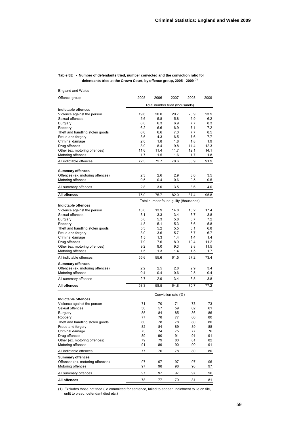| <b>England and Wales</b>                                    |      |                                |                     |                                       |      |
|-------------------------------------------------------------|------|--------------------------------|---------------------|---------------------------------------|------|
| Offence group                                               | 2005 | 2006                           | 2007                | 2008                                  | 2009 |
|                                                             |      | Total number tried (thousands) |                     |                                       |      |
| Indictable offences                                         |      |                                |                     |                                       |      |
| Violence against the person                                 | 19.6 | 20.0                           | 20.7                | 20.9                                  | 23.9 |
| Sexual offences                                             | 5.6  | 5.8                            | 5.8                 | 5.9                                   | 6.2  |
| Burglary                                                    | 6.6  | 6.3                            | 6.9                 | 7.7                                   | 8.3  |
| Robbery                                                     | 6.2  | 6.6                            | 6.9                 | 7.1                                   | 7.2  |
| Theft and handling stolen goods                             | 6.6  | 6.6                            | 7.0                 | 7.7                                   | 8.5  |
| Fraud and forgery                                           | 3.6  | 4.3                            | 6.5                 | 7.6                                   | 7.7  |
| Criminal damage                                             | 2.0  | 1.8                            | 1.8                 | 1.8                                   | 1.9  |
| Drug offences                                               | 8.9  | 8.4                            | 9.8                 | 11.4                                  | 12.3 |
| Other (ex. motoring offences)                               | 11.6 | 11.4                           | 11.7                | 12.1                                  | 14.1 |
| Motoring offences                                           | 1.7  | 1.5                            | 1.6                 | 1.7                                   | 1.8  |
| All indictable offences                                     | 72.3 | 72.7                           | 78.6                | 83.9                                  | 91.9 |
| <b>Summary offences</b>                                     |      |                                |                     |                                       |      |
| Offences (ex. motoring offences)                            | 2.3  | 2.6                            | 2.9                 | 3.0                                   | 3.5  |
| Motoring offences                                           | 0.5  | 0.4                            | 0.6                 | 0.5                                   | 0.5  |
| All summary offences                                        | 2.8  | 3.0                            | 3.5                 | 3.6                                   | 4.0  |
|                                                             | 75.0 |                                | 82.0                | 87.4                                  |      |
| All offences                                                |      | 75.7                           |                     |                                       | 95.8 |
| Indictable offences                                         |      |                                |                     | Total number found guilty (thousands) |      |
| Violence against the person                                 | 13.8 | 13.9                           | 14.8                | 15.2                                  | 17.4 |
| Sexual offences                                             | 3.1  | 3.3                            | 3.4                 | 3.7                                   | 3.8  |
| Burglary                                                    | 5.6  | 5.3                            | 5.8                 | 6.7                                   | 7.2  |
| Robbery                                                     | 4.8  | 5.1                            | 5.3                 | 5.6                                   | 5.8  |
| Theft and handling stolen goods                             | 5.3  | 5.2                            | 5.5                 | 6.1                                   | 6.8  |
| Fraud and forgery                                           | 3.0  | 3.6                            | 5.7                 | 6.7                                   | 6.7  |
| Criminal damage                                             | 1.5  | 1.3                            | 1.4                 | 1.4                                   | 1.4  |
| Drug offences                                               | 7.9  | 7.6                            | 8.9                 | 10.4                                  | 11.2 |
| Other (ex. motoring offences)                               | 9.2  | 9.0                            | 9.3                 | 9.8                                   | 11.5 |
| Motoring offences                                           | 1.5  | 1.3                            | 1.4                 | 1.5                                   | 1.7  |
| All indictable offences                                     | 55.6 | 55.6                           | 61.5                | 67.2                                  | 73.4 |
| <b>Summary offences</b>                                     |      |                                |                     |                                       |      |
| Offences (ex. motoring offences)                            | 2.2  | 2.5                            | 2.8                 | 2.9                                   | 3.4  |
| Motoring offences                                           | 0.4  | 0.4                            | 0.6                 | 0.5                                   | 0.4  |
| All summary offences                                        | 2.7  | 2.9                            | 3.4                 | 3.5                                   | 3.8  |
| All offences                                                | 58.3 | 58.5                           | 64.8                | 70.7                                  | 77.2 |
|                                                             |      |                                | Conviction rate (%) |                                       |      |
| Indictable offences                                         |      |                                |                     |                                       |      |
| Violence against the person                                 | 71   | 70                             | 71                  | 73                                    | 73   |
| Sexual offences                                             | 56   | 57                             | 59                  | 62                                    | 61   |
| Burglary                                                    | 85   | 84                             | 85                  | 86                                    | 86   |
| Robbery                                                     | 77   | 78                             | 77                  | 80                                    | 80   |
| Theft and handling stolen goods                             | 80   | 78                             | 78                  | 80                                    | 80   |
| Fraud and forgery                                           | 82   | 84                             | 89                  | 89                                    | 88   |
| Criminal damage                                             | 75   | 74                             | 75                  | 77                                    | 76   |
| Drug offences                                               | 89   | 90                             | 91                  | 91                                    | 91   |
| Other (ex. motoring offences)                               | 79   | 79                             | 80                  | 81                                    | 82   |
| Motoring offences                                           | 91   | 89                             | 90                  | 90                                    | 91   |
| All indictable offences                                     | 77   | 76                             | 78                  | 80                                    | 80   |
| <b>Summary offences</b><br>Offences (ex. motoring offences) | 97   | 97                             | 97                  | 97                                    | 96   |
| Motoring offences                                           | 97   | 98                             | 98                  | 98                                    | 97   |
| All summary offences                                        | 97   | 97                             | 97                  | 97                                    | 96   |
|                                                             |      |                                |                     |                                       |      |
| All offences                                                | 78   | 77                             | 79                  | 81                                    | 81   |

**Table 5E - Number of defendants tried, number convicted and the conviction ratio for defendants tried at the Crown Court, by offence group, 2005 - 2009 (1)**

(1) Excludes those not tried (i.e committed for sentence, failed to appear, indictment to lie on file, unfit to plead, defendant died etc.)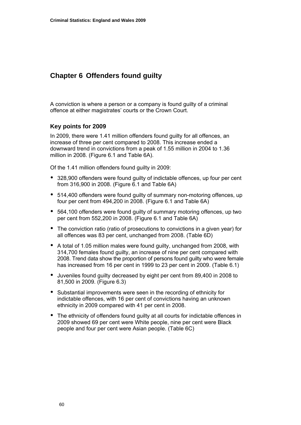# **Chapter 6 Offenders found guilty**

A conviction is where a person or a company is found guilty of a criminal offence at either magistrates' courts or the Crown Court.

## **Key points for 2009**

In 2009, there were 1.41 million offenders found guilty for all offences, an increase of three per cent compared to 2008. This increase ended a downward trend in convictions from a peak of 1.55 million in 2004 to 1.36 million in 2008. (Figure 6.1 and Table 6A).

Of the 1.41 million offenders found guilty in 2009:

- 328,900 offenders were found guilty of indictable offences, up four per cent from 316,900 in 2008. (Figure 6.1 and Table 6A)
- 514,400 offenders were found guilty of summary non-motoring offences, up four per cent from  $494.200$  in 2008. (Figure 6.1 and Table 6A)
- 564,100 offenders were found guilty of summary motoring offences, up two per cent from 552,200 in 2008. (Figure 6.1 and Table 6A)
- The conviction ratio (ratio of prosecutions to convictions in a given year) for all offences was 83 per cent, unchanged from 2008. (Table 6D)
- A total of 1.05 million males were found guilty, unchanged from 2008, with 314,700 females found guilty, an increase of nine per cent compared with 2008. Trend data show the proportion of persons found guilty who were female has increased from 16 per cent in 1999 to 23 per cent in 2009. (Table 6.1)
- Juveniles found guilty decreased by eight per cent from 89,400 in 2008 to 81,500 in 2009. (Figure 6.3)
- Substantial improvements were seen in the recording of ethnicity for indictable offences, with 16 per cent of convictions having an unknown ethnicity in 2009 compared with 41 per cent in 2008.
- The ethnicity of offenders found guilty at all courts for indictable offences in 2009 showed 69 per cent were White people, nine per cent were Black people and four per cent were Asian people. (Table 6C)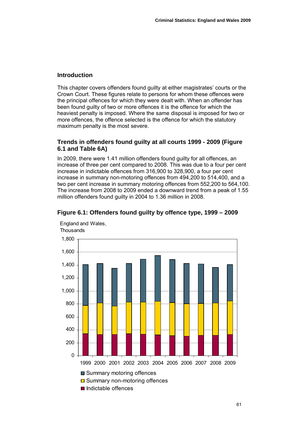### **Introduction**

This chapter covers offenders found guilty at either magistrates' courts or the Crown Court. These figures relate to persons for whom these offences were the principal offences for which they were dealt with. When an offender has been found guilty of two or more offences it is the offence for which the heaviest penalty is imposed. Where the same disposal is imposed for two or more offences, the offence selected is the offence for which the statutory maximum penalty is the most severe.

## **Trends in offenders found guilty at all courts 1999 - 2009 (Figure 6.1 and Table 6A)**

In 2009, there were 1.41 million offenders found guilty for all offences, an increase of three per cent compared to 2008. This was due to a four per cent increase in indictable offences from 316,900 to 328,900, a four per cent increase in summary non-motoring offences from 494,200 to 514,400, and a two per cent increase in summary motoring offences from 552,200 to 564,100. The increase from 2008 to 2009 ended a downward trend from a peak of 1.55 million offenders found guilty in 2004 to 1.36 million in 2008.



### **Figure 6.1: Offenders found guilty by offence type, 1999 – 2009**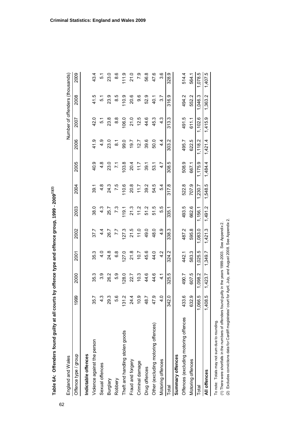Table 6A: Offenders found guilty at all courts by offence type and offence group, 1999 - 2009<sup>(1)(2)</sup> **Table 6A: Offenders found guilty at all courts by offence type and offence group, 1999 - 2009(1)(2)**

| $\overline{\phantom{a}}$ |
|--------------------------|
| č                        |
| þ<br>ີ່ເ                 |
| ĭ                        |

| =        |
|----------|
|          |
|          |
|          |
|          |
|          |
| <u>`</u> |
|          |
|          |
|          |
|          |
| Ξ        |
|          |
|          |
| ځ<br>i   |
|          |
|          |
|          |
| I        |
|          |
| ī        |
|          |
|          |
|          |
|          |
|          |
|          |
|          |

| England and Wales                     |                |               |               |               |         |               |               |                  |                  | Number of offenders (thousands) |                |
|---------------------------------------|----------------|---------------|---------------|---------------|---------|---------------|---------------|------------------|------------------|---------------------------------|----------------|
| Offence type / group                  | 1999           | 2000          | <b>2001</b>   | 2002          | 2003    | 2004          | 2005          | 2006             | 2007             | 2008                            | 2009           |
| Indictable offences                   |                |               |               |               |         |               |               |                  |                  |                                 |                |
| Violence against the person           | 35.7           | 35.3          | 35.3          | 37.7          | 38.0    | 39.1          | 40.9          | 41.9             | 42.0             | 41.5                            | 43.4           |
| Sexual offences                       | ್ತ<br>4        | 3.9           | $\frac{1}{4}$ | $4\cdot$      | 4.3     | $\frac{8}{4}$ | $\frac{8}{4}$ | d :5             | 5.1              | 51                              | 5.1            |
| Burglary                              | ვ<br>29.       | 26.2          | 24.8          | 26.7          | 25.7    | 24.3          | 23.0          | 23.0             | 23.8             | 23.9                            | 23.0           |
| Robbery                               | <u>ნ</u>       | 5.9           | 6.8           | 7.7           | 7.3     | 7.5           | $\frac{1}{2}$ | $\overline{8}$ . | 8.8              | 8.5                             | 8.6            |
| Theft and handling stolen goods       | 131.2          | 128.0         | 127.0         | 127.3         | 119.1   | 110.6         | 103.8         | 9.0              | 106.0            | 110.9                           | $\frac{0}{11}$ |
| Fraud and forgery                     | 24.4           | 22.7          | 21.8          | 21.5          | 21.3    | 20.8          | 20.4          | 19.7             | 21.0             | 20.6                            | $\frac{0}{21}$ |
| Criminal damage                       | $\frac{5}{10}$ | 10.3          | 10.7          | 11.0          | 11.2    | 7.7           | 11.7          | 12.7             | 12.5             | 9.6                             | 7.9            |
| Drug offences                         | 48.7           | 44.6          | 45.6          | 49.0          | 51.2    | 39.2          | 39.1          | 39.6             | 44.6             | 52.9                            | 56.8           |
| Other (excluding motoring offences)   | 47.9           | 44.6          | 44.0          | 48.0          | 51.5    | 54.5          | 53.1          | 50.0             | 45.3             | 40.1                            | 47.6           |
| Motoring offences                     | $\frac{1}{4}$  | $\frac{1}{4}$ | $\frac{2}{4}$ | $\frac{9}{4}$ | 5.5     | 5.4           | 4.7           | $4\frac{4}{1}$   | $4.\overline{3}$ | 3.7                             | 3.6            |
| Total                                 | 342.0          | 325.5         | 324.2         | 338.3         | 335.1   | 317.8         | 308.5         | 303.2            | 313.3            | 316.9                           | 328.9          |
| Summary offences                      |                |               |               |               |         |               |               |                  |                  |                                 |                |
| Offences (excluding motoring offences | 433.6          | 490.7         | 442.1         | 487.2         | 493.5   | 522.8         | 508.9         | 495.7            | 491.5            | 494.2                           | 514.4          |
| Motoring offences                     | 632.9          | 607.5         | 583.3         | 595.8         | 662.6   | 707.9         | 667.1         | 622.5            | 611.1            | 552.2                           | 564.1          |
| Total                                 | 1,066.5        | 1,098.2       | 1,025.5       | 1,083.0       | 1,156.1 | <b>230.7</b>  | 1,175.9       | 1,118.2          | 1,102.6          | 1,046.3                         | 1,078.5        |
| All offences                          | 1,408.5        | 1,423.7       | 1,349.7       | 1,421.3       | 1,491.2 | 1,548.5       | 1,484.4       | 1,421.4          | 1,415.9          | 1,363.2                         | 1,407.5        |

To note: Totals may not sum due to rounding. To note: Totals may not sum due to rounding.

(1) There were shortfalls in the numbers of offenders found guilty in the years 1999-2003. See Appendix 2. (1) There were shortfalls in the numbers of offenders found guilty in the years 1999-2003. See Appendix 2.

(2) Excludes convictions data for Cardiff magistrates' court for April, July, and August 2008. See Appendix 2. (2) Excludes convictions data for Cardiff magistrates' court for April, July, and August 2008. See Appendix 2.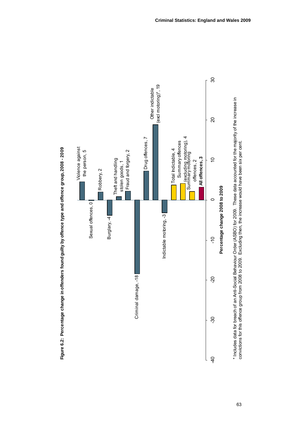

Figure 6.2: Percentage change in offenders found guilty by offence type and offence group, 2008 - 2009 **Figure 6.2: Percentage change in offenders found guilty by offence type and offence group, 2008 - 2009**

\* Includes data for breach of an Anti-Social Behaviour Order (ASBO) for 2009. These data accounted for the majority of the increase in \* Includes data for breach of an Anti-Social Behaviour Order (ASBO) for 2009. These data accounted for the majority of the increase in convictions for this offence group from 2008 to 2009. Excluding then, the increase would have been six per cent. convictions for this offence group from 2008 to 2009. Excluding then, the increase would have been six per cent.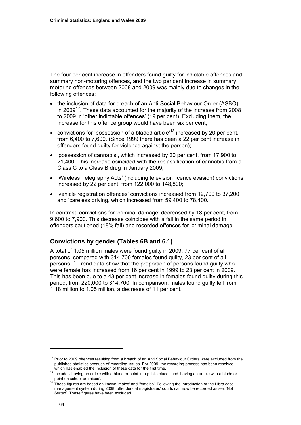The four per cent increase in offenders found guilty for indictable offences and summary non-motoring offences, and the two per cent increase in summary motoring offences between 2008 and 2009 was mainly due to changes in the following offences:

- the inclusion of data for breach of an Anti-Social Behaviour Order (ASBO) in 2009 $12$ . These data accounted for the majority of the increase from 2008 to 2009 in 'other indictable offences' (19 per cent). Excluding them, the increase for this offence group would have been six per cent;
- convictions for 'possession of a bladed article'<sup>[13](#page-67-1)</sup> increased by 20 per cent, from 6,400 to 7,600. (Since 1999 there has been a 22 per cent increase in offenders found guilty for violence against the person);
- 'possession of cannabis', which increased by 20 per cent, from 17,900 to 21,400. This increase coincided with the reclassification of cannabis from a Class C to a Class B drug in January 2009;
- 'Wireless Telegraphy Acts' (including television licence evasion) convictions increased by 22 per cent, from 122,000 to 148,800;
- 'vehicle registration offences' convictions increased from 12,700 to 37,200 and 'careless driving, which increased from 59,400 to 78,400.

In contrast, convictions for 'criminal damage' decreased by 18 per cent, from 9,600 to 7,900. This decrease coincides with a fall in the same period in offenders cautioned (18% fall) and recorded offences for 'criminal damage'.

## **Convictions by gender (Tables 6B and 6.1)**

A total of 1.05 million males were found guilty in 2009, 77 per cent of all persons, compared with 314,700 females found guilty, 23 per cent of all persons.[14](#page-67-2) Trend data show that the proportion of persons found guilty who were female has increased from 16 per cent in 1999 to 23 per cent in 2009. This has been due to a 43 per cent increase in females found guilty during this period, from 220,000 to 314,700. In comparison, males found guilty fell from 1.18 million to 1.05 million, a decrease of 11 per cent.

 $\overline{a}$ 

<span id="page-67-0"></span> $12$  Prior to 2009 offences resulting from a breach of an Anti Social Behaviour Orders were excluded from the published statistics because of recording issues. For 2009, the recording process has been resolved, which has enabled the inclusion of these data for the first time.

<span id="page-67-1"></span> $13$  Includes 'having an article with a blade or point in a public place', and 'having an article with a blade or point on school premises'.

<span id="page-67-2"></span><sup>&</sup>lt;sup>14</sup> These figures are based on known 'males' and 'females'. Following the introduction of the Libra case management system during 2008, offenders at magistrates' courts can now be recorded as sex 'Not Stated'. These figures have been excluded.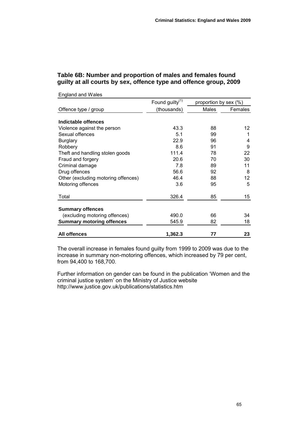## **Table 6B: Number and proportion of males and females found guilty at all courts by sex, offence type and offence group, 2009**

| <b>England and Wales</b>            |                             |                       |         |
|-------------------------------------|-----------------------------|-----------------------|---------|
|                                     | Found guilty <sup>(1)</sup> | proportion by sex (%) |         |
| Offence type / group                | (thousands)                 | Males                 | Females |
| Indictable offences                 |                             |                       |         |
| Violence against the person         | 43.3                        | 88                    | 12      |
| Sexual offences                     | 5.1                         | 99                    | 1       |
| <b>Burglary</b>                     | 22.9                        | 96                    | 4       |
| Robbery                             | 8.6                         | 91                    | 9       |
| Theft and handling stolen goods     | 111.4                       | 78                    | 22      |
| Fraud and forgery                   | 20.6                        | 70                    | 30      |
| Criminal damage                     | 7.8                         | 89                    | 11      |
| Drug offences                       | 56.6                        | 92                    | 8       |
| Other (excluding motoring offences) | 46.4                        | 88                    | 12      |
| Motoring offences                   | 3.6                         | 95                    | 5       |
| Total                               | 326.4                       | 85                    | 15      |
| <b>Summary offences</b>             |                             |                       |         |
| (excluding motoring offences)       | 490.0                       | 66                    | 34      |
| <b>Summary motoring offences</b>    | 545.9                       | 82                    | 18      |
| <b>All offences</b>                 | 1,362.3                     | 77                    | 23      |

The overall increase in females found guilty from 1999 to 2009 was due to the increase in summary non-motoring offences, which increased by 79 per cent, from 94,400 to 168,700.

Further information on gender can be found in the publication 'Women and the criminal justice system' on the Ministry of Justice website http://www.justice.gov.uk/publications/statistics.htm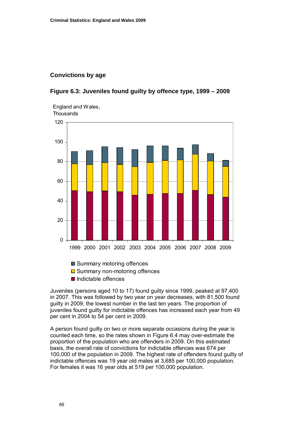## **Convictions by age**

### **Figure 6.3: Juveniles found guilty by offence type, 1999 – 2009**

England and Wales, **Thousands** 



- $\Box$  Summary non-motoring offences
- Indictable offences

Juveniles (persons aged 10 to 17) found guilty since 1999, peaked at 97,400 in 2007. This was followed by two year on year decreases, with 81,500 found guilty in 2009, the lowest number in the last ten years. The proportion of juveniles found guilty for indictable offences has increased each year from 49 per cent in 2004 to 54 per cent in 2009.

A person found guilty on two or more separate occasions during the year is counted each time, so the rates shown in Figure 6.4 may over-estimate the proportion of the population who are offenders in 2009. On this estimated basis, the overall rate of convictions for indictable offences was 674 per 100,000 of the population in 2009. The highest rate of offenders found guilty of indictable offences was 19 year old males at 3,685 per 100,000 population. For females it was 16 year olds at 519 per 100,000 population.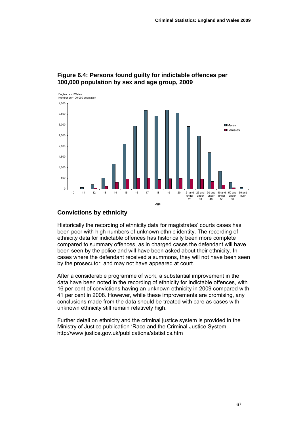

## **Figure 6.4: Persons found guilty for indictable offences per 100,000 population by sex and age group, 2009**

## **Convictions by ethnicity**

Historically the recording of ethnicity data for magistrates' courts cases has been poor with high numbers of unknown ethnic identity. The recording of ethnicity data for indictable offences has historically been more complete compared to summary offences, as in charged cases the defendant will have been seen by the police and will have been asked about their ethnicity. In cases where the defendant received a summons, they will not have been seen by the prosecutor, and may not have appeared at court.

After a considerable programme of work, a substantial improvement in the data have been noted in the recording of ethnicity for indictable offences, with 16 per cent of convictions having an unknown ethnicity in 2009 compared with 41 per cent in 2008. However, while these improvements are promising, any conclusions made from the data should be treated with care as cases with unknown ethnicity still remain relatively high.

Further detail on ethnicity and the criminal justice system is provided in the Ministry of Justice publication 'Race and the Criminal Justice System. <http://www.justice.gov.uk/publications/statistics.htm>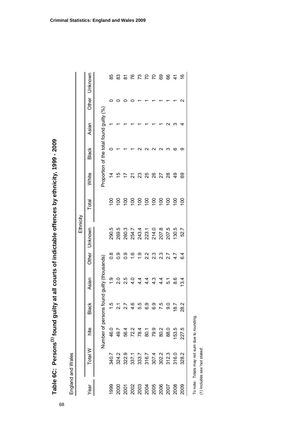|                   | Table 6C: Persons <sup>(1)</sup> found guilty at |       |                         |                    |                  | all courts of indictable offences by ethnicity, 1999 - 2009 |                  |               |                                          |       |       |                |
|-------------------|--------------------------------------------------|-------|-------------------------|--------------------|------------------|-------------------------------------------------------------|------------------|---------------|------------------------------------------|-------|-------|----------------|
| England and Wales |                                                  |       |                         |                    |                  |                                                             |                  |               |                                          |       |       |                |
|                   |                                                  |       |                         |                    |                  | Ethnicity                                                   |                  |               |                                          |       |       |                |
| Year              | Total W                                          | hite  | Black                   | Asian              |                  | Other Unknown                                               | Total            | White         | Black                                    | Asian | Other | Unknown        |
|                   |                                                  |       | Number of persons found | guilty (thousands) |                  |                                                             |                  |               | Proportion of the total found guilty (%) |       |       |                |
| 1999              | 340.7                                            | 46.0  |                         | $\frac{6}{1}$      | $\frac{8}{2}$    | 290.5                                                       | $\overline{0}$   | 4             |                                          |       |       | 85             |
| 2000              | 324.2                                            | 49.7  | ر<br>21                 | 2.0                | $\frac{0}{2}$    | 269.5                                                       | $\overline{5}$   |               |                                          |       |       | 83             |
| 2001              | 322.9                                            | 56.4  |                         | 2.5                | $\frac{0}{2}$    | 260.3                                                       | $\overline{100}$ |               |                                          |       |       | ౚ              |
| 2002              | 337.1                                            | 72.2  |                         | 4.0                | 1.6              | 254.7                                                       | 100              |               |                                          |       |       | 76             |
| 2003              | 333.7                                            | 78.4  | ს.<br>სე                | $4\overline{4}$    | $\frac{5}{1}$    | 243.4                                                       | 100              | 23            |                                          |       |       | 73             |
| 2004              | 316.7                                            | 80.1  | <b>0.9</b>              | $\frac{4}{4}$      | $2.\overline{2}$ | 223.1                                                       | 100              | 25            |                                          |       |       | ၃              |
| 2005              | 307.4                                            | 79.9  | <u>၀</u>                | 4.3                | $2.\overline{3}$ | 214.0                                                       | $\overline{100}$ | $\frac{8}{2}$ |                                          |       |       | ۶              |
| 2006              | 302.2                                            | 80.2  | 7.5                     | $4\overline{4}$    | $2.\overline{3}$ | 207.8                                                       | 100              | 27            |                                          |       |       | 89             |
| 2007              | 312.3                                            | 88.0  | 9.0                     | 5.1                | 2.7              | 207.5                                                       | 100              | $\frac{8}{2}$ |                                          |       |       | 89             |
| 2008              | 316.0                                            | 153.5 | 18.7                    | 8.6                | 4.7              | 130.5                                                       | 100              | QÞ            |                                          |       |       | $\vec{t}$      |
| 2009              | 328.2                                            | 227.5 | 28.2                    | 13.4               | $6\overline{4}$  | 52.7                                                        | $\overline{0}$   | 89            | σ.                                       |       |       | $\overline{6}$ |
|                   |                                                  |       |                         |                    |                  |                                                             |                  |               |                                          |       |       |                |

To note: Totals may not sum due to rounding. To note: Totals may not sum due to rounding.

(1) Includes sex 'not stated'. (1) Includes sex 'not stated'.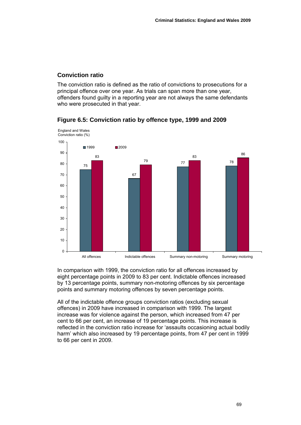# **Conviction ratio**

The conviction ratio is defined as the ratio of convictions to prosecutions for a principal offence over one year. As trials can span more than one year, offenders found guilty in a reporting year are not always the same defendants who were prosecuted in that year.



**Figure 6.5: Conviction ratio by offence type, 1999 and 2009** 

In comparison with 1999, the conviction ratio for all offences increased by eight percentage points in 2009 to 83 per cent. Indictable offences increased by 13 percentage points, summary non-motoring offences by six percentage points and summary motoring offences by seven percentage points.

All of the indictable offence groups conviction ratios (excluding sexual offences) in 2009 have increased in comparison with 1999. The largest increase was for violence against the person, which increased from 47 per cent to 66 per cent, an increase of 19 percentage points. This increase is reflected in the conviction ratio increase for 'assaults occasioning actual bodily harm' which also increased by 19 percentage points, from 47 per cent in 1999 to 66 per cent in 2009.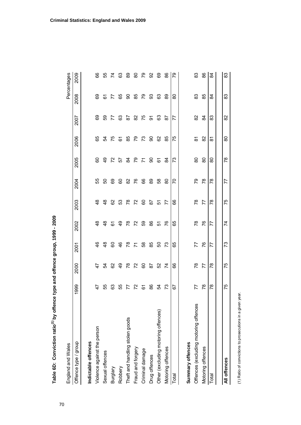| ſ      |
|--------|
| Ō<br>Š |
|        |
|        |
|        |
| ī<br>Q |
| C      |
|        |
| ١      |
|        |
| ٠      |

| Table 6D: Conviction ratio <sup>(1)</sup> by offence type and offence group, 1999 - 2009 |               |               |               |                 |                 |               |                |                          |                |                |             |
|------------------------------------------------------------------------------------------|---------------|---------------|---------------|-----------------|-----------------|---------------|----------------|--------------------------|----------------|----------------|-------------|
| England and Wales                                                                        |               |               |               |                 |                 |               |                |                          |                |                | Percentages |
| Offence type / group                                                                     | 999           | 2000          | 2001          | 2002            | 2003            | 2004          | 2005           | 2006                     | 2007           | 2008           | 2009        |
| Indictable offences                                                                      |               |               |               |                 |                 |               |                |                          |                |                |             |
| Violence against the person                                                              | 47            | 47            | क             | $\frac{8}{3}$   | $\frac{8}{4}$   | 55            | 60             | 65                       | 89             | 69             | 8           |
| Sexual offences                                                                          | 55            | R,            | $\frac{8}{3}$ | $\frac{8}{4}$   | $\frac{8}{4}$   | SO            | क              | R,                       | SS             | <u>৯</u>       | 55          |
| Burglary                                                                                 | යි            | 82            | 8             | ৯               | 82              | 89            | $\overline{r}$ | 75                       | 7              | 77             | 74          |
| Robbery                                                                                  | 55            | ĜÞ            | $\frac{4}{5}$ | $\frac{9}{4}$   | 53              | 60            | 57             | 6                        | 63             | 65             | 63          |
| Theft and handling stolen goods                                                          | 77            | $\frac{8}{3}$ | 78            | $\frac{8}{3}$   | $\frac{8}{3}$   | 82            | $\frac{8}{4}$  | 85                       | 87             | 90             | 89          |
| Fraud and forgery                                                                        | 72            | 72            | 7             | 72              | $\overline{72}$ | 76            | 6۷             | 6۷                       | 82             | 85             | 80          |
| Criminal damage                                                                          | 6             | 8             | 58            | 59              | 60              | 89            | Σ              | 73                       | 75             | 79             | 54          |
| Drug offences                                                                            | 86            | 29            | 85            | 86              | $\overline{8}$  | 89            | 8              | 8                        | ৯              | 3              | 8           |
| Other (excluding motoring offences)                                                      | 54            | 52            | 8             | 5               | 5               | 58            | <u>৯</u>       | 8                        | යි             | යි             | 89          |
| Motoring offences                                                                        | 73            | 4             | ಌ             | 76              | 77              | 80            | æ              | 85                       | 7s             | 89             | 88          |
| Total                                                                                    | 5             | 89            | 89            | 65              | 89              | 50            | ಌ              | 75                       | 77             | 80             |             |
| Summary offences                                                                         |               |               |               |                 |                 |               |                |                          |                |                |             |
| Offences (excluding motoring offences                                                    | 77            | 78            | 77            |                 | $\frac{8}{2}$   | 54            | 80             | $\overleftarrow{\infty}$ | 82             | 83             | 83          |
| Motoring offences                                                                        | $\frac{8}{3}$ | 77            | 76            | <b>78</b><br>76 | 77              | 78            | 80             | 82                       | $\mathfrak{A}$ | 85             | 86          |
| Total                                                                                    | $\frac{8}{3}$ | œ             | 77            | 77              | $\frac{8}{10}$  | $\frac{8}{2}$ | 8              | ౚ                        | జ              | $\mathfrak{A}$ | \$          |
|                                                                                          |               |               |               |                 |                 |               |                |                          |                |                |             |
| All offences                                                                             | 75            | 75            | 73            | 74              | 75              | 77            | $\approx$      | 8                        | 82             | 83             | 83          |

(1) Ratio of convictions to prosecutions in a given year. (1) Ratio of convictions to prosecutions in a given year.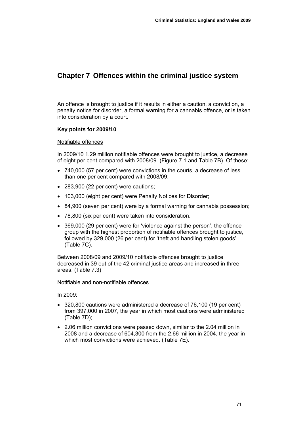# **Chapter 7 Offences within the criminal justice system**

An offence is brought to justice if it results in either a caution, a conviction, a penalty notice for disorder, a formal warning for a cannabis offence, or is taken into consideration by a court.

## **Key points for 2009/10**

#### Notifiable offences

In 2009/10 1.29 million notifiable offences were brought to justice, a decrease of eight per cent compared with 2008/09. (Figure 7.1 and Table 7B). Of these:

- 740,000 (57 per cent) were convictions in the courts, a decrease of less than one per cent compared with 2008/09;
- 283,900 (22 per cent) were cautions;
- 103,000 (eight per cent) were Penalty Notices for Disorder;
- 84,900 (seven per cent) were by a formal warning for cannabis possession;
- 78,800 (six per cent) were taken into consideration.
- 369,000 (29 per cent) were for 'violence against the person', the offence group with the highest proportion of notifiable offences brought to justice, followed by 329,000 (26 per cent) for 'theft and handling stolen goods'. (Table 7C).

Between 2008/09 and 2009/10 notifiable offences brought to justice decreased in 39 out of the 42 criminal justice areas and increased in three areas. (Table 7.3)

#### Notifiable and non-notifiable offences

In 2009:

- 320,800 cautions were administered a decrease of 76,100 (19 per cent) from 397,000 in 2007, the year in which most cautions were administered (Table 7D);
- 2.06 million convictions were passed down, similar to the 2.04 million in 2008 and a decrease of 604,300 from the 2.66 million in 2004, the year in which most convictions were achieved. (Table 7E).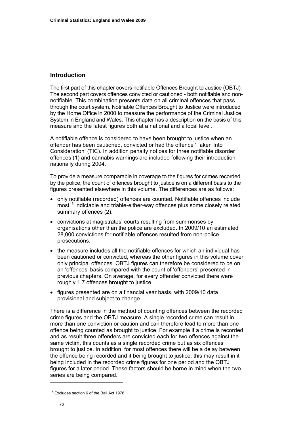# **Introduction**

The first part of this chapter covers notifiable Offences Brought to Justice (OBTJ). The second part covers offences convicted or cautioned - both notifiable and nonnotifiable. This combination presents data on all criminal offences that pass through the court system. Notifiable Offences Brought to Justice were introduced by the Home Office in 2000 to measure the performance of the Criminal Justice System in England and Wales. This chapter has a description on the basis of this measure and the latest figures both at a national and a local level.

A notifiable offence is considered to have been brought to justice when an offender has been cautioned, convicted or had the offence 'Taken Into Consideration' (TIC). In addition penalty notices for three notifiable disorder offences (1) and cannabis warnings are included following their introduction nationally during 2004.

To provide a measure comparable in coverage to the figures for crimes recorded by the police, the count of offences brought to justice is on a different basis to the figures presented elsewhere in this volume. The differences are as follows:

- only notifiable (recorded) offences are counted. Notifiable offences include most<sup>[15](#page-75-0)</sup> indictable and triable-either-way offences plus some closely related summary offences (2).
- convictions at magistrates' courts resulting from summonses by organisations other than the police are excluded. In 2009/10 an estimated 28,000 convictions for notifiable offences resulted from non-police prosecutions.
- the measure includes all the notifiable offences for which an individual has been cautioned or convicted, whereas the other figures in this volume cover only principal offences. OBTJ figures can therefore be considered to be on an 'offences' basis compared with the count of 'offenders' presented in previous chapters. On average, for every offender convicted there were roughly 1.7 offences brought to justice.
- figures presented are on a financial year basis, with 2009/10 data provisional and subject to change.

There is a difference in the method of counting offences between the recorded crime figures and the OBTJ measure. A single recorded crime can result in more than one conviction or caution and can therefore lead to more than one offence being counted as brought to justice. For example if a crime is recorded and as result three offenders are convicted each for two offences against the same victim, this counts as a single recorded crime but as six offences brought to justice. In addition, for most offences there will be a delay between the offence being recorded and it being brought to justice; this may result in it being included in the recorded crime figures for one period and the OBTJ figures for a later period. These factors should be borne in mind when the two series are being compared.

 $\overline{a}$ 

<span id="page-75-0"></span><sup>&</sup>lt;sup>15</sup> Excludes section 6 of the Bail Act 1976.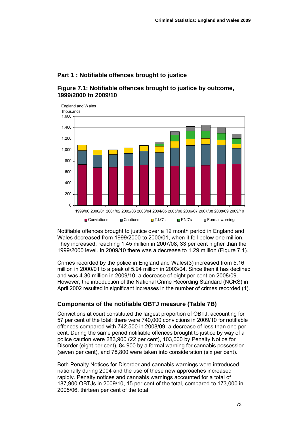# **Part 1 : Notifiable offences brought to justice**

# **Figure 7.1: Notifiable offences brought to justice by outcome, 1999/2000 to 2009/10**



Notifiable offences brought to justice over a 12 month period in England and Wales decreased from 1999/2000 to 2000/01, when it fell below one million. They increased, reaching 1.45 million in 2007/08, 33 per cent higher than the 1999/2000 level. In 2009/10 there was a decrease to 1.29 million (Figure 7.1).

Crimes recorded by the police in England and Wales(3) increased from 5.16 million in 2000/01 to a peak of 5.94 million in 2003/04. Since then it has declined and was 4.30 million in 2009/10, a decrease of eight per cent on 2008/09. However, the introduction of the National Crime Recording Standard (NCRS) in April 2002 resulted in significant increases in the number of crimes recorded (4).

# **Components of the notifiable OBTJ measure (Table 7B)**

Convictions at court constituted the largest proportion of OBTJ, accounting for 57 per cent of the total; there were 740,000 convictions in 2009/10 for notifiable offences compared with 742,500 in 2008/09, a decrease of less than one per cent. During the same period notifiable offences brought to justice by way of a police caution were 283,900 (22 per cent), 103,000 by Penalty Notice for Disorder (eight per cent), 84,900 by a formal warning for cannabis possession (seven per cent), and 78,800 were taken into consideration (six per cent).

Both Penalty Notices for Disorder and cannabis warnings were introduced nationally during 2004 and the use of these new approaches increased rapidly. Penalty notices and cannabis warnings accounted for a total of 187,900 OBTJs in 2009/10, 15 per cent of the total, compared to 173,000 in 2005/06, thirteen per cent of the total.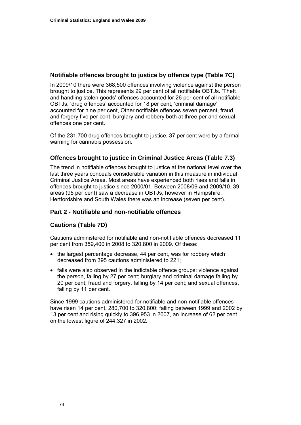# **Notifiable offences brought to justice by offence type (Table 7C)**

In 2009/10 there were 368,500 offences involving violence against the person brought to justice. This represents 29 per cent of all notifiable OBTJs. 'Theft and handling stolen goods' offences accounted for 26 per cent of all notifiable OBTJs, 'drug offences' accounted for 18 per cent, 'criminal damage' accounted for nine per cent, Other notifiable offences seven percent, fraud and forgery five per cent, burglary and robbery both at three per and sexual offences one per cent.

Of the 231,700 drug offences brought to justice, 37 per cent were by a formal warning for cannabis possession.

# **Offences brought to justice in Criminal Justice Areas (Table 7.3)**

The trend in notifiable offences brought to justice at the national level over the last three years conceals considerable variation in this measure in individual Criminal Justice Areas. Most areas have experienced both rises and falls in offences brought to justice since 2000/01. Between 2008/09 and 2009/10, 39 areas (95 per cent) saw a decrease in OBTJs, however in Hampshire, Hertfordshire and South Wales there was an increase (seven per cent).

# **Part 2 - Notifiable and non-notifiable offences**

# **Cautions (Table 7D)**

Cautions administered for notifiable and non-notifiable offences decreased 11 per cent from 359,400 in 2008 to 320,800 in 2009. Of these:

- the largest percentage decrease, 44 per cent, was for robbery which decreased from 395 cautions administered to 221;
- falls were also observed in the indictable offence groups: violence against the person, falling by 27 per cent; burglary and criminal damage falling by 20 per cent; fraud and forgery, falling by 14 per cent; and sexual offences, falling by 11 per cent.

Since 1999 cautions administered for notifiable and non-notifiable offences have risen 14 per cent, 280,700 to 320,800; falling between 1999 and 2002 by 13 per cent and rising quickly to 396,953 in 2007, an increase of 62 per cent on the lowest figure of 244,327 in 2002.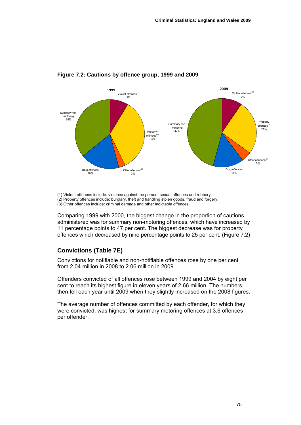

# **Figure 7.2: Cautions by offence group, 1999 and 2009**

(1) Violent offences include: violence against the person, sexual offences and robbery.

(2) Property offences include: burglary, theft and handling stolen goods, fraud and forgery.

(3) Other offences include: criminal damage and other indictable offences.

Comparing 1999 with 2000, the biggest change in the proportion of cautions administered was for summary non-motoring offences, which have increased by 11 percentage points to 47 per cent. The biggest decrease was for property offences which decreased by nine percentage points to 25 per cent. (Figure 7.2)

# **Convictions (Table 7E)**

Convictions for notifiable and non-notifiable offences rose by one per cent from 2.04 million in 2008 to 2.06 million in 2009.

Offenders convicted of all offences rose between 1999 and 2004 by eight per cent to reach its highest figure in eleven years of 2.66 million. The numbers then fell each year until 2009 when they slightly increased on the 2008 figures.

The average number of offences committed by each offender, for which they were convicted, was highest for summary motoring offences at 3.6 offences per offender.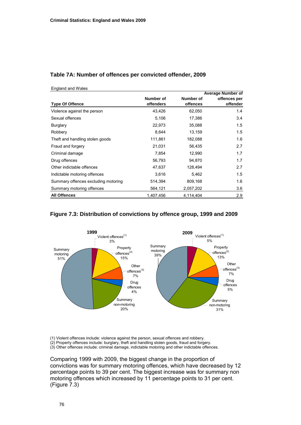# **Table 7A: Number of offences per convicted offender, 2009**

| England and Wales                   |           |                  |                          |
|-------------------------------------|-----------|------------------|--------------------------|
|                                     |           |                  | <b>Average Number of</b> |
|                                     | Number of | <b>Number of</b> | offences per             |
| <b>Type Of Offence</b>              | offenders | offences         | offender                 |
| Violence against the person         | 43,426    | 62,050           | 1.4                      |
| Sexual offences                     | 5,106     | 17,386           | 3.4                      |
| <b>Burglary</b>                     | 22,973    | 35,088           | 1.5                      |
| Robbery                             | 8,644     | 13,159           | 1.5                      |
| Theft and handling stolen goods     | 111,861   | 182,088          | 1.6                      |
| Fraud and forgery                   | 21,031    | 56,435           | 2.7                      |
| Criminal damage                     | 7,854     | 12,990           | 1.7                      |
| Drug offences                       | 56,793    | 94,870           | 1.7                      |
| Other indictable offences           | 47,637    | 128,494          | 2.7                      |
| Indictable motoring offences        | 3,616     | 5,462            | 1.5                      |
| Summary offences excluding motoring | 514,394   | 809,168          | 1.6                      |
| Summary motoring offences           | 564,121   | 2,057,202        | 3.6                      |
| <b>All Offences</b>                 | 1,407,456 | 4,114,404        | 2.9                      |

# **Figure 7.3: Distribution of convictions by offence group, 1999 and 2009**



(1) Violent offences include: violence against the person, sexual offences and robbery.

(2) Property offences include: burglary, theft and handling stolen goods, fraud and forgery.

(3) Other offences include: criminal damage, indictable motoring and other indictable offences.

Comparing 1999 with 2009, the biggest change in the proportion of convictions was for summary motoring offences, which have decreased by 12 percentage points to 39 per cent. The biggest increase was for summary non motoring offences which increased by 11 percentage points to 31 per cent. (Figure 7.3)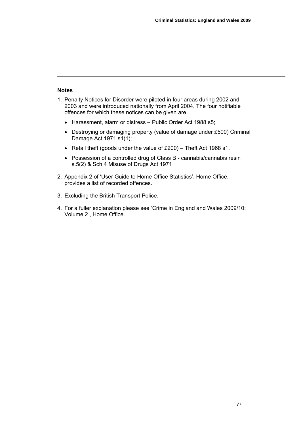#### **Notes**

- 1. Penalty Notices for Disorder were piloted in four areas during 2002 and 2003 and were introduced nationally from April 2004. The four notifiable offences for which these notices can be given are:
	- Harassment, alarm or distress Public Order Act 1988 s5;
	- Destroying or damaging property (value of damage under £500) Criminal Damage Act 1971 s1(1);
	- Retail theft (goods under the value of £200) Theft Act 1968 s1.
	- Possession of a controlled drug of Class B cannabis/cannabis resin s.5(2) & Sch 4 Misuse of Drugs Act 1971
- 2. [Appendix 2](#page-109-0) of 'User Guide to Home Office Statistics', Home Office, provides a list of recorded offences.
- 3. Excluding the British Transport Police.
- 4. For a fuller explanation please see 'Crime in England and Wales 2009/10: Volume 2 , Home Office.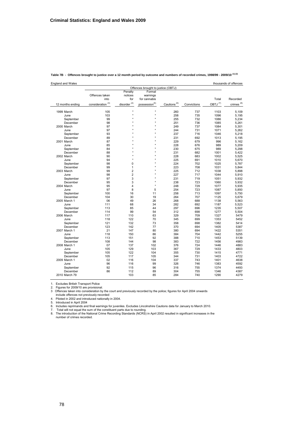| <b>England and Wales</b> |                              |                         |                                    |                         |             |                     | thousands of offences |
|--------------------------|------------------------------|-------------------------|------------------------------------|-------------------------|-------------|---------------------|-----------------------|
|                          |                              |                         | Offences brought to justice (OBTJ) |                         |             |                     |                       |
|                          |                              | Penalty                 | Formal                             |                         |             |                     |                       |
|                          | Offences taken               | notices                 | warnings                           |                         |             |                     |                       |
|                          | into                         | for                     | for cannabis                       |                         |             | Total               | Recorded              |
| 12 months ending         | consideration <sup>(3)</sup> | disorder <sup>(4)</sup> | possession <sup>(5)</sup>          | Cautions <sup>(6)</sup> | Convictions | OBTJ <sup>(7)</sup> | crimes <sup>(8)</sup> |
| 1999 March               | 105                          | $\star$                 | $\star$                            | 260                     | 737         | 1103                | 5.109                 |
| June                     | 103                          | $\star$                 | ÷                                  | 258                     | 735         | 1096                | 5,195                 |
| September                | 99                           | $\star$                 | ×                                  | 255                     | 732         | 1086                | 5,234                 |
| December                 | 98                           | $\star$                 | ÷                                  | 251                     | 736         | 1085                | 5,261                 |
| 2000 March               | 97                           | ×                       | ÷                                  | 249                     | 737         | 1084                | 5,301                 |
| June                     | 97                           |                         |                                    | 244                     | 731         | 1071                | 5,262                 |
| September                | 93                           |                         | ۸                                  | 237                     | 716         | 1046                | 5,218                 |
| December                 | 89                           | ×                       | ÷                                  | 231                     | 692         | 1013                | 5,195                 |
| 2001 March               | 87                           | ä,                      | ÷                                  | 229                     | 679         | 996                 | 5,162                 |
| June                     | 85                           | ×                       | ÷                                  | 228                     | 676         | 989                 | 5,209                 |
| September                | 84                           |                         |                                    | 230                     | 675         | 989                 | 5,298                 |
| December                 | 88                           | ۸                       | ۸                                  | 231                     | 682         | 1001                | 5,422                 |
| 2002 March               | 90                           | ż                       | ×                                  | 228                     | 683         | 1002                | 5,525                 |
| June                     | 94                           | ż                       | ä,                                 | 225                     | 691         | 1010                | 5,670                 |
| September                | 98                           | 0                       | ÷                                  | 224                     | 702         | 1025                | 5,787                 |
| December                 | 99                           | 1                       |                                    | 223                     | 708         | 1031                | 5,844                 |
| 2003 March               | 99                           | $\overline{2}$          | ×                                  | 225                     | 712         | 1038                | 5.898                 |
| June                     | 98                           | $\overline{2}$          | ÷                                  | 227                     | 717         | 1044                | 5,910                 |
| September                | 97                           | 3                       | ×                                  | 231                     | 719         | 1051                | 5,932                 |
| December                 | 95                           | 3                       | ÷                                  | 238                     | 723         | 1060                | 5,932                 |
| 2004 March               | 95                           | $\overline{4}$          | ×                                  | 248                     | 729         | 1077                | 5,935                 |
| June                     | 97                           | 8                       | 5                                  | 254                     | 723         | 1087                | 5,850                 |
| September                | 100                          | 16                      | 11                                 | 258                     | 713         | 1097                | 5,750                 |
| December                 | 104                          | 30                      | 19                                 | 264                     | 707         | 1125                | 5,679                 |
| 2005 March 1             | 06                           | 49                      | 26                                 | 268                     | 688         | 1138                | 5,563                 |
| June                     | 111                          | 68                      | 34                                 | 282                     | 692         | 1187                | 5,523                 |
| September                | 113                          | 85                      | 44                                 | 297                     | 696         | 1235                | 5,507                 |
| December                 | 114                          | 99                      | 54                                 | 312                     | 698         | 1277                | 5,504                 |
| 2006 March               | 117                          | 110                     | 63                                 | 329                     | 709         | 1327                | 5479                  |
| June                     | 118                          | 122                     | 70                                 | 345                     | 699         | 1353                | 5452                  |
| September                | 121                          | 132                     | 73                                 | 358                     | 698         | 1382                | 5414                  |
| December                 | 123                          | 142                     | 77                                 | 370                     | 694         | 1405                | 5387                  |
| 2007 March 1             | 21                           | 147                     | 80                                 | 380                     | 694         | 1422                | 5351                  |
| June                     | 118                          | 150                     | 86                                 | 384                     | 704         | 1442                | 5255                  |
| September                | 113                          | 151                     | 92                                 | 388                     | 710         | 1453                | 5139                  |
| December                 | 108                          | 144                     | 98                                 | 383                     | 722         | 1456                | 4983                  |
| 2008 March 1             | 07                           | 137                     | 102                                | 376                     | 724         | 1446                | 4883                  |
| June                     | 105                          | 129                     | 103                                | 367                     | 729         | 1433                | 4803                  |
| September                | 105                          | 122                     | 104                                | 355                     | 730         | 1415                | 4771                  |
| December                 | 105                          | 117                     | 105                                | 344                     | 731         | 1403                | 4722                  |
| 2009 March 1             | 02                           | 116                     | 104                                | 337                     | 743         | 1401                | 4638                  |
| June                     | 96                           | 116                     | 99                                 | 326                     | 746         | 1383                | 4592                  |
| September                | 92                           | 115                     | 96                                 | 316                     | 755         | 1374                | 4493                  |
| December                 | 86                           | 112                     | 89                                 | 304                     | 755         | 1346                | 4387                  |
|                          |                              |                         |                                    |                         |             |                     |                       |
| 2010 March 79            |                              | 103                     | 85                                 | 284                     | 740         | 1290                | 4279                  |

**Table 7B - Offences brought to justice over a 12 month period by outcome and numbers of recorded crimes, 1998/99 - 2009/10 (1) (2)**

1. Excludes British Transport Police

2. Figures for 2009/10 are provisional. 3 Offences taken into consideration by the court and previously recorded by the police; figures for April 2004 onwards include offences not previously recorded

4. Piloted in 2002 and introduced nationally in 2004. 5. Introduced in April 2004

6. Includes reprimands and final warnings for juveniles. Excludes Lincolnshire Cautions data for January to March 2010.<br>7. Total will not equal the sum of the constituent parts due to rounding.<br>8. The introduction o number of crimes recorded.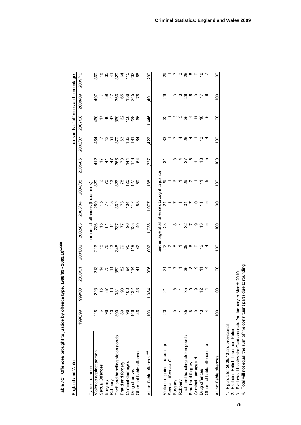| England and Wales                      |                 |                                                       |                 |                                      |                       |                                |                                               |             |                   |                         | thousands of offences and percentages |                                                      |
|----------------------------------------|-----------------|-------------------------------------------------------|-----------------|--------------------------------------|-----------------------|--------------------------------|-----------------------------------------------|-------------|-------------------|-------------------------|---------------------------------------|------------------------------------------------------|
|                                        | 1998/99         | 1999/00                                               | 2000/01         | 2001/02                              | 2002/03               | 2003/04                        | 2004/05                                       | 2005/06     | 2006/07           | 2007/08                 | 2008/09                               | 2009/10                                              |
| Type of offence                        |                 |                                                       |                 |                                      |                       | number of offences (thousands) |                                               |             |                   |                         |                                       |                                                      |
| Violence against person                |                 | 223                                                   | 213             | 216                                  | 236                   | 259                            | 329                                           | 412         | 464               | 460                     | 407                                   | 369                                                  |
| Sexual Offences                        |                 |                                                       |                 |                                      | $\frac{15}{2}$        | $\frac{15}{2}$                 |                                               |             |                   |                         |                                       | $\frac{8}{1}$                                        |
|                                        |                 |                                                       | はなけ             |                                      | <u>৯</u>              |                                |                                               | ヒュ          |                   | $\frac{4}{2}$           | $\approx 2$                           | 35                                                   |
| Burglary<br>Robbery                    |                 |                                                       |                 |                                      |                       |                                |                                               |             |                   | 47                      |                                       | $\frac{4}{1}$                                        |
| Theft and handling stolen goods        |                 | <b>ដូ</b> ខ្លួនទីដូង                                  | 352             | 56536                                | $787$<br>$75$         | 2588257                        | 5658                                          | 285729      | <b>ដូន</b> ដូង ដុ | 369                     | 488894                                | 329                                                  |
| Fraud and forgery                      |                 |                                                       |                 | 56                                   |                       |                                | $\overline{78}$                               |             |                   |                         |                                       |                                                      |
| Criminal damages                       |                 |                                                       | 82              | 95                                   | 96                    |                                | $\overline{20}$                               |             |                   |                         |                                       |                                                      |
| Drug offences                          |                 |                                                       | 11 <sub>4</sub> | $\frac{9}{10}$                       | $\frac{33}{2}$        |                                | 127                                           |             | $\overline{9}$    | 8<br>158<br>2           |                                       | 8 t is 23                                            |
| Other notifiable offences              |                 |                                                       | $\frac{4}{3}$   | $\overline{4}$                       | $\frac{9}{4}$         | 38                             | S9                                            |             | S,                | 89                      | $\approx$                             | 88                                                   |
| All notifiable offences <sup>(4)</sup> | 1,103           | 084                                                   | 996             | 002                                  | 038<br>$\overline{ }$ | 1,077                          | 1,138                                         | 1,327       | 1,422             | 1,446<br>$\overline{ }$ | 1,401                                 | 290                                                  |
|                                        |                 |                                                       |                 |                                      |                       |                                | percentage of all offences brought to justice |             |                   |                         |                                       |                                                      |
| Q<br>Violence gainst arson             | 20              | 21                                                    | 21              |                                      | 23                    | 24                             | 20                                            | 5           | ౘ                 | 32                      | 8                                     | 29                                                   |
| Sexual ffences                         |                 |                                                       |                 |                                      |                       |                                |                                               |             |                   |                         |                                       |                                                      |
|                                        | စ               |                                                       | $\overline{ }$  | $\frac{2}{3}$ $\sim$ $\infty$ $\sim$ | $\infty$              |                                | ဖ                                             | ო           | ო                 | ო                       |                                       |                                                      |
| Burglary<br>Robbery                    |                 |                                                       | $\overline{ }$  |                                      | $\overline{ }$        |                                | $\overline{\phantom{0}}$                      | 4           |                   | ి ద                     |                                       |                                                      |
| Theft and handling stolen goods        | 35              | $\infty$ $ \approx$ $\infty$ $\infty$ $\infty$ $\sim$ | 35              | <u>အ</u> စ စ ပု 4                    | $\frac{2}{5}$ $\sim$  | 34                             | 29                                            | 27          | 48                |                         | ကကင္လ က ဥ င္း စ                       | $ \omega$ $\omega$ $\omega$ $\omega$ $\omega$ $\sim$ |
| Fraud and forgery                      | $\infty$        |                                                       | ∞ ာ             |                                      |                       |                                | $\overline{ }$                                | ဖ           |                   |                         |                                       |                                                      |
| ত<br>Criminal amages                   | ာ               |                                                       |                 |                                      | တ                     | ó                              | $\tilde{L}$                                   | $\tilde{=}$ |                   | 4L                      |                                       |                                                      |
| Drug offences                          | ്               |                                                       | $\tilde{r}$     |                                      | ္မာ မာ                | $\tilde{\tau}$                 | $\tilde{L}$                                   | ှာ ပ        | $4 - 5$ $4$       | $\frac{6}{6}$ ro        |                                       |                                                      |
| o<br>Other otifiable ffences           |                 |                                                       | 4               |                                      |                       | ഹ                              | ഹ                                             |             |                   |                         |                                       |                                                      |
| All notifiable offences                | $\frac{100}{2}$ | $\overline{00}$                                       | 001             | $\overline{100}$                     | 001                   | 100                            | 100                                           | 8           | 100               | 100                     | $\overline{0}$                        | 001                                                  |
|                                        |                 |                                                       |                 |                                      |                       |                                |                                               |             |                   |                         |                                       |                                                      |

Table 7C Offences brought to justice by offence type, 1998/99 - 2009/10<sup>(1)(2)(3)</sup> **Table 7C Offences brought to justice by offence type, 1998/99 - 2009/10(1)(2)(3)**

2. Excludes British Transport Police.

1. Figures for 2009/10 are provisional.

1. Figures for 2009/10 are provisional.<br>2. Excludes British Transport Police.<br>3. Excludes Lincolnshire Cautions data for January to March 2010.<br>4. Total will not equal the sum of the constituent parts due to rounding. 4. Total will not equal the sum of the constituent parts due to rounding. 3. Excludes Lincolnshire Cautions data for January to March 2010.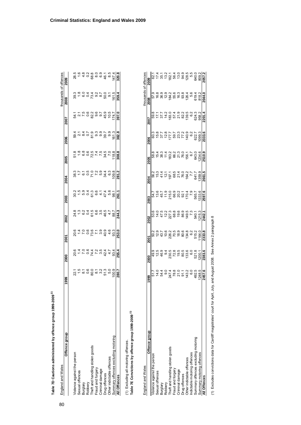**Table 7D Cautions administered by offence group 1999-2009** Table 7D Cautions administered by offence group 1999-2009<sup>(1)</sup>

England and Wales thousands of offences England and Wales 80

| Offence group                       | <b>1999</b>  | <b>2000</b>                     | នី    | 2002  | 2003  | 2004                                                                                                                           | 2005  | 2006  | 2007  | 2008                                                  | 2009                                                         |
|-------------------------------------|--------------|---------------------------------|-------|-------|-------|--------------------------------------------------------------------------------------------------------------------------------|-------|-------|-------|-------------------------------------------------------|--------------------------------------------------------------|
|                                     |              |                                 |       |       |       |                                                                                                                                |       |       |       |                                                       |                                                              |
| liolence against the person         |              |                                 |       |       |       |                                                                                                                                |       |       |       |                                                       |                                                              |
| Sexual offences                     |              |                                 |       |       |       |                                                                                                                                |       |       |       |                                                       |                                                              |
|                                     |              |                                 |       |       |       |                                                                                                                                |       |       |       |                                                       |                                                              |
| Burglary<br>Robbery                 |              |                                 |       |       |       |                                                                                                                                |       |       |       |                                                       |                                                              |
| Theft and handling stolen goods     |              |                                 |       |       |       |                                                                                                                                |       |       |       |                                                       |                                                              |
| Fraud and forgery                   |              |                                 |       |       |       |                                                                                                                                |       |       |       |                                                       |                                                              |
| Criminal damage                     |              |                                 |       |       |       |                                                                                                                                |       |       |       |                                                       |                                                              |
| Drug offences                       |              |                                 |       |       |       |                                                                                                                                |       |       |       |                                                       |                                                              |
| Other indictable offences           |              | 81<br>81604164488<br>8160416454 |       |       |       | $89 - 69 - 69$<br>$109 - 69$<br>$109 - 69$<br>$109 - 69$<br>$109 - 69$<br>$109 - 69$<br>$109 - 69$<br>$109 - 69$<br>$109 - 69$ |       |       |       | 8<br>8 - 8 0 8 9 8 8 9 8 9<br>8 - 8 0 9 4 9 7 0 9 9 9 | 80<br>80 – 4 0 80 80 80 80 7 80<br>80 – 4 0 80 80 80 7 80 80 |
| summary offences excluding motoring |              |                                 |       |       |       |                                                                                                                                |       |       |       |                                                       |                                                              |
| Il Offences                         | <b>Z80.7</b> | 255.4                           | 253.0 | 244.3 | 261.1 | 281.2                                                                                                                          | 308.8 | 382.8 | 397.0 | 359.4                                                 |                                                              |
|                                     |              |                                 |       |       |       |                                                                                                                                |       |       |       |                                                       |                                                              |

(1) Excluding all motoring offences.<br>Table 7E Convictions by offence group 1999-2009 <sup>(1)</sup> (1) Excluding all motoring offences.

|  | č      |                                                                                     | ֡֡֡֡֡֡֡֡֡ |
|--|--------|-------------------------------------------------------------------------------------|-----------|
|  |        |                                                                                     |           |
|  |        |                                                                                     |           |
|  | ž<br>ì | ֖֖֖֖֖֖֖֖֖֖֖֖֧֪ׅ֖ׅ֖֖֖֖֖֖֖֖֖֖֖֖֧֖֧֪֪֪֪֪֪֪ׅ֖֚֚֚֚֚֚֚֚֚֚֚֚֚֚֚֚֚֚֚֬֝֝֓֞֝֓֞֝֓֞֝֓֝֓֞֝֓֞֝֓֞֝ |           |
|  |        | Í                                                                                   |           |
|  |        |                                                                                     |           |
|  |        |                                                                                     |           |
|  |        |                                                                                     |           |

| England and Wales                   |              |               |                               |                                                                                                  |        |                                                 |                          |                                                                                                          |                                                           | thousands of offences                                                                                                                                  |                                                                                                                                                                                                                                                                                                                                    |
|-------------------------------------|--------------|---------------|-------------------------------|--------------------------------------------------------------------------------------------------|--------|-------------------------------------------------|--------------------------|----------------------------------------------------------------------------------------------------------|-----------------------------------------------------------|--------------------------------------------------------------------------------------------------------------------------------------------------------|------------------------------------------------------------------------------------------------------------------------------------------------------------------------------------------------------------------------------------------------------------------------------------------------------------------------------------|
| Offence group                       | 1999         | 2000          | 2001                          | 2002                                                                                             | 2003   | 2004                                            | 2005                     | 2006                                                                                                     | 2007                                                      | 2008                                                                                                                                                   | 2009                                                                                                                                                                                                                                                                                                                               |
| Violence against the person         |              | 49.9          |                               |                                                                                                  | 54.7   | 56.2                                            | 58.8                     | 60.3                                                                                                     | 59.8                                                      |                                                                                                                                                        |                                                                                                                                                                                                                                                                                                                                    |
| Sexual offences                     |              |               |                               |                                                                                                  |        |                                                 |                          |                                                                                                          |                                                           |                                                                                                                                                        |                                                                                                                                                                                                                                                                                                                                    |
| Burglary                            |              | 12.9<br>46.9  | 8 5 4 5<br>8 5 4 5<br>9 5 7 9 |                                                                                                  |        | 15 4 5<br>15 4 5 1                              | ਨ ਲੋ <i>=</i><br>ਜ਼ਿਲੇ = |                                                                                                          |                                                           | 5<br>2<br>2<br>2<br>2<br>2<br>2<br>2<br>2<br>2<br>2<br>2<br>2<br>2<br>2<br>2<br>2<br>2<br>1<br>2<br>2<br>1<br>2<br>2<br>1<br>2<br>1<br>2<br>1<br>2<br> | 214<br>2542                                                                                                                                                                                                                                                                                                                        |
| Robbery                             |              | ò             |                               |                                                                                                  |        |                                                 |                          |                                                                                                          |                                                           |                                                                                                                                                        |                                                                                                                                                                                                                                                                                                                                    |
| heft and handling stolen goods      |              |               |                               |                                                                                                  |        | $197.1$<br>$68.5$<br>$76.4$<br>$76.2$<br>$77.7$ |                          | $15.8$ $37.7$ $57.8$ $57.7$ $59.7$ $59.7$ $59.7$ $59.7$ $59.7$ $59.7$ $59.7$ $59.7$ $59.7$ $59.7$ $59.7$ | 5 5 5 6 7 9 9 9 9<br>1 7 9 9 9 9 9 9 9<br>1 7 9 9 9 9 9 9 | $184.6$<br>$18.6$<br>$18.6$<br>$18.8$<br>$18.4$                                                                                                        | $\begin{array}{c}\n 24500 \\  25400 \\  25400 \\  25400 \\  25400 \\  25400 \\  25400 \\  25400 \\  25400 \\  25400 \\  25400 \\  25400 \\  25400 \\  25400 \\  25400 \\  25400 \\  25400 \\  25400 \\  25400 \\  25400 \\  25400 \\  25400 \\  25400 \\  25400 \\  25400 \\  25400 \\  25400 \\  25400 \\  25400 \\  25400 \\  2$ |
| Fraud and forgery                   |              |               |                               | $27.3$<br>$0.8$<br>$0.9$<br>$0.9$<br>$0.9$<br>$0.9$<br>$0.7$<br>$0.7$<br>$0.7$<br>$0.7$<br>$0.7$ |        |                                                 |                          |                                                                                                          |                                                           |                                                                                                                                                        |                                                                                                                                                                                                                                                                                                                                    |
| Criminal damage                     |              |               |                               |                                                                                                  |        |                                                 |                          |                                                                                                          |                                                           |                                                                                                                                                        |                                                                                                                                                                                                                                                                                                                                    |
| Drug offences                       |              |               |                               |                                                                                                  |        |                                                 |                          |                                                                                                          |                                                           |                                                                                                                                                        |                                                                                                                                                                                                                                                                                                                                    |
| Other indictable offences           |              |               |                               |                                                                                                  |        |                                                 |                          |                                                                                                          |                                                           |                                                                                                                                                        |                                                                                                                                                                                                                                                                                                                                    |
| Indictable motoring offences        |              | <u>ن</u><br>6 | 6.2<br>515.2                  |                                                                                                  |        |                                                 |                          |                                                                                                          | 6.2                                                       | 5.6                                                                                                                                                    |                                                                                                                                                                                                                                                                                                                                    |
| Summary offences excluding motoring | 492.5        | 521.8         |                               |                                                                                                  |        | 641.7                                           |                          |                                                                                                          | 624.3                                                     | 619.4<br>818.2                                                                                                                                         |                                                                                                                                                                                                                                                                                                                                    |
| Summary motoring offences           | <b>248.5</b> | 200.          | 164.0                         | 215.3                                                                                            | 333.6  | 359.9                                           | 234.6                    | 099.3                                                                                                    | 958.2                                                     |                                                                                                                                                        |                                                                                                                                                                                                                                                                                                                                    |
| <b>di</b> Offences                  | 97.6         | 2383.6        | <b>333.8</b>                  | 1442.1                                                                                           | 2597.6 | 2661.5                                          | 510.9                    | <b>333.6</b>                                                                                             | <b>201.4</b>                                              | <b>044.0</b>                                                                                                                                           | 2.750                                                                                                                                                                                                                                                                                                                              |
|                                     |              |               |                               |                                                                                                  |        |                                                 |                          |                                                                                                          |                                                           |                                                                                                                                                        |                                                                                                                                                                                                                                                                                                                                    |

(1) Excludes convictions data for Cardiff magistrates' court for April, July, and August 2008. See Annex 2 paragraph 8 (1) Excludes convictions data for Cardiff magistrates' court for April, July, and August 2008. See Annex 2 paragraph 8

thousands of offences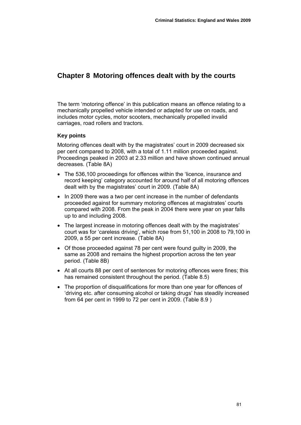# **Chapter 8 Motoring offences dealt with by the courts**

The term 'motoring offence' in this publication means an offence relating to a mechanically propelled vehicle intended or adapted for use on roads, and includes motor cycles, motor scooters, mechanically propelled invalid carriages, road rollers and tractors.

## **Key points**

Motoring offences dealt with by the magistrates' court in 2009 decreased six per cent compared to 2008, with a total of 1.11 million proceeded against. Proceedings peaked in 2003 at 2.33 million and have shown continued annual decreases. (Table 8A)

- The 536,100 proceedings for offences within the 'licence, insurance and record keeping' category accounted for around half of all motoring offences dealt with by the magistrates' court in 2009. (Table 8A)
- In 2009 there was a two per cent increase in the number of defendants proceeded against for summary motoring offences at magistrates' courts compared with 2008. From the peak in 2004 there were year on year falls up to and including 2008.
- The largest increase in motoring offences dealt with by the magistrates' court was for 'careless driving', which rose from 51,100 in 2008 to 79,100 in 2009, a 55 per cent increase. (Table 8A)
- Of those proceeded against 78 per cent were found guilty in 2009, the same as 2008 and remains the highest proportion across the ten year period. (Table 8B)
- At all courts 88 per cent of sentences for motoring offences were fines; this has remained consistent throughout the period. (Table 8.5)
- The proportion of disqualifications for more than one year for offences of 'driving etc. after consuming alcohol or taking drugs' has steadily increased from 64 per cent in 1999 to 72 per cent in 2009. (Table 8.9 )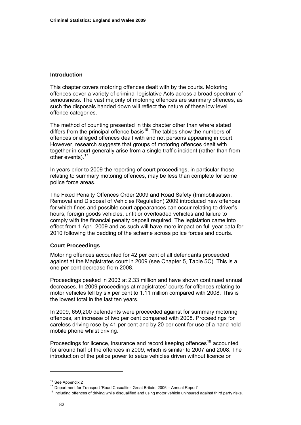## **Introduction**

This chapter covers motoring offences dealt with by the courts. Motoring offences cover a variety of criminal legislative Acts across a broad spectrum of seriousness. The vast majority of motoring offences are summary offences, as such the disposals handed down will reflect the nature of these low level offence categories.

The method of counting presented in this chapter other than where stated differs from the principal offence basis<sup>[16](#page-85-0)</sup>. The tables show the numbers of offences or alleged offences dealt with and not persons appearing in court. However, research suggests that groups of motoring offences dealt with together in court generally arise from a single traffic incident (rather than from other events).<sup>[17](#page-85-1)</sup>

In years prior to 2009 the reporting of court proceedings, in particular those relating to summary motoring offences, may be less than complete for some police force areas.

The Fixed Penalty Offences Order 2009 and Road Safety (Immobilisation, Removal and Disposal of Vehicles Regulation) 2009 introduced new offences for which fines and possible court appearances can occur relating to driver's hours, foreign goods vehicles, unfit or overloaded vehicles and failure to comply with the financial penalty deposit required. The legislation came into effect from 1 April 2009 and as such will have more impact on full year data for 2010 following the bedding of the scheme across police forces and courts.

#### **Court Proceedings**

Motoring offences accounted for 42 per cent of all defendants proceeded against at the Magistrates court in 2009 (see Chapter 5, Table 5C). This is a one per cent decrease from 2008.

Proceedings peaked in 2003 at 2.33 million and have shown continued annual decreases. In 2009 proceedings at magistrates' courts for offences relating to motor vehicles fell by six per cent to 1.11 million compared with 2008. This is the lowest total in the last ten years.

In 2009, 659,200 defendants were proceeded against for summary motoring offences, an increase of two per cent compared with 2008. Proceedings for careless driving rose by 41 per cent and by 20 per cent for use of a hand held mobile phone whilst driving.

Proceedings for licence, insurance and record keeping offences<sup>[18](#page-85-2)</sup> accounted for around half of the offences in 2009, which is similar to 2007 and 2008. The introduction of the police power to seize vehicles driven without licence or

 $\overline{a}$ 

<span id="page-85-0"></span><sup>&</sup>lt;sup>16</sup> See Appendix 2

<span id="page-85-1"></span><sup>17</sup> Department for Transport 'Road Casualties Great Britain: 2006 – Annual Report'

<span id="page-85-2"></span><sup>&</sup>lt;sup>18</sup> Including offences of driving while disqualified and using motor vehicle uninsured against third party risks.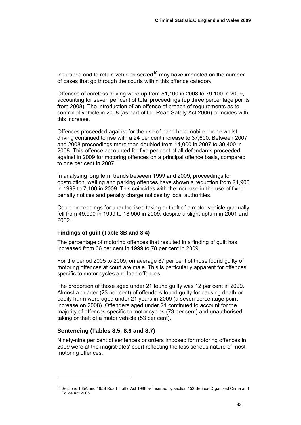insurance and to retain vehicles seized<sup>[19](#page-86-0)</sup> may have impacted on the number of cases that go through the courts within this offence category.

Offences of careless driving were up from 51,100 in 2008 to 79,100 in 2009, accounting for seven per cent of total proceedings (up three percentage points from 2008). The introduction of an offence of breach of requirements as to control of vehicle in 2008 (as part of the Road Safety Act 2006) coincides with this increase.

Offences proceeded against for the use of hand held mobile phone whilst driving continued to rise with a 24 per cent increase to 37,600. Between 2007 and 2008 proceedings more than doubled from 14,000 in 2007 to 30,400 in 2008. This offence accounted for five per cent of all defendants proceeded against in 2009 for motoring offences on a principal offence basis, compared to one per cent in 2007.

In analysing long term trends between 1999 and 2009, proceedings for obstruction, waiting and parking offences have shown a reduction from 24,900 in 1999 to 7,100 in 2009. This coincides with the increase in the use of fixed penalty notices and penalty charge notices by local authorities.

Court proceedings for unauthorised taking or theft of a motor vehicle gradually fell from 49,900 in 1999 to 18,900 in 2009, despite a slight upturn in 2001 and 2002.

#### **Findings of guilt (Table 8B and 8.4)**

The percentage of motoring offences that resulted in a finding of guilt has increased from 66 per cent in 1999 to 78 per cent in 2009.

For the period 2005 to 2009, on average 87 per cent of those found guilty of motoring offences at court are male. This is particularly apparent for offences specific to motor cycles and load offences.

The proportion of those aged under 21 found guilty was 12 per cent in 2009. Almost a quarter (23 per cent) of offenders found guilty for causing death or bodily harm were aged under 21 years in 2009 (a seven percentage point increase on 2008). Offenders aged under 21 continued to account for the majority of offences specific to motor cycles (73 per cent) and unauthorised taking or theft of a motor vehicle (53 per cent).

# **Sentencing (Tables 8.5, 8.6 and 8.7)**

 $\overline{a}$ 

Ninety-nine per cent of sentences or orders imposed for motoring offences in 2009 were at the magistrates' court reflecting the less serious nature of most motoring offences.

<span id="page-86-0"></span><sup>&</sup>lt;sup>19</sup> Sections 165A and 165B Road Traffic Act 1988 as inserted by section 152 Serious Organised Crime and Police Act 2005.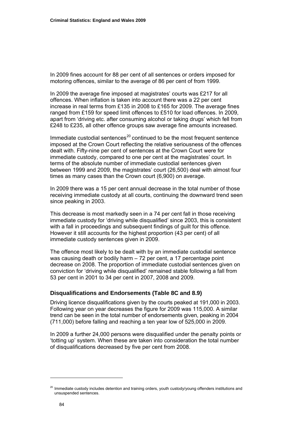In 2009 fines account for 88 per cent of all sentences or orders imposed for motoring offences, similar to the average of 86 per cent of from 1999.

In 2009 the average fine imposed at magistrates' courts was £217 for all offences. When inflation is taken into account there was a 22 per cent increase in real terms from £135 in 2008 to £165 for 2009. The average fines ranged from £159 for speed limit offences to £510 for load offences. In 2009, apart from 'driving etc. after consuming alcohol or taking drugs' which fell from £248 to £235, all other offence groups saw average fine amounts increased.

Immediate custodial sentences $^{20}$  $^{20}$  $^{20}$  continued to be the most frequent sentence imposed at the Crown Court reflecting the relative seriousness of the offences dealt with. Fifty-nine per cent of sentences at the Crown Court were for immediate custody, compared to one per cent at the magistrates' court. In terms of the absolute number of immediate custodial sentences given between 1999 and 2009, the magistrates' court (26,500) deal with almost four times as many cases than the Crown court (6,900) on average.

In 2009 there was a 15 per cent annual decrease in the total number of those receiving immediate custody at all courts, continuing the downward trend seen since peaking in 2003.

This decrease is most markedly seen in a 74 per cent fall in those receiving immediate custody for 'driving while disqualified' since 2003, this is consistent with a fall in proceedings and subsequent findings of guilt for this offence. However it still accounts for the highest proportion (43 per cent) of all immediate custody sentences given in 2009.

The offence most likely to be dealt with by an immediate custodial sentence was causing death or bodily harm – 72 per cent, a 17 percentage point decrease on 2008. The proportion of immediate custodial sentences given on conviction for 'driving while disqualified' remained stable following a fall from 53 per cent in 2001 to 34 per cent in 2007, 2008 and 2009.

#### **Disqualifications and Endorsements (Table 8C and 8.9)**

Driving licence disqualifications given by the courts peaked at 191,000 in 2003. Following year on year decreases the figure for 2009 was 115,000. A similar trend can be seen in the total number of endorsements given, peaking in 2004 (711,000) before falling and reaching a ten year low of 525,000 in 2009.

In 2009 a further 24,000 persons were disqualified under the penalty points or 'totting up' system. When these are taken into consideration the total number of disqualifications decreased by five per cent from 2008.

 $\overline{a}$ 

<span id="page-87-0"></span> $^{20}$  Immediate custody includes detention and training orders, youth custody/young offenders institutions and unsuspended sentences.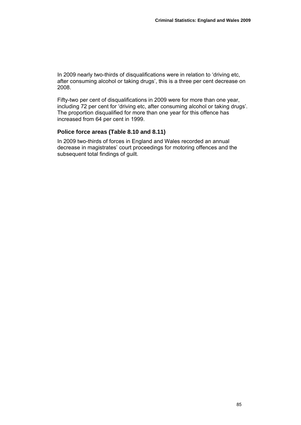In 2009 nearly two-thirds of disqualifications were in relation to 'driving etc, after consuming alcohol or taking drugs', this is a three per cent decrease on 2008.

Fifty-two per cent of disqualifications in 2009 were for more than one year, including 72 per cent for 'driving etc, after consuming alcohol or taking drugs'. The proportion disqualified for more than one year for this offence has increased from 64 per cent in 1999.

# **Police force areas (Table 8.10 and 8.11)**

In 2009 two-thirds of forces in England and Wales recorded an annual decrease in magistrates' court proceedings for motoring offences and the subsequent total findings of guilt.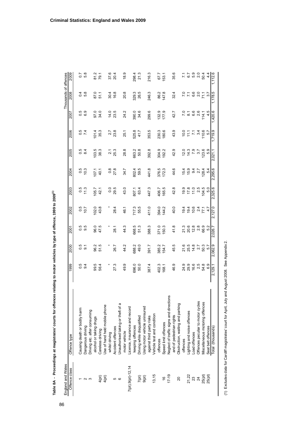Table 8A - Proceedings at magistrates' courts for offences relating to motor vehicles by type of offence, 1999 to 2009<sup>(1)</sup> **Table 8A - Proceedings at magistrates' courts for offences relating to motor vehicles by type of offence, 1999 to 2009(1)** 86

| England and Wales   |                                                                  |                                  |            |              |         |                |                  |                         |               |                  | Thousands of offences |                 |
|---------------------|------------------------------------------------------------------|----------------------------------|------------|--------------|---------|----------------|------------------|-------------------------|---------------|------------------|-----------------------|-----------------|
| Offence class       | Offence type                                                     | 1999                             | 2000       | 2001         | 2002    | 2003           | 2004             | 2005                    | 2006          | 2007             | 2008                  | 2009            |
|                     | Causing death or bodily harm                                     | 0.5                              |            |              |         |                |                  |                         |               |                  | 0.4                   |                 |
| $\sim$              | Dangerous driving                                                | 9.4                              | 0.5<br>0.1 | 0.5<br>0.5   | 7.01    | 0.5<br>11.3    | $0.\overline{3}$ | $0.\overline{4}$<br>8.4 | $0.5$<br>7.4  | 0.9<br>0.9       | 5.8                   | $7.8$<br>5.8    |
| ო                   | Driving etc. after consuming                                     |                                  |            |              |         |                |                  |                         |               |                  |                       |                 |
|                     | alcohol or taking drugs                                          | 99.5                             | 96.2       | 96.0         | 102.0   | 105.7          | 107.1            | 103.5                   | 101.4         | 97.0             | 87.0                  | 81.2            |
| 4(pt)               | Careless driving                                                 | 56.4                             | 51.5       | 47.5         | 43.8    | 42.1           | 40.1             | 38.3                    | 35.3          | 34.0             | 51.1                  | 79.1            |
| 4(pt)               | Use of hand held mobile phone                                    |                                  |            |              |         |                |                  |                         |               |                  |                       |                 |
|                     | whilst driving                                                   |                                  |            |              |         | $\overline{0}$ | $\frac{8}{2}$    | $\overline{21}$         | 2.7           | 14.0             | 30.4                  | 37.6            |
|                     | Accident offences                                                | 27.3                             | 26.7       | 28.1         | 28.4    | 29.5           | 27.8             | 25.3                    | 23.8          | 23.5             | 16.8                  | 20.4            |
| <u> က</u> ထ         | Unauthorised taking or theft of a                                |                                  |            |              |         |                |                  |                         |               |                  |                       |                 |
|                     | motor vehicle                                                    | 49.9                             | 44.2       | 44.3         | 46.1    | 43.0           | 34.7             | 28.8                    | 25.1          | 24.2             | 20.8                  | 18.9            |
| 7(pt), 9(pt)-12, 14 | Licence, insurance and record                                    |                                  |            |              |         |                |                  |                         |               |                  |                       |                 |
|                     | keeping offences                                                 | 696.0                            | 688.2      | 668.5        | 717.3   | 807.1          | 802.4            | 663.2                   | 525.8         | 390.0            | 329.3                 | 298.4           |
| $7$ (pt)            | Driving while disqualified                                       | 50.0                             | 49.0       | 51.3         | 55.5    | 63.4           | 59.5             | 50.8                    | 41.7          | 34.6             | 26.5                  | 21.3            |
| $9$ (pt)            | Using motor vehicle uninsured                                    |                                  |            |              |         |                |                  |                         |               |                  |                       |                 |
|                     | against third party risks                                        | 387.4                            | 391.7      | 388.3        | 411.0   | 447.3          | 441.8            | 392.8                   | 353.5         | 299.6            | 246.3                 | 216.3           |
| 13,15               | Vehicle test and condition                                       |                                  |            |              |         |                |                  |                         |               |                  |                       |                 |
|                     | offences                                                         | 402.3                            | 385.2      | 371.0        | 394.0   | 406.7          | 376.5            | 304.9                   | 230.3         | 132.9            | 86.2                  | 67.7            |
| $\frac{6}{5}$       | Speed limit offences                                             | 168.1                            | 154.7      | 150.3        | 144.2   | 165.5          | 172.3            | 192.2                   | 180.6         | 177.9            | 147.8                 | 53.1            |
| $17 - 19$           | w<br>Neglect of traffic signs and direction                      |                                  |            |              |         |                |                  |                         |               |                  |                       |                 |
|                     | and of pedestrian rights                                         | 46.9                             | 45.5       | 41.8         | 40.0    | 42.8           | 44.6             | 42.9                    | 43.9          | 42.7             | 32.4                  | 35.6            |
| 20                  | Obstruction, waiting and parking                                 |                                  |            |              |         |                |                  |                         |               |                  |                       |                 |
|                     | offences                                                         | 24.9                             | 21.6       | 21.3         | 19.4    | 19.9           | 15.4             | 12.0                    | 10.0          | 7.0              | 7.0                   | $\overline{71}$ |
| 21,22               | Lighting and noise offences                                      | 29.9                             | 25.5       |              | 19.4    | 17.8           | 15.9             | 14.3                    |               | $\overline{8}$ . | 7.1                   | 6.7             |
| 23                  | Load offences                                                    |                                  | 14.8       | 20.6<br>12.8 | 10.6    | 11.0           |                  | 7.9                     |               |                  | 6.6                   |                 |
| $\overline{24}$     | Offences peculiar to motor cycles                                | $16.6$<br>2.5                    | 2.7        | 2.8          | 2.4     | 2.5            | $9.7$<br>2.7     | 3.7                     | $7.7$<br>7.74 | 6.6<br>2.6       | 2.0                   | 5.0<br>5.0      |
| 25(pt)              | Miscellaneous motoring offences                                  | 54.8                             | 50.3       | 66.9         | 77.1    | 104.5          | 28.4             | 123.6                   | 110.6         | 114.1            | 71.1                  | 50.4            |
| 25(pt)              | Seat belt offences                                               | 6.9                              | 5.7        | 5.2          | 4.7     | 5.0            | 5.4              | 5.9                     | 5.7           | 4.5              | 3.7                   | $4\overline{4}$ |
|                     | Total (thousands)                                                | 2,129.1                          | 2,062.9    | 2,026.7      | 2,127.0 | 2,325.6        | 2,295.6          | 2,021.1                 | 1,719.9       | 1,420.6          | 1,178.5               | 1,112.6         |
|                     | (1) Excludes data for Cardiff magistrates' court for April, July | and August 2008. See Appendix 2. |            |              |         |                |                  |                         |               |                  |                       |                 |

<sup>(1)</sup> Excludes data for Cardiff magistrates' court for April, July and August 2008. See Appendix 2.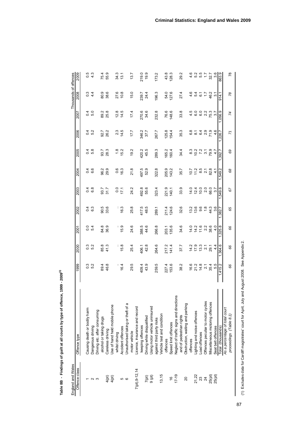|                                         |                        |                                    |             |                |        |                |                  |                  |                         |                  | Thousands of offences |
|-----------------------------------------|------------------------|------------------------------------|-------------|----------------|--------|----------------|------------------|------------------|-------------------------|------------------|-----------------------|
|                                         | 1999                   | 2000                               | 2001        | 2002           | 2003   | 2004           | 2005             | 2006             | 2007                    | 2008             | 2009                  |
| Causing death or bodily harm            |                        |                                    |             | 0.4            |        |                | 0.4              |                  |                         | 3                | 0.5                   |
| Dangerous driving                       | 0.3<br>5.2             | 0. 2<br>0. 2                       | 0.4         | င်္ဘ           | 0.8    | $0.6$<br>$6.6$ | .<br>ნ.მ         | $0.4$<br>$5.2$   | 0.50                    | 4.4              | 4.3                   |
| Driving etc. after consuming            |                        |                                    |             |                |        |                |                  |                  |                         |                  |                       |
| alcohol or taking drugs                 | 89.4                   | 85.8                               | 84.8        | 90.5<br>33.6   | 93.7   | 96.2           | 93.7             | 92.7             | 89.2                    | 80.9             | 75.4                  |
| Careless driving                        | 46.8                   | 41.3                               | 36.9        |                | 31.7   | 29.9           | 28.3             | 26.2             | 25.8                    | 38.6             | 55.9                  |
| Use of hand held mobile phone           |                        |                                    |             |                |        |                |                  |                  |                         |                  |                       |
| whilst driving                          |                        |                                    |             |                | 0.0    | 0.6            | $\frac{8}{1}$    | 2.3              | 12.8                    | 27.6             | 34.3                  |
| Accident offences                       | 16.4                   | : α<br>15.                         | : 9<br>15.9 | : ვ<br>16      | 17,1   | 16.3           | 15.2             | 14.5             | 14.5                    | 10.8             | 13.1                  |
| Unauthorised taking or theft of a       |                        |                                    |             |                |        |                |                  |                  |                         |                  |                       |
| motor vehicle                           | 29.5                   | 25.4                               | 24.6        | 25.8           | 24.2   | 21.8           | 19.2             | 17.7             | 17.4                    | 15.0             | 13.7                  |
| -icence, insurance and record           |                        |                                    |             |                |        |                |                  |                  |                         |                  |                       |
| keeping offences                        | 409.4                  | 406.1                              | 388.5       | 417.5          | 492.8  | 497.5          | 420.2            | 346.2            | 270.6                   | 239.7<br>24.4    | 219.0                 |
| Driving while disqualified              | 43.9                   | 42.8                               | 44.6        | 48.5           | 55.6   | တ<br>52.       | 45.5             | 37.7             | 34.6                    |                  | 19.9                  |
| Using motor vehicle uninsured           |                        |                                    |             |                |        |                |                  |                  |                         |                  |                       |
| against third party risks               | 259.5                  | 264.6                              | 266.8       | 289.1          | 323.4  | 322.8          | 289.3            | 267.7            | 232.8                   | 196.3            | 173.2                 |
| Vehicle test and condition              |                        |                                    |             |                |        |                |                  |                  |                         |                  |                       |
| offences                                | 227.4<br>153.6         | 217.2                              | 203.1       | 211.4<br>124.6 | 221.9  | 205.9          | 165.2            | 125.8            | 76.6                    | 54.0             | 43.8                  |
| Speed limit offences                    |                        | 141.4                              | 135.6       |                | 140.1  | 143.2          | 160.4            | 154.4            | 148.6                   | 127.6            | 128.3                 |
| Neglect of traffic signs and directions |                        |                                    |             |                |        |                |                  |                  |                         |                  |                       |
| and of pedestrian rights                | 38.2                   | 37.7                               | 34.6        | 32.6           | 33.9   | 35.7           | 34.4             | 35.3             | 33.8                    | 27.4             | 29.2                  |
| Obstruction, waiting and parking        |                        |                                    |             |                |        |                |                  |                  |                         |                  |                       |
| offences                                |                        | 14.2                               | 14.0        |                | 14.0   | 10.7           | 8.3              | 6.8              | 4.5                     | $4.\overline{6}$ | $4.\overline{6}$      |
| Lighting and noise offences             | $16.6$<br>21.8<br>21.8 | $7.3$<br>$7.3$<br>$29.1$<br>$29.1$ | 14.2        | 13.6           | 12.4   | 11.2           |                  | $\overline{8.1}$ | 6.0                     | 5.4              | 5.2                   |
| -oad offences                           |                        |                                    | 11.6        | 9.6            | 10.0   |                | $10.2$<br>7.2    | 6.4              |                         | $\overline{6}$   | 5.5                   |
| Offences peculiar to motor cycles       | $2.1$<br>35.4          |                                    | 2.2         | $\frac{8}{1}$  | 2.0    | $8.5$<br>2.1   | $\overline{3}$ . | 2.9              |                         | $\ddot{ }$ :     | $\ddot{ }$ :          |
| Miscellaneous motoring offences         |                        |                                    | 38.6        | 44.3           | 66.0   | 82.8           | 79.9             | 71.9             | 0 2 3<br>0 2 3<br>7 5 9 | 46.2             | 32.7                  |
| Seat belt offences                      | 5.5                    | 4.4                                | 4.0         | 3.6            | 3.7    | 4              | 4.7              | 4.6              | 3.7                     | $\overline{3}$   | 3.6                   |
| [otal (thousands)                       | 1,415.2                | 1,364.6                            | 1,325.8     | 1,382.7        | ,549.6 | 549.2          | 392.7            | ,226.7           | ,056.9                  | 914.1            | 863.9                 |
| As a percentage of total court          |                        |                                    |             |                |        |                |                  |                  |                         |                  |                       |
| proceedings (Table 8.1)                 | 66                     | 66                                 | 66          | 65             | 67     | 68             | 69               | 71               | 74                      | 78               | 78                    |

Table 8B - Findings of guilt at all courts by type of offence, 1999 - 2009<sup>(1)</sup> **Table 8B - Findings of guilt at all courts by type of offence, 1999 - 2009(1)**

<sup>(1)</sup> Excludes data for Cardiff magistrates' court for April, July and August 2008. See Appendix 2. (1) Excludes data for Cardiff magistrates' court for April, July and August 2008. See Appendix 2.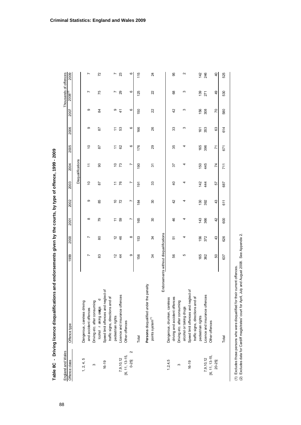| England and Wales  |                                        |               |          |                            |                   |                |                   |              |                   |                | Thousands of offences |                 |
|--------------------|----------------------------------------|---------------|----------|----------------------------|-------------------|----------------|-------------------|--------------|-------------------|----------------|-----------------------|-----------------|
| Offence class      | Offence type                           | 1999          | 2000     | 2001                       | 2002              | 2003           | 2004              | 2005         | 2006              | 2007           | $2008^{12}$           | 2009            |
|                    |                                        |               |          |                            |                   |                | Disqualifications |              |                   |                |                       |                 |
| 1, 2, 4, 5         | Dangerous, careless driving            |               |          |                            |                   |                |                   |              |                   |                |                       |                 |
|                    | and accident offences                  | Ľ             | Ľ        | $^\infty$                  | တ                 | $\tilde{a}$    | $\tilde{t}$       | $\tilde{a}$  | တ                 | တ              | Ľ                     | Ľ               |
| ω                  | Driving etc. after consuming           |               |          |                            |                   |                |                   |              |                   |                |                       |                 |
|                    | p<br>Icohol r aking orags              | 33            | 80       | 54                         | 85                | 52             | 8                 | 52           | 57                | 84             | 75                    | 72              |
| $16 - 19$          | Speed limit offences and neglect of    |               |          |                            |                   |                |                   |              |                   |                |                       |                 |
|                    | traffic signs, directions and o        |               |          |                            |                   |                |                   |              |                   |                |                       |                 |
|                    | pedestrian rights                      | 12            | 57       |                            |                   |                |                   |              |                   |                | r                     | L               |
| 7,9,10,12          | -icence and insurance offences         | $\frac{4}{4}$ | 46       | $\overline{r}$ 8           | P <sub>2</sub>    | 77             | <b>p</b> 2        | 152          | $\overline{r}$ 33 | $rac{4}{5}$    | 29                    | 23              |
| $[6, 11, 13-15,$   | Other offences                         |               |          |                            |                   |                |                   |              |                   |                |                       |                 |
| 2<br>$0 - 25$      |                                        | თ             | $\infty$ | L                          | L                 | L              | L                 | ဖ            | ဖ                 | ဖ              | ဖ                     | 6               |
|                    | Total                                  | 156           | 153      | 165                        | $\overline{8}$    | $\overline{9}$ | $\overline{90}$   | 176          | 166               | 50             | 125                   | 115             |
|                    | Persons disqualified under the penalty |               |          |                            |                   |                |                   |              |                   |                |                       |                 |
|                    | points system <sup>(1)</sup>           | 34            | 34       | $\boldsymbol{\mathcal{S}}$ | $\boldsymbol{30}$ | 33             | $\overline{5}$    | 29           | 26                | 22             | 22                    | $\overline{24}$ |
|                    | Endorsements without disqualifications |               |          |                            |                   |                |                   |              |                   |                |                       |                 |
| 1,2,4,5            | Dangerous, drunken, careless           |               |          |                            |                   |                |                   |              |                   |                |                       |                 |
|                    | driving and accident offences          | 99            | 5        | 46                         | 42                | $\overline{a}$ | 57                | 35           | 33                | 42             | 89                    | 95              |
| S                  | Driving etc. after consuming           |               |          |                            |                   |                |                   |              |                   |                |                       |                 |
|                    | alcohol or taking drugs                | ю             | 4        | 4                          | 4                 | 4              | 4                 | 4            | ω                 | ω              | ω                     | 2               |
| $16 - 19$          | Speed limit offences and neglect of    |               |          |                            |                   |                |                   |              |                   |                |                       |                 |
|                    | traffic signs, directions and of       |               |          |                            |                   |                |                   |              |                   |                |                       |                 |
|                    | pedestrian rights                      | 165           | 156      | 143                        | 130               | 142            | 150               | 165          | 161               | 156            | 139                   | 142             |
| 7,9,10,12          | Licence and insurance offences         | 362           | 372      | 366                        | 392               | 444            | 445               | 396          | 353               | 308            | 271                   | 246             |
| $[6, 11, 13 - 15,$ | Other offences                         |               |          |                            |                   |                |                   |              |                   |                |                       |                 |
| $20 - 25$          |                                        | SO            | 43       | 42                         | 43                | 57             | 74                | $\mathbf{r}$ | යි                | $\overline{C}$ | $\overline{6}$        | $\overline{4}$  |
|                    | Total                                  | 637           | 626      | 600                        | 611               | 687            | 711               | 671          | 614               | 580            | 530                   | 525             |
|                    |                                        |               |          |                            |                   |                |                   |              |                   |                |                       |                 |

(1) Excludes those persons who were disqualified for their current offences.<br>(2) Excludes data for Cardiff magistrates' court for April, July and August 2008. See Appendix 2. (1) Excludes those persons who were disqualified for their current offences.

(2) Excludes data for Cardiff magistrates' court for April, July and August 2008. See Appendix 2.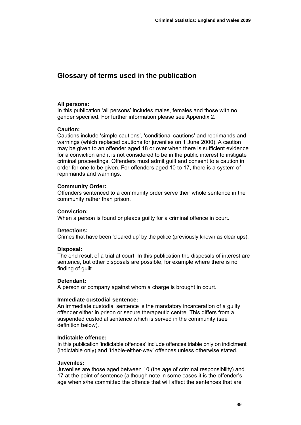# **Glossary of terms used in the publication**

## **All persons:**

In this publication 'all persons' includes males, females and those with no gender specified. For further information please see [Appendix 2](#page-109-0).

## **Caution:**

Cautions include 'simple cautions', 'conditional cautions' and reprimands and warnings (which replaced cautions for juveniles on 1 June 2000). A caution may be given to an offender aged 18 or over when there is sufficient evidence for a conviction and it is not considered to be in the public interest to instigate criminal proceedings. Offenders must admit guilt and consent to a caution in order for one to be given. For offenders aged 10 to 17, there is a system of reprimands and warnings.

## **Community Order:**

Offenders sentenced to a community order serve their whole sentence in the community rather than prison.

### **Conviction:**

When a person is found or pleads guilty for a criminal offence in court.

#### **Detections:**

Crimes that have been 'cleared up' by the police (previously known as clear ups).

#### **Disposal:**

The end result of a trial at court. In this publication the disposals of interest are sentence, but other disposals are possible, for example where there is no finding of guilt.

# **Defendant:**

A person or company against whom a charge is brought in court.

#### **Immediate custodial sentence:**

An immediate custodial sentence is the mandatory incarceration of a guilty offender either in prison or secure therapeutic centre. This differs from a suspended custodial sentence which is served in the community (see definition below).

#### **Indictable offence:**

In this publication 'indictable offences' include offences triable only on indictment (indictable only) and 'triable-either-way' offences unless otherwise stated.

### **Juveniles:**

Juveniles are those aged between 10 (the age of criminal responsibility) and 17 at the point of sentence (although note in some cases it is the offender's age when s/he committed the offence that will affect the sentences that are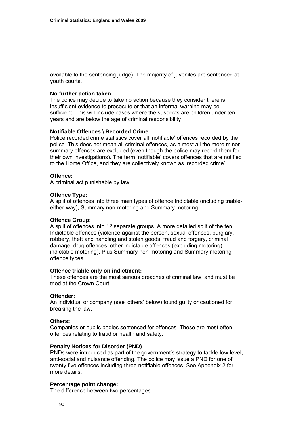available to the sentencing judge). The majority of juveniles are sentenced at youth courts.

# **No further action taken**

The police may decide to take no action because they consider there is insufficient evidence to prosecute or that an informal warning may be sufficient. This will include cases where the suspects are children under ten years and are below the age of criminal responsibility

#### **Notifiable Offences \ Recorded Crime**

Police recorded crime statistics cover all 'notifiable' offences recorded by the police. This does not mean all criminal offences, as almost all the more minor summary offences are excluded (even though the police may record them for their own investigations). The term 'notifiable' covers offences that are notified to the Home Office, and they are collectively known as 'recorded crime'.

#### **Offence:**

A criminal act punishable by law.

#### **Offence Type:**

A split of offences into three main types of offence Indictable (including triableeither-way), Summary non-motoring and Summary motoring.

#### **Offence Group:**

A split of offences into 12 separate groups. A more detailed split of the ten Indictable offences (violence against the person, sexual offences, burglary, robbery, theft and handling and stolen goods, fraud and forgery, criminal damage, drug offences, other indictable offences (excluding motoring), indictable motoring). Plus Summary non-motoring and Summary motoring offence types.

#### **Offence triable only on indictment:**

These offences are the most serious breaches of criminal law, and must be tried at the Crown Court.

#### **Offender:**

An individual or company (see 'others' below) found guilty or cautioned for breaking the law.

#### **Others:**

Companies or public bodies sentenced for offences. These are most often offences relating to fraud or health and safety.

#### **Penalty Notices for Disorder (PND)**

PNDs were introduced as part of the government's strategy to tackle low-level, anti-social and nuisance offending. The police may issue a PND for one of twenty five offences including three notifiable offences. See [Appendix 2](#page-109-0) for more details.

#### **Percentage point change:**

The difference between two percentages.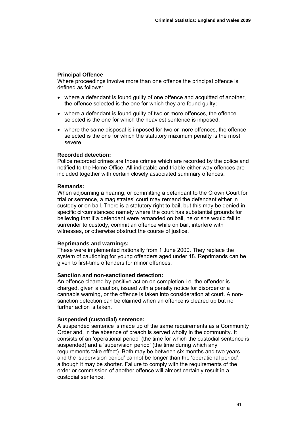## **Principal Offence**

Where proceedings involve more than one offence the principal offence is defined as follows:

- where a defendant is found guilty of one offence and acquitted of another, the offence selected is the one for which they are found guilty;
- where a defendant is found guilty of two or more offences, the offence selected is the one for which the heaviest sentence is imposed;
- where the same disposal is imposed for two or more offences, the offence selected is the one for which the statutory maximum penalty is the most severe.

#### **Recorded detection:**

Police recorded crimes are those crimes which are recorded by the police and notified to the Home Office. All indictable and triable-either-way offences are included together with certain closely associated summary offences.

#### **Remands:**

When adjourning a hearing, or committing a defendant to the Crown Court for trial or sentence, a magistrates' court may remand the defendant either in custody or on bail. There is a statutory right to bail, but this may be denied in specific circumstances: namely where the court has substantial grounds for believing that if a defendant were remanded on bail, he or she would fail to surrender to custody, commit an offence while on bail, interfere with witnesses, or otherwise obstruct the course of justice.

#### **Reprimands and warnings:**

These were implemented nationally from 1 June 2000. They replace the system of cautioning for young offenders aged under 18. Reprimands can be given to first-time offenders for minor offences.

#### **Sanction and non-sanctioned detection:**

An offence cleared by positive action on completion i.e. the offender is charged, given a caution, issued with a penalty notice for disorder or a cannabis warning, or the offence is taken into consideration at court. A nonsanction detection can be claimed when an offence is cleared up but no further action is taken.

#### **Suspended (custodial) sentence:**

A suspended sentence is made up of the same requirements as a Community Order and, in the absence of breach is served wholly in the community. It consists of an 'operational period' (the time for which the custodial sentence is suspended) and a 'supervision period' (the time during which any requirements take effect). Both may be between six months and two years and the 'supervision period' cannot be longer than the 'operational period', although it may be shorter. Failure to comply with the requirements of the order or commission of another offence will almost certainly result in a custodial sentence.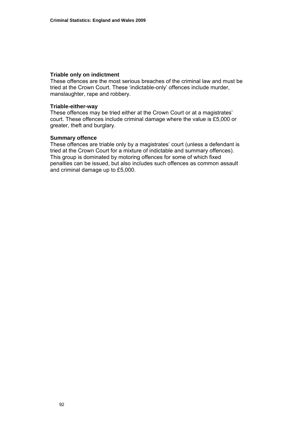#### **Triable only on indictment**

These offences are the most serious breaches of the criminal law and must be tried at the Crown Court. These 'indictable-only' offences include murder, manslaughter, rape and robbery.

#### **Triable-either-way**

These offences may be tried either at the Crown Court or at a magistrates' court. These offences include criminal damage where the value is £5,000 or greater, theft and burglary.

#### **Summary offence**

These offences are triable only by a magistrates' court (unless a defendant is tried at the Crown Court for a mixture of indictable and summary offences). This group is dominated by motoring offences for some of which fixed penalties can be issued, but also includes such offences as common assault and criminal damage up to £5,000.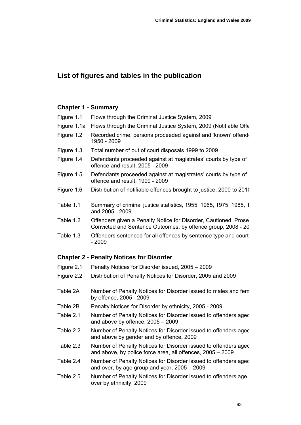# **List of figures and tables in the publication**

# **Chapter 1 - Summary**

- Figure 1.1 Flows through the Criminal Justice System, 2009
- Figure 1.1a Flows through the Criminal Justice System, 2009 (Notifiable Offe
- Figure 1.2 Recorded crime, persons proceeded against and 'known' offende 1950 - 2009
- Figure 1.3 Total number of out of court disposals 1999 to 2009
- Figure 1.4 Defendants proceeded against at magistrates' courts by type of offence and result, 2005 - 2009
- Figure 1.5 Defendants proceeded against at magistrates' courts by type of offence and result, 1999 - 2009
- Figure 1.6 Distribution of notifiable offences brought to justice, 2000 to 2010
- Table 1.1 Summary of criminal justice statistics, 1955, 1965, 1975, 1985, 1 and 2005 - 2009
- Table 1.2 Offenders given a Penalty Notice for Disorder, Cautioned, Proser Convicted and Sentence Outcomes, by offence group, 2008 - 20
- Table 1.3 Offenders sentenced for all offences by sentence type and court, - 2009

# **Chapter 2 - Penalty Notices for Disorder**

- Figure 2.1 Penalty Notices for Disorder issued, 2005 2009
- Figure 2.2 Distribution of Penalty Notices for Disorder, 2005 and 2009
- Table 2A Number of Penalty Notices for Disorder issued to males and fem by offence, 2005 - 2009
- Table 2B Penalty Notices for Disorder by ethnicity, 2005 2009
- Table 2.1 Number of Penalty Notices for Disorder issued to offenders aged and above by offence, 2005 – 2009
- Table 2.2 Number of Penalty Notices for Disorder issued to offenders aged and above by gender and by offence, 2009
- Table 2.3 Number of Penalty Notices for Disorder issued to offenders aged and above, by police force area, all offences, 2005 – 2009
- Table 2.4 Number of Penalty Notices for Disorder issued to offenders aged and over, by age group and year, 2005 – 2009
- Table 2.5 Number of Penalty Notices for Disorder issued to offenders age over by ethnicity, 2009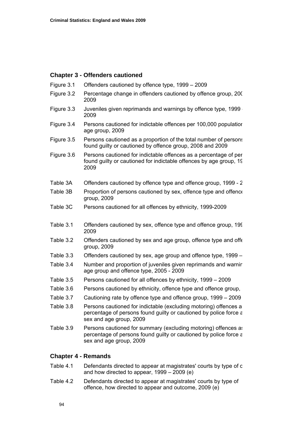# **Chapter 3 - Offenders cautioned**

- Figure 3.1 Offenders cautioned by offence type, 1999 2009
- Figure 3.2 Percentage change in offenders cautioned by offence group, 200 2009
- Figure 3.3 Juveniles given reprimands and warnings by offence type, 1999 2009
- Figure 3.4 Persons cautioned for indictable offences per 100,000 population age group, 2009
- Figure 3.5 Persons cautioned as a proportion of the total number of persons found guilty or cautioned by offence group, 2008 and 2009
- Figure 3.6 Persons cautioned for indictable offences as a percentage of per found guilty or cautioned for indictable offences by age group, 19 2009
- Table 3A Offenders cautioned by offence type and offence group, 1999 2
- Table 3B Proportion of persons cautioned by sex, offence type and offence group, 2009
- Table 3C Persons cautioned for all offences by ethnicity, 1999-2009
- Table 3.1 Offenders cautioned by sex, offence type and offence group, 199 2009
- Table 3.2 Offenders cautioned by sex and age group, offence type and offe group, 2009
- Table 3.3 Offenders cautioned by sex, age group and offence type, 1999 –
- Table 3.4 Number and proportion of juveniles given reprimands and warning age group and offence type, 2005 - 2009
- Table 3.5 Persons cautioned for all offences by ethnicity, 1999 2009
- Table 3.6 Persons cautioned by ethnicity, offence type and offence group,
- Table 3.7 Cautioning rate by offence type and offence group, 1999 2009
- Table 3.8 Persons cautioned for indictable (excluding motoring) offences a percentage of persons found guilty or cautioned by police force a sex and age group, 2009
- Table 3.9 Persons cautioned for summary (excluding motoring) offences as percentage of persons found guilty or cautioned by police force a sex and age group, 2009

# **Chapter 4 - Remands**

- Table 4.1 Defendants directed to appear at magistrates' courts by type of o and how directed to appear, 1999 – 2009 (e)
- Table 4.2 Defendants directed to appear at magistrates' courts by type of offence, how directed to appear and outcome, 2009 (e)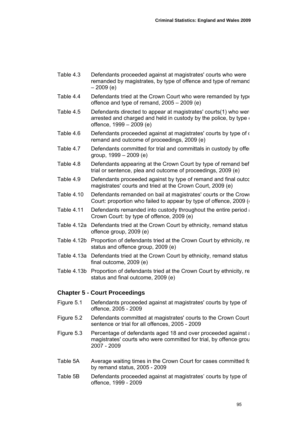- Table 4.3 Defendants proceeded against at magistrates' courts who were remanded by magistrates, by type of offence and type of remand  $-2009$  (e)
- Table 4.4 Defendants tried at the Crown Court who were remanded by type offence and type of remand, 2005 – 2009 (e)
- Table 4.5 Defendants directed to appear at magistrates' courts(1) who were arrested and charged and held in custody by the police, by type  $($ offence, 1999 – 2009 (e)
- Table 4.6 Defendants proceeded against at magistrates' courts by type of c remand and outcome of proceedings, 2009 (e)
- Table 4.7 Defendants committed for trial and committals in custody by offere group, 1999 – 2009 (e)
- Table 4.8 Defendants appearing at the Crown Court by type of remand bef trial or sentence, plea and outcome of proceedings, 2009 (e)
- Table 4.9 Defendants proceeded against by type of remand and final outcom magistrates' courts and tried at the Crown Court, 2009 (e)
- Table 4.10 Defendants remanded on bail at magistrates' courts or the Crown Court: proportion who failed to appear by type of offence, 2009 (e
- Table 4.11 Defendants remanded into custody throughout the entire period a Crown Court: by type of offence, 2009 (e)
- Table 4.12a Defendants tried at the Crown Court by ethnicity, remand status offence group, 2009 (e)
- Table 4.12b Proportion of defendants tried at the Crown Court by ethnicity, re status and offence group, 2009 (e)
- Table 4.13a Defendants tried at the Crown Court by ethnicity, remand status final outcome, 2009 (e)
- Table 4.13b Proportion of defendants tried at the Crown Court by ethnicity, re status and final outcome, 2009 (e)

#### **Chapter 5 - Court Proceedings**

- Figure 5.1 Defendants proceeded against at magistrates' courts by type of offence, 2005 - 2009
- Figure 5.2 Defendants committed at magistrates' courts to the Crown Court sentence or trial for all offences, 2005 - 2009
- Figure 5.3 Percentage of defendants aged 18 and over proceeded against  $\epsilon$ magistrates' courts who were committed for trial, by offence grou 2007 - 2009
- Table 5A Average waiting times in the Crown Court for cases committed for by remand status, 2005 - 2009
- Table 5B Defendants proceeded against at magistrates' courts by type of offence, 1999 - 2009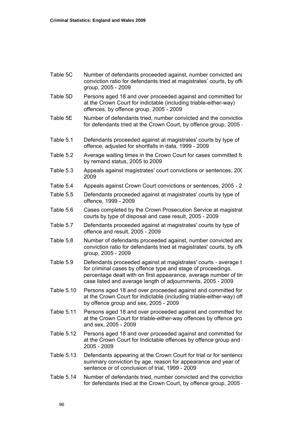| Table 5C          | Number of defendants proceeded against, number convicted and<br>conviction ratio for defendants tried at magistrates' courts, by off<br>group, 2005 - 2009                                                                                                         |
|-------------------|--------------------------------------------------------------------------------------------------------------------------------------------------------------------------------------------------------------------------------------------------------------------|
| Table 5D          | Persons aged 18 and over proceeded against and committed for<br>at the Crown Court for indictable (including triable-either-way)<br>offences, by offence group, 2005 - 2009                                                                                        |
| Table 5E          | Number of defendants tried, number convicted and the conviction<br>for defendants tried at the Crown Court, by offence group, 2005 -                                                                                                                               |
| Table 5.1         | Defendants proceeded against at magistrates' courts by type of<br>offence, adjusted for shortfalls in data, 1999 - 2009                                                                                                                                            |
| Table 5.2         | Average waiting times in the Crown Court for cases committed for<br>by remand status, 2005 to 2009                                                                                                                                                                 |
| Table 5.3         | Appeals against magistrates' court convictions or sentences, 200<br>2009                                                                                                                                                                                           |
| Table 5.4         | Appeals against Crown Court convictions or sentences, 2005 - 2                                                                                                                                                                                                     |
| Table 5.5         | Defendants proceeded against at magistrates' courts by type of<br>offence, 1999 - 2009                                                                                                                                                                             |
| Table 5.6         | Cases completed by the Crown Prosecution Service at magistrat<br>courts by type of disposal and case result, 2005 - 2009                                                                                                                                           |
| Table 5.7         | Defendants proceeded against at magistrates' courts by type of<br>offence and result, 2005 - 2009                                                                                                                                                                  |
| Table 5.8         | Number of defendants proceeded against, number convicted and<br>conviction ratio for defendants tried at magistrates' courts, by offer<br>group, 2005 - 2009                                                                                                       |
| Table 5.9         | Defendants proceeded against at magistrates' courts - average t<br>for criminal cases by offence type and stage of proceedings,<br>percentage dealt with on first appearance, average number of tin<br>case listed and average length of adjournments, 2005 - 2009 |
| <b>Table 5.10</b> | Persons aged 18 and over proceeded against and committed for<br>at the Crown Court for indictable (including triable-either-way) off<br>by offence group and sex, 2005 - 2009                                                                                      |
| <b>Table 5.11</b> | Persons aged 18 and over proceeded against and committed for<br>at the Crown Court for triable-either-way offences by offence gro<br>and sex, 2005 - 2009                                                                                                          |
| Table 5.12        | Persons aged 18 and over proceeded against and committed for<br>at the Crown Court for Indictable offences by offence group and :<br>2005 - 2009                                                                                                                   |
| Table 5.13        | Defendants appearing at the Crown Court for trial or for sentence<br>summary conviction by age, reason for appearance and year of<br>sentence or of conclusion of trial, 1999 - 2009                                                                               |
| Table 5.14        | Number of defendants tried, number convicted and the conviction<br>for defendants tried at the Crown Court, by offence group, 2005 -                                                                                                                               |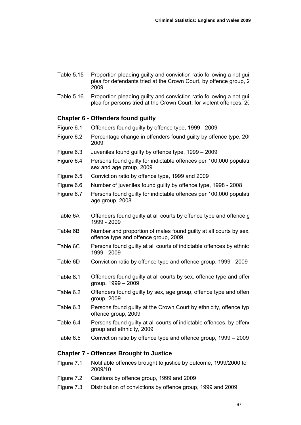- Table 5.15 Proportion pleading guilty and conviction ratio following a not gui plea for defendants tried at the Crown Court, by offence group, 2 2009
- Table 5.16 Proportion pleading guilty and conviction ratio following a not gui plea for persons tried at the Crown Court, for violent offences, 20

## **Chapter 6 - Offenders found guilty**

- Figure 6.1 Offenders found guilty by offence type, 1999 2009
- Figure 6.2 Percentage change in offenders found quilty by offence type, 200 2009
- Figure 6.3 Juveniles found guilty by offence type, 1999 2009
- Figure 6.4 Persons found guilty for indictable offences per 100,000 populati sex and age group, 2009
- Figure 6.5 Conviction ratio by offence type, 1999 and 2009
- Figure 6.6 Number of juveniles found guilty by offence type, 1998 2008
- Figure 6.7 Persons found guilty for indictable offences per 100,000 populati age group, 2008
- Table 6A Offenders found guilty at all courts by offence type and offence g 1999 - 2009
- Table 6B Number and proportion of males found quilty at all courts by sex. offence type and offence group, 2009
- Table 6C Persons found guilty at all courts of indictable offences by ethnici 1999 - 2009
- Table 6D Conviction ratio by offence type and offence group, 1999 2009
- Table 6.1 Offenders found guilty at all courts by sex, offence type and offen group, 1999 – 2009
- Table 6.2 Offenders found guilty by sex, age group, offence type and offen group, 2009
- Table 6.3 Persons found guilty at the Crown Court by ethnicity, offence typ offence group, 2009
- Table 6.4 Persons found guilty at all courts of indictable offences, by offenc group and ethnicity, 2009
- Table 6.5 Conviction ratio by offence type and offence group, 1999 2009

### **Chapter 7 - Offences Brought to Justice**

- Figure 7.1 Notifiable offences brought to justice by outcome, 1999/2000 to 2009/10
- Figure 7.2 Cautions by offence group, 1999 and 2009
- Figure 7.3 Distribution of convictions by offence group, 1999 and 2009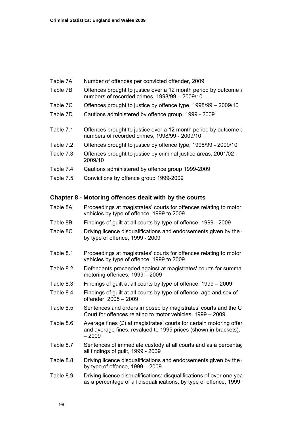| Table 7A |  | Number of offences per convicted offender, 2009 |
|----------|--|-------------------------------------------------|
|----------|--|-------------------------------------------------|

- Table 7B Offences brought to justice over a 12 month period by outcome a numbers of recorded crimes, 1998/99 – 2009/10
- Table 7C Offences brought to justice by offence type, 1998/99 2009/10
- Table 7D Cautions administered by offence group, 1999 2009
- Table 7.1 Offences brought to justice over a 12 month period by outcome  $\varepsilon$ numbers of recorded crimes, 1998/99 - 2009/10
- Table 7.2 Offences brought to justice by offence type, 1998/99 2009/10
- Table 7.3 Offences brought to justice by criminal justice areas, 2001/02 2009/10
- Table 7.4 Cautions administered by offence group 1999-2009
- Table 7.5 Convictions by offence group 1999-2009

# **Chapter 8 - Motoring offences dealt with by the courts**

- Table 8A Proceedings at magistrates' courts for offences relating to motor vehicles by type of offence, 1999 to 2009
- Table 8B Findings of guilt at all courts by type of offence, 1999 2009
- Table 8C Driving licence disqualifications and endorsements given by the c by type of offence, 1999 - 2009
- Table 8.1 Proceedings at magistrates' courts for offences relating to motor vehicles by type of offence, 1999 to 2009
- Table 8.2 Defendants proceeded against at magistrates' courts for summar motoring offences, 1999 – 2009
- Table 8.3 Findings of guilt at all courts by type of offence, 1999 2009
- Table 8.4 Findings of guilt at all courts by type of offence, age and sex of offender, 2005 – 2009
- Table 8.5 Sentences and orders imposed by magistrates' courts and the C Court for offences relating to motor vehicles, 1999 – 2009
- Table 8.6 Average fines  $(E)$  at magistrates' courts for certain motoring offer and average fines, revalued to 1999 prices (shown in brackets), – 2009
- Table 8.7 Sentences of immediate custody at all courts and as a percentag all findings of guilt, 1999 - 2009
- Table 8.8 Driving licence disqualifications and endorsements given by the c by type of offence, 1999 – 2009
- Table 8.9 Driving licence disqualifications: disqualifications of over one yea as a percentage of all disqualifications, by type of offence, 1999 -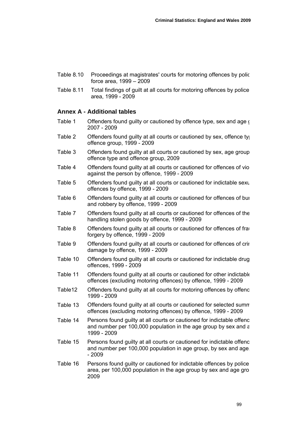- Table 8.10 Proceedings at magistrates' courts for motoring offences by polic force area, 1999 – 2009
- Table 8.11 Total findings of guilt at all courts for motoring offences by police area, 1999 - 2009

## **Annex A - Additional tables**

- Table 1 Offenders found quilty or cautioned by offence type, sex and age of 2007 - 2009
- Table 2 Offenders found quilty at all courts or cautioned by sex, offence ty offence group, 1999 - 2009
- Table 3 Offenders found guilty at all courts or cautioned by sex, age group offence type and offence group, 2009
- Table 4 Offenders found guilty at all courts or cautioned for offences of vio against the person by offence, 1999 - 2009
- Table 5 Offenders found guilty at all courts or cautioned for indictable sexu offences by offence, 1999 - 2009
- Table 6 Offenders found guilty at all courts or cautioned for offences of bur and robbery by offence, 1999 - 2009
- Table 7 Offenders found guilty at all courts or cautioned for offences of the handling stolen goods by offence, 1999 - 2009
- Table 8 Offenders found guilty at all courts or cautioned for offences of frau forgery by offence, 1999 - 2009
- Table 9 Offenders found quilty at all courts or cautioned for offences of crin damage by offence, 1999 - 2009
- Table 10 Offenders found guilty at all courts or cautioned for indictable drug offences, 1999 - 2009
- Table 11 Offenders found guilty at all courts or cautioned for other indictable offences (excluding motoring offences) by offence, 1999 - 2009
- Table12 Offenders found guilty at all courts for motoring offences by offenc 1999 - 2009
- Table 13 Offenders found guilty at all courts or cautioned for selected summ offences (excluding motoring offences) by offence, 1999 - 2009
- Table 14 Persons found guilty at all courts or cautioned for indictable offenc and number per 100,000 population in the age group by sex and a 1999 - 2009
- Table 15 Persons found guilty at all courts or cautioned for indictable offenc and number per 100,000 population in age group, by sex and age, - 2009
- Table 16 Persons found guilty or cautioned for indictable offences by police area, per 100,000 population in the age group by sex and age gro 2009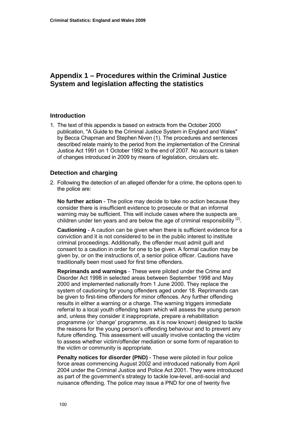# **Appendix 1 – Procedures within the Criminal Justice System and legislation affecting the statistics**

## **Introduction**

1. The text of this appendix is based on extracts from the October 2000 publication, "A Guide to the Criminal Justice System in England and Wales" by Becca Chapman and Stephen Niven (1). The procedures and sentences described relate mainly to the period from the implementation of the Criminal Justice Act 1991 on 1 October 1992 to the end of 2007. No account is taken of changes introduced in 2009 by means of legislation, circulars etc.

## **Detection and charging**

2. Following the detection of an alleged offender for a crime, the options open to the police are:

**No further action** - The police may decide to take no action because they consider there is insufficient evidence to prosecute or that an informal warning may be sufficient. This will include cases where the suspects are children under ten years and are below the age of criminal responsibility  $(2)$ .

**Cautioning** - A caution can be given when there is sufficient evidence for a conviction and it is not considered to be in the public interest to institute criminal proceedings. Additionally, the offender must admit guilt and consent to a caution in order for one to be given. A formal caution may be given by, or on the instructions of, a senior police officer. Cautions have traditionally been most used for first time offenders.

**Reprimands and warnings** - These were piloted under the Crime and Disorder Act 1998 in selected areas between September 1998 and May 2000 and implemented nationally from 1 June 2000. They replace the system of cautioning for young offenders aged under 18. Reprimands can be given to first-time offenders for minor offences. Any further offending results in either a warning or a charge. The warning triggers immediate referral to a local youth offending team which will assess the young person and, unless they consider it inappropriate, prepare a rehabilitation programme (or 'change' programme, as it is now known) designed to tackle the reasons for the young person's offending behaviour and to prevent any future offending. This assessment will usually involve contacting the victim to assess whether victim/offender mediation or some form of reparation to the victim or community is appropriate.

**Penalty notices for disorder (PND)** - These were piloted in four police force areas commencing August 2002 and introduced nationally from April 2004 under the Criminal Justice and Police Act 2001. They were introduced as part of the government's strategy to tackle low-level, anti-social and nuisance offending. The police may issue a PND for one of twenty five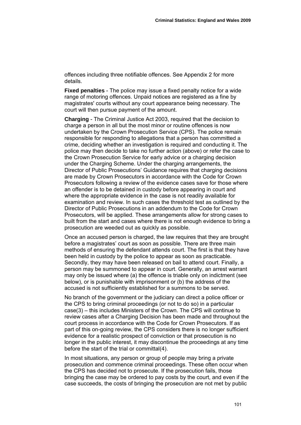offences including three notifiable offences. See [Appendix 2](#page-109-0) for more details.

**Fixed penalties** - The police may issue a fixed penalty notice for a wide range of motoring offences. Unpaid notices are registered as a fine by magistrates' courts without any court appearance being necessary. The court will then pursue payment of the amount.

**Charging** - The Criminal Justice Act 2003, required that the decision to charge a person in all but the most minor or routine offences is now undertaken by the Crown Prosecution Service (CPS). The police remain responsible for responding to allegations that a person has committed a crime, deciding whether an investigation is required and conducting it. The police may then decide to take no further action (above) or refer the case to the Crown Prosecution Service for early advice or a charging decision under the Charging Scheme. Under the charging arrangements, the Director of Public Prosecutions' Guidance requires that charging decisions are made by Crown Prosecutors in accordance with the Code for Crown Prosecutors following a review of the evidence cases save for those where an offender is to be detained in custody before appearing in court and where the appropriate evidence in the case is not readily available for examination and review. In such cases the threshold test as outlined by the Director of Public Prosecutions in an addendum to the Code for Crown Prosecutors, will be applied. These arrangements allow for strong cases to built from the start and cases where there is not enough evidence to bring a prosecution are weeded out as quickly as possible.

Once an accused person is charged, the law requires that they are brought before a magistrates' court as soon as possible. There are three main methods of ensuring the defendant attends court. The first is that they have been held in custody by the police to appear as soon as practicable. Secondly, they may have been released on bail to attend court. Finally, a person may be summoned to appear in court. Generally, an arrest warrant may only be issued where (a) the offence is triable only on indictment (see below), or is punishable with imprisonment or (b) the address of the accused is not sufficiently established for a summons to be served.

No branch of the government or the judiciary can direct a police officer or the CPS to bring criminal proceedings (or not to do so) in a particular case(3) – this includes Ministers of the Crown. The CPS will continue to review cases after a Charging Decision has been made and throughout the court process in accordance with the Code for Crown Prosecutors. If as part of this on-going review, the CPS considers there is no longer sufficient evidence for a realistic prospect of conviction or that prosecution is no longer in the public interest, it may discontinue the proceedings at any time before the start of the trial or committal(4).

In most situations, any person or group of people may bring a private prosecution and commence criminal proceedings. These often occur when the CPS has decided not to prosecute. If the prosecution fails, those bringing the case may be ordered to pay costs by the court, and even if the case succeeds, the costs of bringing the prosecution are not met by public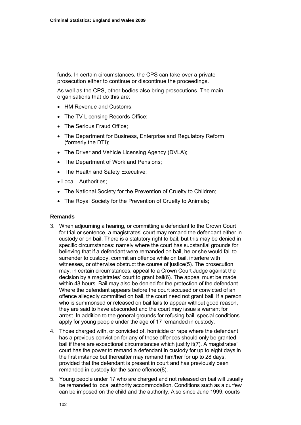funds. In certain circumstances, the CPS can take over a private prosecution either to continue or discontinue the proceedings.

As well as the CPS, other bodies also bring prosecutions. The main organisations that do this are:

- HM Revenue and Customs;
- The TV Licensing Records Office;
- The Serious Fraud Office:
- The Department for Business, Enterprise and Regulatory Reform (formerly the DTI);
- The Driver and Vehicle Licensing Agency (DVLA):
- The Department of Work and Pensions;
- The Health and Safety Executive;
- Local Authorities;
- The National Society for the Prevention of Cruelty to Children;
- The Royal Society for the Prevention of Cruelty to Animals;

#### **Remands**

- 3. When adjourning a hearing, or committing a defendant to the Crown Court for trial or sentence, a magistrates' court may remand the defendant either in custody or on bail. There is a statutory right to bail, but this may be denied in specific circumstances: namely where the court has substantial grounds for believing that if a defendant were remanded on bail, he or she would fail to surrender to custody, commit an offence while on bail, interfere with witnesses, or otherwise obstruct the course of justice(5). The prosecution may, in certain circumstances, appeal to a Crown Court Judge against the decision by a magistrates' court to grant bail(6). The appeal must be made within 48 hours. Bail may also be denied for the protection of the defendant. Where the defendant appears before the court accused or convicted of an offence allegedly committed on bail, the court need not grant bail. If a person who is summonsed or released on bail fails to appear without good reason, they are said to have absconded and the court may issue a warrant for arrest. In addition to the general grounds for refusing bail, special conditions apply for young people under the age of 17 remanded in custody.
- 4. Those charged with, or convicted of, homicide or rape where the defendant has a previous conviction for any of those offences should only be granted bail if there are exceptional circumstances which justify it(7). A magistrates' court has the power to remand a defendant in custody for up to eight days in the first instance but thereafter may remand him/her for up to 28 days, provided that the defendant is present in court and has previously been remanded in custody for the same offence(8).
- 5. Young people under 17 who are charged and not released on bail will usually be remanded to local authority accommodation. Conditions such as a curfew can be imposed on the child and the authority. Also since June 1999, courts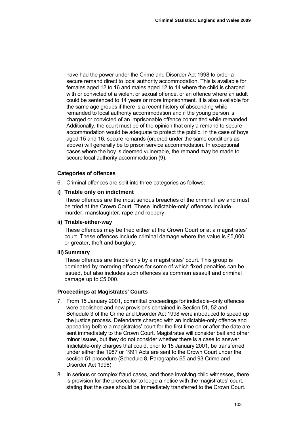have had the power under the Crime and Disorder Act 1998 to order a secure remand direct to local authority accommodation. This is available for females aged 12 to 16 and males aged 12 to 14 where the child is charged with or convicted of a violent or sexual offence, or an offence where an adult could be sentenced to 14 years or more imprisonment. It is also available for the same age groups if there is a recent history of absconding while remanded to local authority accommodation and if the young person is charged or convicted of an imprisonable offence committed while remanded. Additionally, the court must be of the opinion that only a remand to secure accommodation would be adequate to protect the public. In the case of boys aged 15 and 16, secure remands (ordered under the same conditions as above) will generally be to prison service accommodation. In exceptional cases where the boy is deemed vulnerable, the remand may be made to secure local authority accommodation (9).

#### **Categories of offences**

6. Criminal offences are split into three categories as follows:

#### **i) Triable only on indictment**

These offences are the most serious breaches of the criminal law and must be tried at the Crown Court. These 'indictable-only' offences include murder, manslaughter, rape and robbery.

#### **ii) Triable-either-way**

These offences may be tried either at the Crown Court or at a magistrates' court. These offences include criminal damage where the value is £5,000 or greater, theft and burglary.

#### **iii) Summary**

These offences are triable only by a magistrates' court. This group is dominated by motoring offences for some of which fixed penalties can be issued, but also includes such offences as common assault and criminal damage up to £5,000.

#### **Proceedings at Magistrates' Courts**

- 7. From 15 January 2001, committal proceedings for indictable–only offences were abolished and new provisions contained in Section 51, 52 and Schedule 3 of the Crime and Disorder Act 1998 were introduced to speed up the justice process. Defendants charged with an indictable-only offence and appearing before a magistrates' court for the first time on or after the date are sent immediately to the Crown Court. Magistrates will consider bail and other minor issues, but they do not consider whether there is a case to answer. Indictable-only charges that could, prior to 15 January 2001, be transferred under either the 1987 or 1991 Acts are sent to the Crown Court under the section 51 procedure (Schedule 8, Paragraphs 65 and 93 Crime and Disorder Act 1998).
- 8. In serious or complex fraud cases, and those involving child witnesses, there is provision for the prosecutor to lodge a notice with the magistrates' court, stating that the case should be immediately transferred to the Crown Court.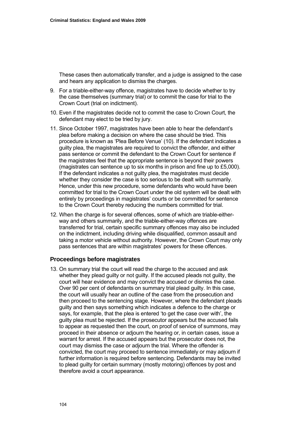These cases then automatically transfer, and a judge is assigned to the case and hears any application to dismiss the charges.

- 9. For a triable-either-way offence, magistrates have to decide whether to try the case themselves (summary trial) or to commit the case for trial to the Crown Court (trial on indictment).
- 10. Even if the magistrates decide not to commit the case to Crown Court, the defendant may elect to be tried by jury.
- 11. Since October 1997, magistrates have been able to hear the defendant's plea before making a decision on where the case should be tried. This procedure is known as 'Plea Before Venue' (10). If the defendant indicates a guilty plea, the magistrates are required to convict the offender, and either pass sentence or commit the defendant to the Crown Court for sentence if the magistrates feel that the appropriate sentence is beyond their powers (magistrates can sentence up to six months in prison and fine up to £5,000). If the defendant indicates a not guilty plea, the magistrates must decide whether they consider the case is too serious to be dealt with summarily. Hence, under this new procedure, some defendants who would have been committed for trial to the Crown Court under the old system will be dealt with entirely by proceedings in magistrates' courts or be committed for sentence to the Crown Court thereby reducing the numbers committed for trial.
- 12. When the charge is for several offences, some of which are triable-eitherway and others summarily, and the triable-either-way offences are transferred for trial, certain specific summary offences may also be included on the indictment, including driving while disqualified, common assault and taking a motor vehicle without authority. However, the Crown Court may only pass sentences that are within magistrates' powers for these offences.

#### **Proceedings before magistrates**

13. On summary trial the court will read the charge to the accused and ask whether they plead guilty or not guilty. If the accused pleads not guilty, the court will hear evidence and may convict the accused or dismiss the case. Over 90 per cent of defendants on summary trial plead guilty. In this case, the court will usually hear an outline of the case from the prosecution and then proceed to the sentencing stage. However, where the defendant pleads guilty and then says something which indicates a defence to the charge or says, for example, that the plea is entered 'to get the case over with', the guilty plea must be rejected. If the prosecutor appears but the accused fails to appear as requested then the court, on proof of service of summons, may proceed in their absence or adjourn the hearing or, in certain cases, issue a warrant for arrest. If the accused appears but the prosecutor does not, the court may dismiss the case or adjourn the trial. Where the offender is convicted, the court may proceed to sentence immediately or may adjourn if further information is required before sentencing. Defendants may be invited to plead guilty for certain summary (mostly motoring) offences by post and therefore avoid a court appearance.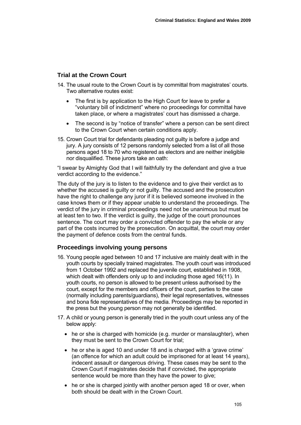## **Trial at the Crown Court**

- 14. The usual route to the Crown Court is by committal from magistrates' courts. Two alternative routes exist:
	- The first is by application to the High Court for leave to prefer a "voluntary bill of indictment" where no proceedings for committal have taken place, or where a magistrates' court has dismissed a charge.
	- The second is by "notice of transfer" where a person can be sent direct to the Crown Court when certain conditions apply.
- 15. Crown Court trial for defendants pleading not guilty is before a judge and jury. A jury consists of 12 persons randomly selected from a list of all those persons aged 18 to 70 who registered as electors and are neither ineligible nor disqualified. These jurors take an oath:

"I swear by Almighty God that I will faithfully try the defendant and give a true verdict according to the evidence."

The duty of the jury is to listen to the evidence and to give their verdict as to whether the accused is quilty or not quilty. The accused and the prosecution have the right to challenge any juror if it is believed someone involved in the case knows them or if they appear unable to understand the proceedings. The verdict of the jury in criminal proceedings need not be unanimous but must be at least ten to two. If the verdict is guilty, the judge of the court pronounces sentence. The court may order a convicted offender to pay the whole or any part of the costs incurred by the prosecution. On acquittal, the court may order the payment of defence costs from the central funds.

## **Proceedings involving young persons**

- 16. Young people aged between 10 and 17 inclusive are mainly dealt with in the youth courts by specially trained magistrates. The youth court was introduced from 1 October 1992 and replaced the juvenile court, established in 1908, which dealt with offenders only up to and including those aged 16(11). In youth courts, no person is allowed to be present unless authorised by the court, except for the members and officers of the court, parties to the case (normally including parents/guardians), their legal representatives, witnesses and bona fide representatives of the media. Proceedings may be reported in the press but the young person may not generally be identified.
- 17. A child or young person is generally tried in the youth court unless any of the below apply:
	- he or she is charged with homicide (e.g. murder or manslaughter), when they must be sent to the Crown Court for trial;
	- he or she is aged 10 and under 18 and is charged with a 'grave crime' (an offence for which an adult could be imprisoned for at least 14 years), indecent assault or dangerous driving. These cases may be sent to the Crown Court if magistrates decide that if convicted, the appropriate sentence would be more than they have the power to give;
	- he or she is charged jointly with another person aged 18 or over, when both should be dealt with in the Crown Court.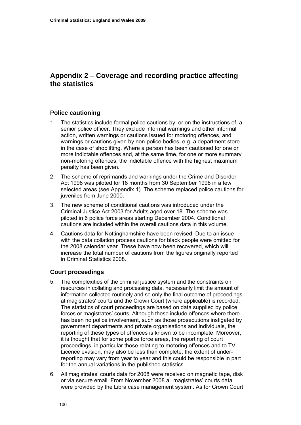## **Appendix 2 – Coverage and recording practice affecting the statistics**

## **Police cautioning**

- 1. The statistics include formal police cautions by, or on the instructions of, a senior police officer. They exclude informal warnings and other informal action, written warnings or cautions issued for motoring offences, and warnings or cautions given by non-police bodies, e.g. a department store in the case of shoplifting. Where a person has been cautioned for one or more indictable offences and, at the same time, for one or more summary non-motoring offences, the indictable offence with the highest maximum penalty has been given.
- 2. The scheme of reprimands and warnings under the Crime and Disorder Act 1998 was piloted for 18 months from 30 September 1998 in a few selected areas (see [Appendix 1](#page-103-0)). The scheme replaced police cautions for juveniles from June 2000.
- 3. The new scheme of conditional cautions was introduced under the Criminal Justice Act 2003 for Adults aged over 18. The scheme was piloted in 6 police force areas starting December 2004. Conditional cautions are included within the overall cautions data in this volume.
- 4. Cautions data for Nottinghamshire have been revised. Due to an issue with the data collation process cautions for black people were omitted for the 2008 calendar year. These have now been recovered, which will increase the total number of cautions from the figures originally reported in Criminal Statistics 2008.

## **Court proceedings**

- 5. The complexities of the criminal justice system and the constraints on resources in collating and processing data, necessarily limit the amount of information collected routinely and so only the final outcome of proceedings at magistrates' courts and the Crown Court (where applicable) is recorded. The statistics of court proceedings are based on data supplied by police forces or magistrates' courts. Although these include offences where there has been no police involvement, such as those prosecutions instigated by government departments and private organisations and individuals, the reporting of these types of offences is known to be incomplete. Moreover, it is thought that for some police force areas, the reporting of court proceedings, in particular those relating to motoring offences and to TV Licence evasion, may also be less than complete; the extent of underreporting may vary from year to year and this could be responsible in part for the annual variations in the published statistics.
- 6. All magistrates' courts data for 2008 were received on magnetic tape, disk or via secure email. From November 2008 all magistrates' courts data were provided by the Libra case management system. As for Crown Court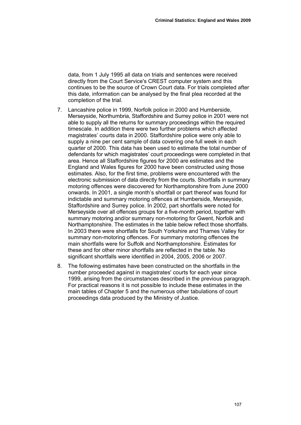data, from 1 July 1995 all data on trials and sentences were received directly from the Court Service's CREST computer system and this continues to be the source of Crown Court data. For trials completed after this date, information can be analysed by the final plea recorded at the completion of the trial.

- 7. Lancashire police in 1999, Norfolk police in 2000 and Humberside, Merseyside, Northumbria, Staffordshire and Surrey police in 2001 were not able to supply all the returns for summary proceedings within the required timescale. In addition there were two further problems which affected magistrates' courts data in 2000. Staffordshire police were only able to supply a nine per cent sample of data covering one full week in each quarter of 2000. This data has been used to estimate the total number of defendants for which magistrates' court proceedings were completed in that area. Hence all Staffordshire figures for 2000 are estimates and the England and Wales figures for 2000 have been constructed using those estimates. Also, for the first time, problems were encountered with the electronic submission of data directly from the courts. Shortfalls in summary motoring offences were discovered for Northamptonshire from June 2000 onwards. In 2001, a single month's shortfall or part thereof was found for indictable and summary motoring offences at Humberside, Merseyside, Staffordshire and Surrey police. In 2002, part shortfalls were noted for Merseyside over all offences groups for a five-month period, together with summary motoring and/or summary non-motoring for Gwent, Norfolk and Northamptonshire. The estimates in the table below reflect those shortfalls. In 2003 there were shortfalls for South Yorkshire and Thames Valley for summary non-motoring offences. For summary motoring offences the main shortfalls were for Suffolk and Northamptonshire. Estimates for these and for other minor shortfalls are reflected in the table. No significant shortfalls were identified in 2004, 2005, 2006 or 2007.
- 8. The following estimates have been constructed on the shortfalls in the number proceeded against in magistrates' courts for each year since 1999, arising from the circumstances described in the previous paragraph. For practical reasons it is not possible to include these estimates in the main tables of Chapter 5 and the numerous other tabulations of court proceedings data produced by the Ministry of Justice.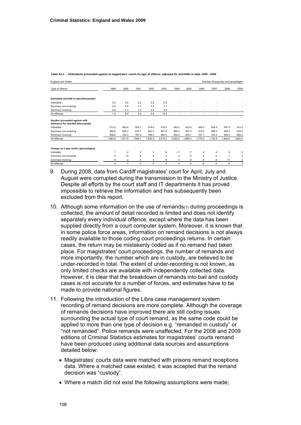| England and Wales                                                                                                              |                         |                         |                         |                         |                         |                         |                         |                          | Number (thousands) and percentages |                         |                         |
|--------------------------------------------------------------------------------------------------------------------------------|-------------------------|-------------------------|-------------------------|-------------------------|-------------------------|-------------------------|-------------------------|--------------------------|------------------------------------|-------------------------|-------------------------|
| Type of offence                                                                                                                | 1999                    | 2000                    | 2001                    | 2002                    | 2003                    | 2004                    | 2005                    | 2006                     | 2007                               | 2008                    | 2009                    |
| Estimated shortfall in data (thousands)                                                                                        |                         |                         |                         |                         |                         |                         |                         |                          |                                    |                         |                         |
| Indictable                                                                                                                     | 0.5                     | 0.8                     | 2.2                     | 0.9                     | 0.8                     |                         |                         |                          |                                    |                         |                         |
| Summary non-motoring                                                                                                           | 0.5                     | 0.8                     | 3.7                     | 2.2                     | 7.7                     |                         |                         |                          |                                    |                         |                         |
| Summary motoring                                                                                                               | 0.8                     | 5.3                     | 2.5                     | 2.5                     | 4.9                     |                         | ٠                       | $\overline{\phantom{a}}$ | ۰                                  | ٠                       |                         |
| All offences                                                                                                                   | 1.8                     | 6.9                     | 8.4                     | 5.6                     | 13.4                    | ٠                       | ٠                       |                          |                                    |                         |                         |
| Number proceeded against with<br>allowance for shortfall (thousands)<br>Indictable<br>Summary non-motoring<br>Summary motoring | 513.2<br>560.5<br>809.8 | 492.6<br>626.7<br>792.2 | 503.1<br>575.7<br>767.3 | 518.0<br>624.2<br>788.3 | 510.0<br>641.8<br>862.5 | 453.3<br>665.3<br>904.0 | 423.4<br>637.0<br>834.7 | 406.2<br>612.0<br>761.1  | 404.9<br>599.3<br>728.4            | 397.5<br>593.3<br>649.2 | 415.3<br>618.8<br>659.2 |
| All offences                                                                                                                   | 1.883.6                 | 1.911.6                 | 1.846.1                 | 1.930.4                 | 2.014.2                 | 2.022.6                 | 1.895.0                 | 1.779.3                  | 1.732.5                            | 1.640.0                 | 1.693.2                 |
| Change on a year earlier (percentages)                                                                                         |                         |                         |                         |                         |                         |                         |                         |                          |                                    |                         |                         |
| Indictable                                                                                                                     |                         | -4                      | 2                       | 3                       | $-2$                    | $-11$                   | $-7$                    | -4                       | $\mathbf 0$                        | $-2$                    | 4                       |
| Summary non-motoring                                                                                                           | -5                      | 12                      | -8                      | 8                       | 3                       | 4                       | $-4$                    | -4                       | $-2$                               | $-1$                    | 4                       |
| Summary motoring                                                                                                               | -5                      | $-2$                    | -3                      | 3                       | 9                       | 5                       | -8                      | -9                       | $-4$                               | $-11$                   | $\overline{2}$          |
| All offences                                                                                                                   | $-4$                    | 1                       | $-3$                    | 5                       | 4                       | $\Omega$                | -6                      | -6                       | $-3$                               | $-5$                    | 3                       |

**Table A2.1 - Defendants proceeded against at magistrates' courts by type of offence, adjusted for shortfalls in data, 1999 - 2009**

- 9. During 2008, data from Cardiff magistrates' court for April, July and August were corrupted during the transmission to the Ministry of Justice. Despite all efforts by the court staff and IT departments it has proved impossible to retrieve the information and has subsequently been excluded from this report.
- 10. Although some information on the use of remands(1) during proceedings is collected, the amount of detail recorded is limited and does not identify separately every individual offence, except where the data has been supplied directly from a court computer system. Moreover, it is known that in some police force areas, information on remand decisions is not always readily available to those coding court proceedings returns. In certain cases, the return may be mistakenly coded as if no remand had taken place. For magistrates' court proceedings, the number of remands and more importantly, the number which are in custody, are believed to be under-recorded in total. The extent of under-recording is not known, as only limited checks are available with independently collected data. However, it is clear that the breakdown of remands into bail and custody cases is not accurate for a number of forces, and estimates have to be made to provide national figures.
- 11. Following the introduction of the Libra case management system recording of remand decisions are more complete. Although the coverage of remands decisions have improved there are still coding issues surrounding the actual type of court remand, as the same code could be applied to more than one type of decision e.g. "remanded in custody" or "not remanded". Police remands were unaffected. For the 2008 and 2009 editions of Criminal Statistics estimates for magistrates' courts remand have been produced using additional data sources and assumptions detailed below:
	- Magistrates' courts data were matched with prisons remand receptions data. Where a matched case existed, it was accepted that the remand decision was "custody".
	- Where a match did not exist the following assumptions were made;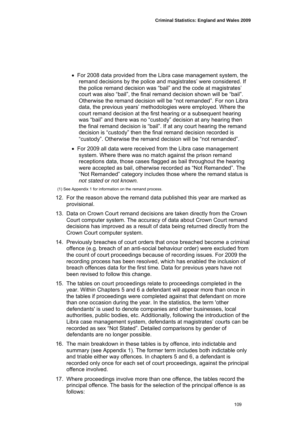- For 2008 data provided from the Libra case management system, the remand decisions by the police and magistrates' were considered. If the police remand decision was "bail" and the code at magistrates' court was also "bail", the final remand decision shown will be "bail". Otherwise the remand decision will be "not remanded". For non Libra data, the previous years' methodologies were employed. Where the court remand decision at the first hearing or a subsequent hearing was "bail" and there was no "custody" decision at any hearing then the final remand decision is "bail". If at any court hearing the remand decision is "custody" then the final remand decision recorded is "custody". Otherwise the remand decision will be "not remanded".
- For 2009 all data were received from the Libra case management system. Where there was no match against the prison remand receptions data, those cases flagged as bail throughout the hearing were accepted as bail, otherwise recorded as "Not Remanded". The "Not Remanded" category includes those where the remand status is *not stated* or *not known.*

(1) See [Appendix 1](#page-103-0) for information on the remand process.

- 12. For the reason above the remand data published this year are marked as provisional.
- 13. Data on Crown Court remand decisions are taken directly from the Crown Court computer system. The accuracy of data about Crown Court remand decisions has improved as a result of data being returned directly from the Crown Court computer system.
- 14. Previously breaches of court orders that once breached become a criminal offence (e.g. breach of an anti-social behaviour order) were excluded from the count of court proceedings because of recording issues. For 2009 the recording process has been resolved, which has enabled the inclusion of breach offences data for the first time. Data for previous years have not been revised to follow this change.
- 15. The tables on court proceedings relate to proceedings completed in the year. Within Chapters 5 and 6 a defendant will appear more than once in the tables if proceedings were completed against that defendant on more than one occasion during the year. In the statistics, the term 'other defendants' is used to denote companies and other businesses, local authorities, public bodies, etc. Additionally, following the introduction of the Libra case management system, defendants at magistrates' courts can be recorded as sex "Not Stated". Detailed comparisons by gender of defendants are no longer possible.
- 16. The main breakdown in these tables is by offence, into indictable and summary (see [Appendix 1](#page-103-0)). The former term includes both indictable only and triable either way offences. In chapters 5 and 6, a defendant is recorded only once for each set of court proceedings, against the principal offence involved.
- 17. Where proceedings involve more than one offence, the tables record the principal offence. The basis for the selection of the principal offence is as follows: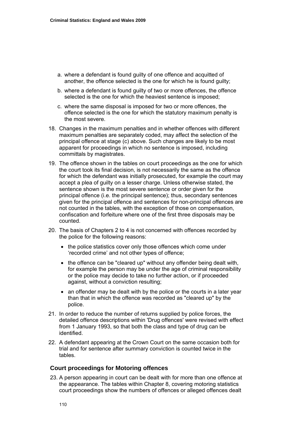- a. where a defendant is found guilty of one offence and acquitted of another, the offence selected is the one for which he is found guilty;
- b. where a defendant is found guilty of two or more offences, the offence selected is the one for which the heaviest sentence is imposed;
- c. where the same disposal is imposed for two or more offences, the offence selected is the one for which the statutory maximum penalty is the most severe.
- 18. Changes in the maximum penalties and in whether offences with different maximum penalties are separately coded, may affect the selection of the principal offence at stage (c) above. Such changes are likely to be most apparent for proceedings in which no sentence is imposed, including committals by magistrates.
- 19. The offence shown in the tables on court proceedings as the one for which the court took its final decision, is not necessarily the same as the offence for which the defendant was initially prosecuted, for example the court may accept a plea of guilty on a lesser charge. Unless otherwise stated, the sentence shown is the most severe sentence or order given for the principal offence (i.e. the principal sentence); thus, secondary sentences given for the principal offence and sentences for non-principal offences are not counted in the tables, with the exception of those on compensation, confiscation and forfeiture where one of the first three disposals may be counted.
- 20. The basis of Chapters 2 to 4 is not concerned with offences recorded by the police for the following reasons:
	- the police statistics cover only those offences which come under 'recorded crime' and not other types of offence;
	- the offence can be "cleared up" without any offender being dealt with, for example the person may be under the age of criminal responsibility or the police may decide to take no further action, or if proceeded against, without a conviction resulting;
	- an offender may be dealt with by the police or the courts in a later year than that in which the offence was recorded as "cleared up" by the police.
- 21. In order to reduce the number of returns supplied by police forces, the detailed offence descriptions within 'Drug offences' were revised with effect from 1 January 1993, so that both the class and type of drug can be identified.
- 22. A defendant appearing at the Crown Court on the same occasion both for trial and for sentence after summary conviction is counted twice in the tables.

#### **Court proceedings for Motoring offences**

23. A person appearing in court can be dealt with for more than one offence at the appearance. The tables within Chapter 8, covering motoring statistics court proceedings show the numbers of offences or alleged offences dealt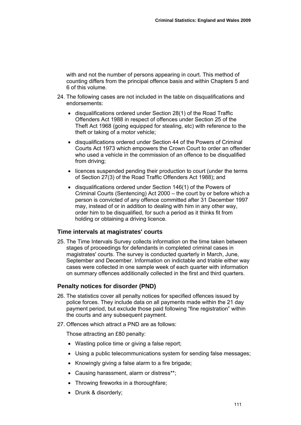with and not the number of persons appearing in court. This method of counting differs from the principal offence basis and within Chapters 5 and 6 of this volume.

- 24. The following cases are not included in the table on disqualifications and endorsements:
	- disqualifications ordered under Section 28(1) of the Road Traffic Offenders Act 1988 in respect of offences under Section 25 of the Theft Act 1968 (going equipped for stealing, etc) with reference to the theft or taking of a motor vehicle;
	- disqualifications ordered under Section 44 of the Powers of Criminal Courts Act 1973 which empowers the Crown Court to order an offender who used a vehicle in the commission of an offence to be disqualified from driving;
	- licences suspended pending their production to court (under the terms of Section 27(3) of the Road Traffic Offenders Act 1988); and
	- disqualifications ordered under Section 146(1) of the Powers of Criminal Courts (Sentencing) Act 2000 – the court by or before which a person is convicted of any offence committed after 31 December 1997 may, instead of or in addition to dealing with him in any other way, order him to be disqualified, for such a period as it thinks fit from holding or obtaining a driving licence.

### **Time intervals at magistrates' courts**

25. The Time Intervals Survey collects information on the time taken between stages of proceedings for defendants in completed criminal cases in magistrates' courts. The survey is conducted quarterly in March, June, September and December. Information on indictable and triable either way cases were collected in one sample week of each quarter with information on summary offences additionally collected in the first and third quarters.

#### **Penalty notices for disorder (PND)**

- 26. The statistics cover all penalty notices for specified offences issued by police forces. They include data on all payments made within the 21 day payment period, but exclude those paid following "fine registration" within the courts and any subsequent payment.
- 27. Offences which attract a PND are as follows:

Those attracting an £80 penalty:

- Wasting police time or giving a false report;
- Using a public telecommunications system for sending false messages;
- Knowingly giving a false alarm to a fire brigade;
- Causing harassment, alarm or distress\*\*;
- Throwing fireworks in a thoroughfare;
- Drunk & disorderly;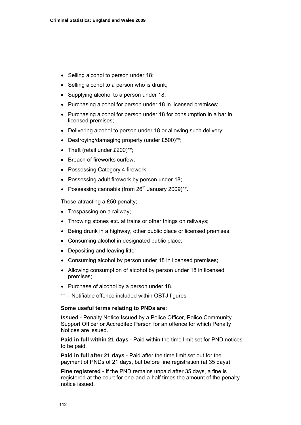- Selling alcohol to person under 18;
- Selling alcohol to a person who is drunk;
- Supplying alcohol to a person under 18;
- Purchasing alcohol for person under 18 in licensed premises:
- Purchasing alcohol for person under 18 for consumption in a bar in licensed premises;
- Delivering alcohol to person under 18 or allowing such delivery;
- Destroying/damaging property (under £500)\*\*;
- Theft (retail under £200)\*\*;
- Breach of fireworks curfew:
- Possessing Category 4 firework:
- Possessing adult firework by person under 18;
- Possessing cannabis (from  $26<sup>th</sup>$  January  $2009$ )\*\*.

Those attracting a £50 penalty;

- Trespassing on a railway;
- Throwing stones etc. at trains or other things on railways;
- Being drunk in a highway, other public place or licensed premises;
- Consuming alcohol in designated public place:
- Depositing and leaving litter;
- Consuming alcohol by person under 18 in licensed premises;
- Allowing consumption of alcohol by person under 18 in licensed premises;
- Purchase of alcohol by a person under 18.
- \*\* = Notifiable offence included within OBTJ figures

#### **Some useful terms relating to PNDs are:**

**Issued -** Penalty Notice Issued by a Police Officer, Police Community Support Officer or Accredited Person for an offence for which Penalty Notices are issued.

**Paid in full within 21 days -** Paid within the time limit set for PND notices to be paid.

**Paid in full after 21 days -** Paid after the time limit set out for the payment of PNDs of 21 days, but before fine registration (at 35 days).

**Fine registered -** If the PND remains unpaid after 35 days, a fine is registered at the court for one-and-a-half times the amount of the penalty notice issued.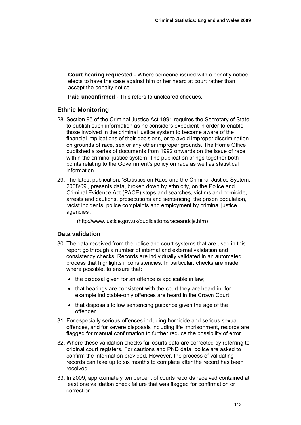**Court hearing requested -** Where someone issued with a penalty notice elects to have the case against him or her heard at court rather than accept the penalty notice.

**Paid unconfirmed -** This refers to uncleared cheques.

#### **Ethnic Monitoring**

- 28. Section 95 of the Criminal Justice Act 1991 requires the Secretary of State to publish such information as he considers expedient in order to enable those involved in the criminal justice system to become aware of the financial implications of their decisions, or to avoid improper discrimination on grounds of race, sex or any other improper grounds. The Home Office published a series of documents from 1992 onwards on the issue of race within the criminal justice system. The publication brings together both points relating to the Government's policy on race as well as statistical information.
- 29. The latest publication, 'Statistics on Race and the Criminal Justice System, 2008/09', presents data, broken down by ethnicity, on the Police and Criminal Evidence Act (PACE) stops and searches, victims and homicide, arrests and cautions, prosecutions and sentencing, the prison population, racist incidents, police complaints and employment by criminal justice agencies .

([http://www.justice.gov.uk/publications/raceandcjs.htm\)](http://www.justice.gov.uk/publications/raceandcjs.htm)

#### **Data validation**

- 30. The data received from the police and court systems that are used in this report go through a number of internal and external validation and consistency checks. Records are individually validated in an automated process that highlights inconsistencies. In particular, checks are made, where possible, to ensure that:
	- the disposal given for an offence is applicable in law:
	- that hearings are consistent with the court they are heard in, for example indictable-only offences are heard in the Crown Court;
	- that disposals follow sentencing guidance given the age of the offender.
- 31. For especially serious offences including homicide and serious sexual offences, and for severe disposals including life imprisonment, records are flagged for manual confirmation to further reduce the possibility of error.
- 32. Where these validation checks fail courts data are corrected by referring to original court registers. For cautions and PND data, police are asked to confirm the information provided. However, the process of validating records can take up to six months to complete after the record has been received.
- 33. In 2009, approximately ten percent of courts records received contained at least one validation check failure that was flagged for confirmation or correction.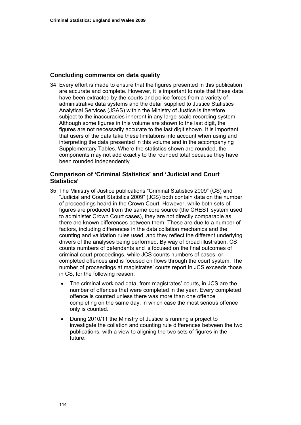## **Concluding comments on data quality**

34. Every effort is made to ensure that the figures presented in this publication are accurate and complete. However, it is important to note that these data have been extracted by the courts and police forces from a variety of administrative data systems and the detail supplied to Justice Statistics Analytical Services (JSAS) within the Ministry of Justice is therefore subject to the inaccuracies inherent in any large-scale recording system. Although some figures in this volume are shown to the last digit, the figures are not necessarily accurate to the last digit shown. It is important that users of the data take these limitations into account when using and interpreting the data presented in this volume and in the accompanying Supplementary Tables. Where the statistics shown are rounded, the components may not add exactly to the rounded total because they have been rounded independently.

## **Comparison of 'Criminal Statistics' and 'Judicial and Court Statistics'**

- 35. The Ministry of Justice publications "Criminal Statistics 2009" (CS) and "Judicial and Court Statistics 2009" (JCS) both contain data on the number of proceedings heard in the Crown Court. However, while both sets of figures are produced from the same core source (the CREST system used to administer Crown Court cases), they are not directly comparable as there are known differences between them. These are due to a number of factors, including differences in the data collation mechanics and the counting and validation rules used, and they reflect the different underlying drivers of the analyses being performed. By way of broad illustration, CS counts numbers of defendants and is focused on the final outcomes of criminal court proceedings, while JCS counts numbers of cases, or completed offences and is focused on flows through the court system. The number of proceedings at magistrates' courts report in JCS exceeds those in CS, for the following reason:
	- The criminal workload data, from magistrates' courts, in JCS are the number of offences that were completed in the year. Every completed offence is counted unless there was more than one offence completing on the same day, in which case the most serious offence only is counted.
	- During 2010/11 the Ministry of Justice is running a project to investigate the collation and counting rule differences between the two publications, with a view to aligning the two sets of figures in the future.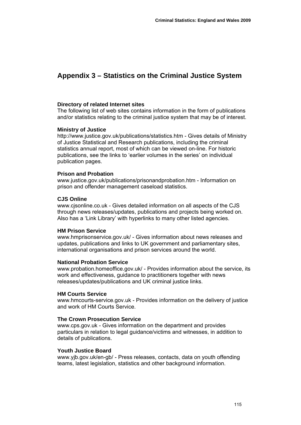# **Appendix 3 – Statistics on the Criminal Justice System**

#### **Directory of related Internet sites**

The following list of web sites contains information in the form of publications and/or statistics relating to the criminal justice system that may be of interest.

#### **Ministry of Justice**

<http://www.justice.gov.uk/publications/statistics.htm> - Gives details of Ministry of Justice Statistical and Research publications, including the criminal statistics annual report, most of which can be viewed on-line. For historic publications, see the links to 'earlier volumes in the series' on individual publication pages.

#### **Prison and Probation**

[www.justice.gov.uk/publications/prisonandprobation.htm](http://www.justice.gov.uk/publications/prisonandprobation.htm) - Information on prison and offender management caseload statistics.

#### **CJS Online**

[www.cjsonline.co.uk](http://www.cjsonline.co.uk/) - Gives detailed information on all aspects of the CJS through news releases/updates, publications and projects being worked on. Also has a 'Link Library' with hyperlinks to many other listed agencies.

#### **HM Prison Service**

[www.hmprisonservice.gov.uk/](http://www.hmprisonservice.gov.uk/) - Gives information about news releases and updates, publications and links to UK government and parliamentary sites, international organisations and prison services around the world.

#### **National Probation Service**

[www.probation.homeoffice.gov.uk](http://www.probation.homeoffice.gov.uk/)/ - Provides information about the service, its work and effectiveness, guidance to practitioners together with news releases/updates/publications and UK criminal justice links.

#### **HM Courts Service**

[www.hmcourts-service.gov.uk](http://www.hmcourts-service.gov.uk/) - Provides information on the delivery of justice and work of HM Courts Service.

#### **The Crown Prosecution Service**

[www.cps.gov.uk](http://www.cps.gov.uk/) - Gives information on the department and provides particulars in relation to legal guidance/victims and witnesses, in addition to details of publications.

#### **Youth Justice Board**

[www.yjb.gov.uk/en-gb/](http://www.yjb.gov.uk/en-gb/) - Press releases, contacts, data on youth offending teams, latest legislation, statistics and other background information.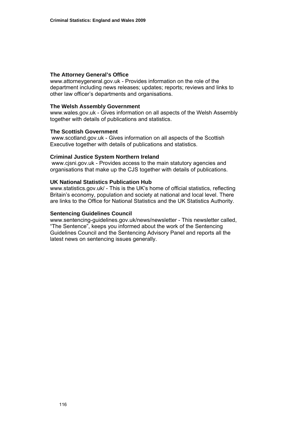#### **The Attorney General's Office**

[www.attorneygeneral.gov.uk](http://www.attorneygeneral.gov.uk/) - Provides information on the role of the department including news releases; updates; reports; reviews and links to other law officer's departments and organisations.

#### **The Welsh Assembly Government**

[www.wales.gov.uk](http://www.wales.gov.uk/) - Gives information on all aspects of the Welsh Assembly together with details of publications and statistics.

#### **The Scottish Government**

[www.scotland.gov.uk](http://www.scotland.gov.uk/) - Gives information on all aspects of the Scottish Executive together with details of publications and statistics.

#### **Criminal Justice System Northern Ireland**

[www.cjsni.gov.uk](http://www.cjsni.gov.uk/) - Provides access to the main statutory agencies and organisations that make up the CJS together with details of publications.

### **UK National Statistics Publication Hub**

[www.statistics.gov.uk/](http://www.statistics.gov.uk/) - This is the UK's home of official statistics, reflecting Britain's economy, population and society at national and local level. There are links to the Office for National Statistics and the UK Statistics Authority.

#### **Sentencing Guidelines Council**

[www.sentencing-guidelines.gov.uk/news/newsletter](http://www.sentencing-guidelines.gov.uk/news/newsletter) - This newsletter called, "The Sentence", keeps you informed about the work of the Sentencing Guidelines Council and the Sentencing Advisory Panel and reports all the latest news on sentencing issues generally.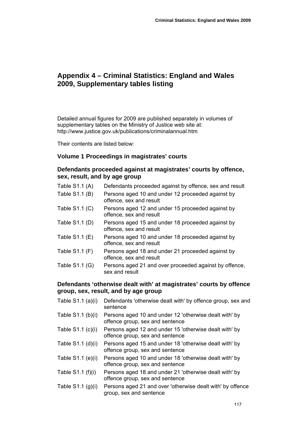## **Appendix 4 – Criminal Statistics: England and Wales 2009, Supplementary tables listing**

Detailed annual figures for 2009 are published separately in volumes of supplementary tables on the Ministry of Justice web site at: <http://www.justice.gov.uk/publications/criminalannual.htm>

Their contents are listed below:

#### **Volume 1 Proceedings in magistrates' courts**

## **Defendants proceeded against at magistrates' courts by offence, sex, result, and by age group**

- Table S1.1 (A) Defendants proceeded against by offence, sex and result
- Table S1.1 (B) Persons aged 10 and under 12 proceeded against by offence, sex and result
- Table S1.1 (C) Persons aged 12 and under 15 proceeded against by offence, sex and result
- Table S1.1 (D) Persons aged 15 and under 18 proceeded against by offence, sex and result
- Table S1.1 (E) Persons aged 10 and under 18 proceeded against by offence, sex and result
- Table S1.1 (F) Persons aged 18 and under 21 proceeded against by offence, sex and result
- Table S1.1 (G) Persons aged 21 and over proceeded against by offence, sex and result

## **Defendants 'otherwise dealt with' at magistrates' courts by offence group, sex, result, and by age group**

| Table S1.1 (a)(i)   | Defendants 'otherwise dealt with' by offence group, sex and<br>sentence                   |
|---------------------|-------------------------------------------------------------------------------------------|
| Table S1.1 (b)(i)   | Persons aged 10 and under 12 'otherwise dealt with' by<br>offence group, sex and sentence |
| Table S1.1 (c)(i)   | Persons aged 12 and under 15 'otherwise dealt with' by<br>offence group, sex and sentence |
| Table S1.1 (d)(i)   | Persons aged 15 and under 18 'otherwise dealt with' by<br>offence group, sex and sentence |
| Table $S1.1$ (e)(i) | Persons aged 10 and under 18 'otherwise dealt with' by<br>offence group, sex and sentence |
| Table $S1.1(f)(i)$  | Persons aged 18 and under 21 'otherwise dealt with' by<br>offence group, sex and sentence |
| Table $S1.1$ (g)(i) | Persons aged 21 and over 'otherwise dealt with' by offence<br>group, sex and sentence     |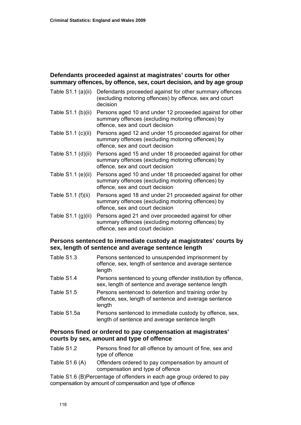## **Defendants proceeded against at magistrates' courts for other summary offences, by offence, sex, court decision, and by age group**

- Table S1.1 (a)(ii) Defendants proceeded against for other summary offences (excluding motoring offences) by offence, sex and court decision
- Table S1.1 (b)(ii) Persons aged 10 and under 12 proceeded against for other summary offences (excluding motoring offences) by offence, sex and court decision
- Table S1.1 (c)(ii) Persons aged 12 and under 15 proceeded against for other summary offences (excluding motoring offences) by offence, sex and court decision
- Table S1.1 (d)(ii) Persons aged 15 and under 18 proceeded against for other summary offences (excluding motoring offences) by offence, sex and court decision
- Table S1.1 (e)(ii) Persons aged 10 and under 18 proceeded against for other summary offences (excluding motoring offences) by offence, sex and court decision
- Table S1.1 (f)(ii) Persons aged 18 and under 21 proceeded against for other summary offences (excluding motoring offences) by offence, sex and court decision
- Table S1.1 (g)(ii) Persons aged 21 and over proceeded against for other summary offences (excluding motoring offences) by offence, sex and court decision

## **Persons sentenced to immediate custody at magistrates' courts by sex, length of sentence and average sentence length**

Table S1.3 Persons sentenced to unsuspended imprisonment by offence, sex, length of sentence and average sentence length Table S1.4 Persons sentenced to young offender institution by offence, sex, length of sentence and average sentence length Table S1.5 Persons sentenced to detention and training order by offence, sex, length of sentence and average sentence length Table S1.5a Persons sentenced to immediate custody by offence, sex, length of sentence and average sentence length

## **Persons fined or ordered to pay compensation at magistrates' courts by sex, amount and type of offence**

- Table S1.2 Persons fined for all offence by amount of fine, sex and type of offence
- Table S1.6 (A) Offenders ordered to pay compensation by amount of compensation and type of offence

Table S1.6 (B) Percentage of offenders in each age group ordered to pay compensation by amount of compensation and type of offence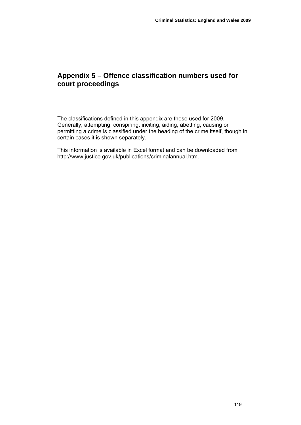## **Appendix 5 – Offence classification numbers used for court proceedings**

The classifications defined in this appendix are those used for 2009. Generally, attempting, conspiring, inciting, aiding, abetting, causing or permitting a crime is classified under the heading of the crime itself, though in certain cases it is shown separately.

This information is available in Excel format and can be downloaded from http://www.justice.gov.uk/publications/criminalannual.htm.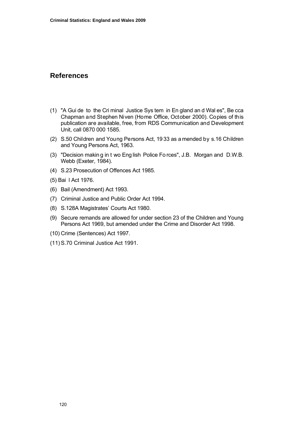## **References**

- (1) "A Gui de to the Cri minal Justice Sys tem in En gland an d Wal es", Be cca Chapman and Stephen Niven (Home Office, October 2000). Copies of this publication are available, free, from RDS Communication and Development Unit, call 0870 000 1585.
- (2) S.50 Children and Young Persons Act, 19 33 as a mended by s.16 Children and Young Persons Act, 1963.
- (3) "Decision makin g in t wo Eng lish Police Fo rces", J.B. Morgan and D.W.B. Webb (Exeter, 1984).
- (4) S.23 Prosecution of Offences Act 1985.
- (5) Bai l Act 1976.
- (6) Bail (Amendment) Act 1993.
- (7) Criminal Justice and Public Order Act 1994.
- (8) S.128A Magistrates' Courts Act 1980.
- (9) Secure remands are allowed for under section 23 of the Children and Young Persons Act 1969, but amended under the Crime and Disorder Act 1998.
- (10) Crime (Sentences) Act 1997.
- (11) S.70 Criminal Justice Act 1991.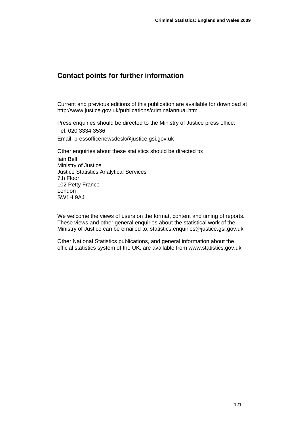## **Contact points for further information**

Current and previous editions of this publication are available for download at http://www.justice.gov.uk/publications/criminalannual.htm

Press enquiries should be directed to the Ministry of Justice press office: Tel: 020 3334 3536 Email: pressofficenewsdesk@justice.gsi.gov.uk

Other enquiries about these statistics should be directed to: Iain Bell Ministry of Justice Justice Statistics Analytical Services 7th Floor 102 Petty France London SW1H 9AJ

We welcome the views of users on the format, content and timing of reports. These views and other general enquiries about the statistical work of the Ministry of Justice can be emailed to: statistics.enquiries@justice.gsi.gov.uk

Other National Statistics publications, and general information about the official statistics system of the UK, are available from www.statistics.gov.uk